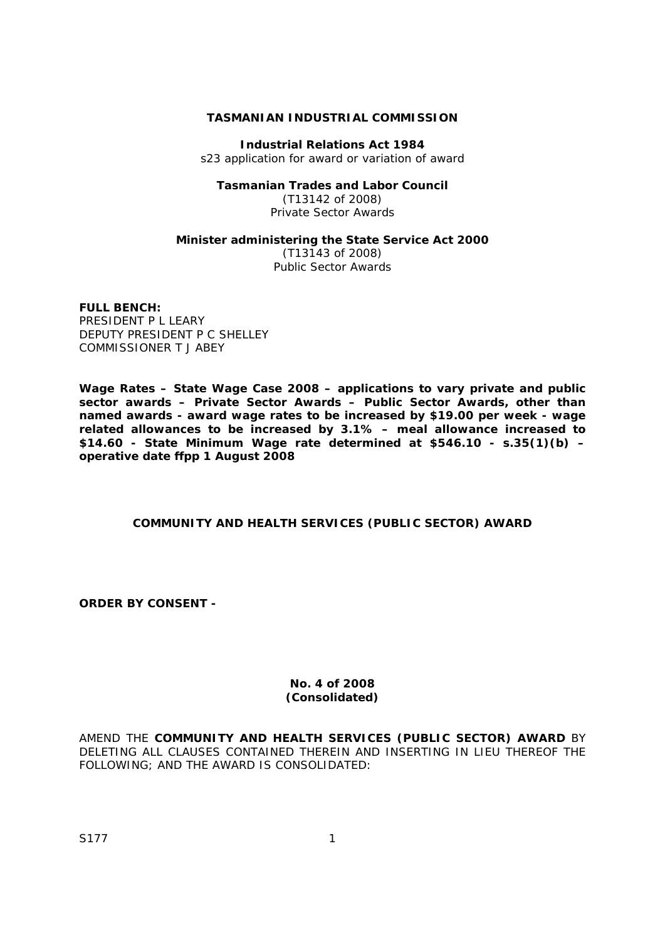## **TASMANIAN INDUSTRIAL COMMISSION**

**Industrial Relations Act 1984** s23 application for award or variation of award

## **Tasmanian Trades and Labor Council**

(T13142 of 2008) Private Sector Awards

#### **Minister administering the** *State Service Act 2000*

(T13143 of 2008) Public Sector Awards

#### **FULL BENCH:**

PRESIDENT P L LEARY DEPUTY PRESIDENT P C SHELLEY COMMISSIONER T J ABEY

**Wage Rates – State Wage Case 2008 – applications to vary private and public sector awards – Private Sector Awards – Public Sector Awards, other than named awards - award wage rates to be increased by \$19.00 per week - wage related allowances to be increased by 3.1% – meal allowance increased to \$14.60 - State Minimum Wage rate determined at \$546.10 - s.35(1)(b) – operative date ffpp 1 August 2008**

### **COMMUNITY AND HEALTH SERVICES (PUBLIC SECTOR) AWARD**

**ORDER BY CONSENT -** 

#### **No. 4 of 2008 (Consolidated)**

AMEND THE **COMMUNITY AND HEALTH SERVICES (PUBLIC SECTOR) AWARD** BY DELETING ALL CLAUSES CONTAINED THEREIN AND INSERTING IN LIEU THEREOF THE FOLLOWING; AND THE AWARD IS CONSOLIDATED: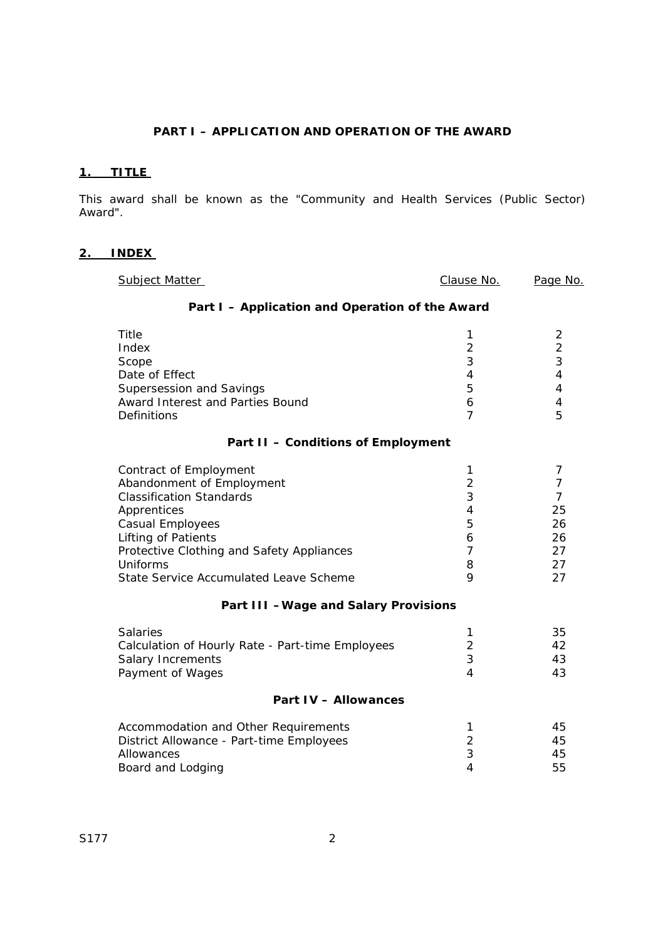# **PART I – APPLICATION AND OPERATION OF THE AWARD**

# **1. TITLE**

This award shall be known as the "Community and Health Services (Public Sector) Award".

# **2. INDEX**

| Subject Matter                                                                                                                                                                                                                                                                               | Clause No.                                                                       | Page No.                                                                  |  |
|----------------------------------------------------------------------------------------------------------------------------------------------------------------------------------------------------------------------------------------------------------------------------------------------|----------------------------------------------------------------------------------|---------------------------------------------------------------------------|--|
| Part I - Application and Operation of the Award                                                                                                                                                                                                                                              |                                                                                  |                                                                           |  |
| Title<br>Index<br>Scope<br>Date of Effect<br>Supersession and Savings<br>Award Interest and Parties Bound<br>Definitions                                                                                                                                                                     | 1<br>$\overline{2}$<br>3<br>4<br>5<br>6<br>$\overline{7}$                        | 2<br>$\overline{2}$<br>3<br>4<br>4<br>4<br>5                              |  |
| Part II - Conditions of Employment                                                                                                                                                                                                                                                           |                                                                                  |                                                                           |  |
| Contract of Employment<br>Abandonment of Employment<br><b>Classification Standards</b><br>Apprentices<br>Casual Employees<br>Lifting of Patients<br>Protective Clothing and Safety Appliances<br>Uniforms<br>State Service Accumulated Leave Scheme<br>Part III - Wage and Salary Provisions | 1<br>$\overline{2}$<br>3<br>$\overline{4}$<br>5<br>6<br>$\overline{7}$<br>8<br>Q | 7<br>$\overline{7}$<br>$\overline{7}$<br>25<br>26<br>26<br>27<br>27<br>27 |  |
| <b>Salaries</b><br>Calculation of Hourly Rate - Part-time Employees<br><b>Salary Increments</b><br>Payment of Wages                                                                                                                                                                          | 1<br>$\overline{2}$<br>3<br>4                                                    | 35<br>42<br>43<br>43                                                      |  |
| <b>Part IV - Allowances</b>                                                                                                                                                                                                                                                                  |                                                                                  |                                                                           |  |
| Accommodation and Other Requirements<br>District Allowance - Part-time Employees<br>Allowances<br>Board and Lodging                                                                                                                                                                          | 1<br>$\overline{2}$<br>3<br>$\overline{4}$                                       | 45<br>45<br>45<br>55                                                      |  |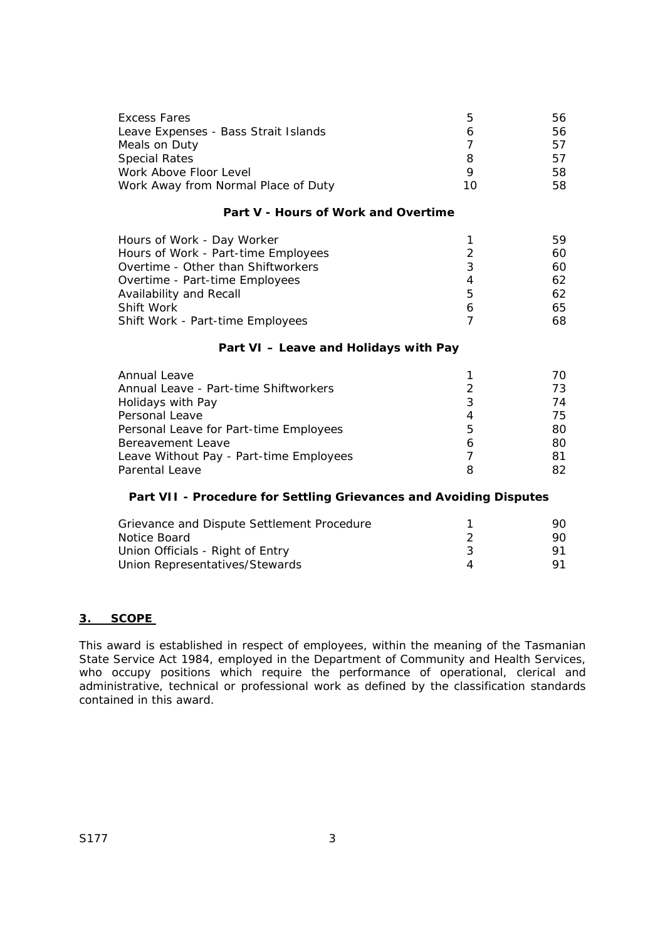| Excess Fares                         | b  | 56  |
|--------------------------------------|----|-----|
| Leave Expenses - Bass Strait Islands |    | 56. |
| Meals on Duty                        |    | 57  |
| <b>Special Rates</b>                 |    | 57  |
| Work Above Floor Level               |    | 58. |
| Work Away from Normal Place of Duty  | 10 | 58. |

## **Part V - Hours of Work and Overtime**

| Hours of Work - Day Worker          |   | 59. |
|-------------------------------------|---|-----|
| Hours of Work - Part-time Employees |   | 60. |
|                                     |   |     |
| Overtime - Other than Shiftworkers  | 3 | 60. |
| Overtime - Part-time Employees      | 4 | 62. |
| Availability and Recall             | 5 | 62. |
| Shift Work                          | 6 | 65. |
| Shift Work - Part-time Employees    |   | 68. |

## **Part VI – Leave and Holidays with Pay**

| Annual Leave                            |   | $\prime$ $\prime$ |
|-----------------------------------------|---|-------------------|
| Annual Leave - Part-time Shiftworkers   |   | 73                |
| Holidays with Pay                       | 3 | 74                |
| Personal Leave                          | 4 | 75.               |
| Personal Leave for Part-time Employees  | 5 | 80.               |
| Bereavement Leave                       | 6 | 80                |
| Leave Without Pay - Part-time Employees |   | 81                |
| <b>Parental Leave</b>                   |   | 82.               |

## **Part VII - Procedure for Settling Grievances and Avoiding Disputes**

| Grievance and Dispute Settlement Procedure | 90. |
|--------------------------------------------|-----|
| Notice Board                               | 90. |
| Union Officials - Right of Entry           |     |
| Union Representatives/Stewards             |     |

### **3. SCOPE**

This award is established in respect of employees, within the meaning of the Tasmanian *State Service Act 1984*, employed in the Department of Community and Health Services, who occupy positions which require the performance of operational, clerical and administrative, technical or professional work as defined by the classification standards contained in this award.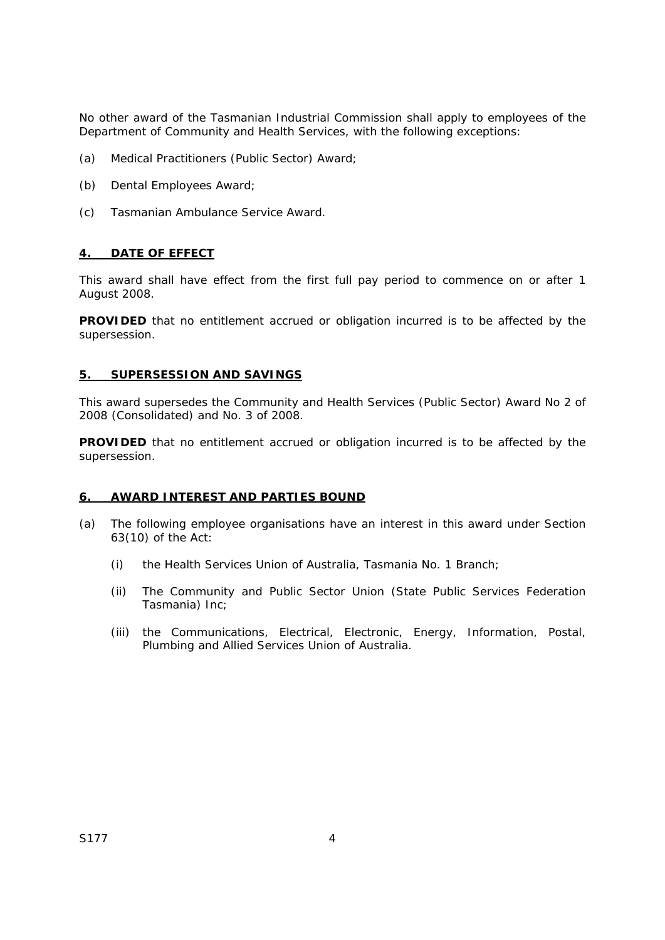No other award of the Tasmanian Industrial Commission shall apply to employees of the Department of Community and Health Services, with the following exceptions:

- (a) Medical Practitioners (Public Sector) Award;
- (b) Dental Employees Award;
- (c) Tasmanian Ambulance Service Award.

### **4. DATE OF EFFECT**

This award shall have effect from the first full pay period to commence on or after 1 August 2008.

**PROVIDED** that no entitlement accrued or obligation incurred is to be affected by the supersession.

#### **5. SUPERSESSION AND SAVINGS**

This award supersedes the Community and Health Services (Public Sector) Award No 2 of 2008 (Consolidated) and No. 3 of 2008.

**PROVIDED** that no entitlement accrued or obligation incurred is to be affected by the supersession.

### **6. AWARD INTEREST AND PARTIES BOUND**

- (a) The following employee organisations have an interest in this award under Section 63(10) of the Act:
	- (i) the Health Services Union of Australia, Tasmania No. 1 Branch;
	- (ii) The Community and Public Sector Union (State Public Services Federation Tasmania) Inc;
	- (iii) the Communications, Electrical, Electronic, Energy, Information, Postal, Plumbing and Allied Services Union of Australia.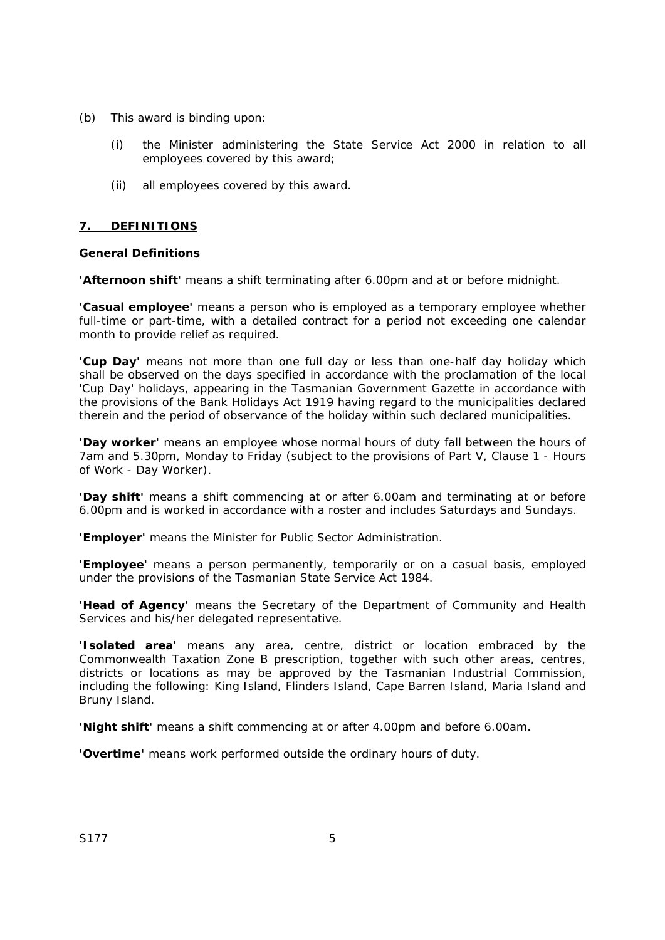- (b) This award is binding upon:
	- (i) the Minister administering the *State Service Act 2000* in relation to all employees covered by this award;
	- (ii) all employees covered by this award.

## **7. DEFINITIONS**

### **General Definitions**

**'Afternoon shift'** means a shift terminating after 6.00pm and at or before midnight.

**'Casual employee'** means a person who is employed as a temporary employee whether full-time or part-time, with a detailed contract for a period not exceeding one calendar month to provide relief as required.

**'Cup Day'** means not more than one full day or less than one-half day holiday which shall be observed on the days specified in accordance with the proclamation of the local 'Cup Day' holidays, appearing in the Tasmanian Government Gazette in accordance with the provisions of the *Bank Holidays Act 1919* having regard to the municipalities declared therein and the period of observance of the holiday within such declared municipalities.

**'Day worker'** means an employee whose normal hours of duty fall between the hours of 7am and 5.30pm, Monday to Friday (subject to the provisions of Part V, Clause 1 - Hours of Work - Day Worker).

**'Day shift'** means a shift commencing at or after 6.00am and terminating at or before 6.00pm and is worked in accordance with a roster and includes Saturdays and Sundays.

**'Employer'** means the Minister for Public Sector Administration.

**'Employee'** means a person permanently, temporarily or on a casual basis, employed under the provisions of the Tasmanian *State Service Act 1984.*

**'Head of Agency'** means the Secretary of the Department of Community and Health Services and his/her delegated representative.

**'Isolated area'** means any area, centre, district or location embraced by the Commonwealth Taxation Zone B prescription, together with such other areas, centres, districts or locations as may be approved by the Tasmanian Industrial Commission, including the following: King Island, Flinders Island, Cape Barren Island, Maria Island and Bruny Island.

**'Night shift'** means a shift commencing at or after 4.00pm and before 6.00am.

**'Overtime'** means work performed outside the ordinary hours of duty.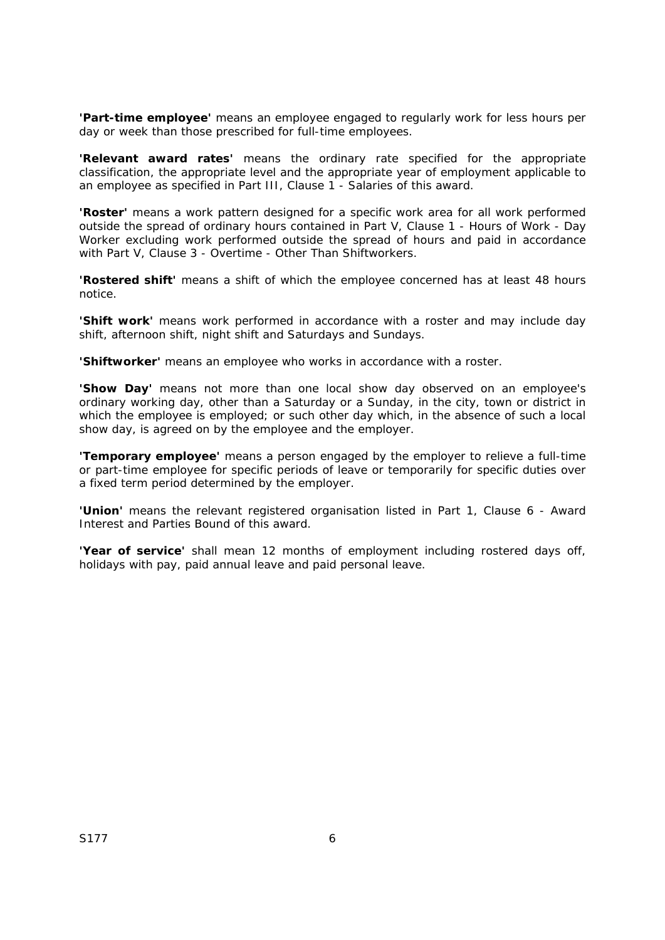**'Part-time employee'** means an employee engaged to regularly work for less hours per day or week than those prescribed for full-time employees.

**'Relevant award rates'** means the ordinary rate specified for the appropriate classification, the appropriate level and the appropriate year of employment applicable to an employee as specified in Part III, Clause 1 - Salaries of this award.

**'Roster'** means a work pattern designed for a specific work area for all work performed outside the spread of ordinary hours contained in Part V, Clause 1 - Hours of Work - Day Worker excluding work performed outside the spread of hours and paid in accordance with Part V, Clause 3 - Overtime - Other Than Shiftworkers.

**'Rostered shift'** means a shift of which the employee concerned has at least 48 hours notice.

**'Shift work'** means work performed in accordance with a roster and may include day shift, afternoon shift, night shift and Saturdays and Sundays.

**'Shiftworker'** means an employee who works in accordance with a roster.

**'Show Day'** means not more than one local show day observed on an employee's ordinary working day, other than a Saturday or a Sunday, in the city, town or district in which the employee is employed; or such other day which, in the absence of such a local show day, is agreed on by the employee and the employer.

**'Temporary employee'** means a person engaged by the employer to relieve a full-time or part-time employee for specific periods of leave or temporarily for specific duties over a fixed term period determined by the employer.

**'Union'** means the relevant registered organisation listed in Part 1, Clause 6 - Award Interest and Parties Bound of this award.

**'Year of service'** shall mean 12 months of employment including rostered days off, holidays with pay, paid annual leave and paid personal leave.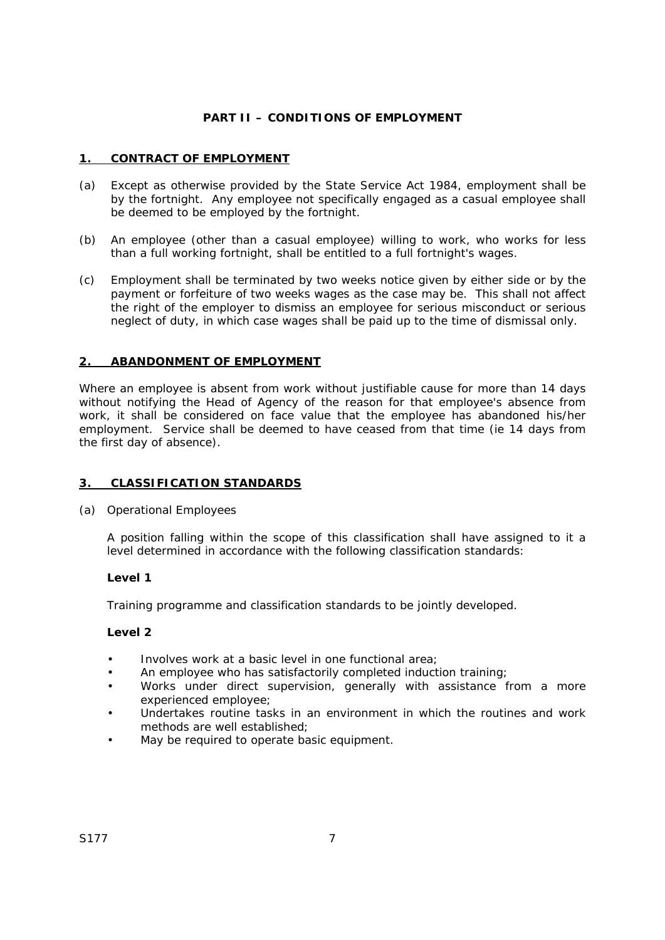## **PART II – CONDITIONS OF EMPLOYMENT**

## **1. CONTRACT OF EMPLOYMENT**

- (a) Except as otherwise provided by the *State Service Act 1984*, employment shall be by the fortnight. Any employee not specifically engaged as a casual employee shall be deemed to be employed by the fortnight.
- (b) An employee (other than a casual employee) willing to work, who works for less than a full working fortnight, shall be entitled to a full fortnight's wages.
- (c) Employment shall be terminated by two weeks notice given by either side or by the payment or forfeiture of two weeks wages as the case may be. This shall not affect the right of the employer to dismiss an employee for serious misconduct or serious neglect of duty, in which case wages shall be paid up to the time of dismissal only.

## **2. ABANDONMENT OF EMPLOYMENT**

Where an employee is absent from work without justifiable cause for more than 14 days without notifying the Head of Agency of the reason for that employee's absence from work, it shall be considered on face value that the employee has abandoned his/her employment. Service shall be deemed to have ceased from that time (ie 14 days from the first day of absence).

### **3. CLASSIFICATION STANDARDS**

(a) Operational Employees

A position falling within the scope of this classification shall have assigned to it a level determined in accordance with the following classification standards:

### **Level 1**

Training programme and classification standards to be jointly developed.

- Involves work at a basic level in one functional area;
- An employee who has satisfactorily completed induction training;
- Works under direct supervision, generally with assistance from a more experienced employee;
- Undertakes routine tasks in an environment in which the routines and work methods are well established;
- May be required to operate basic equipment.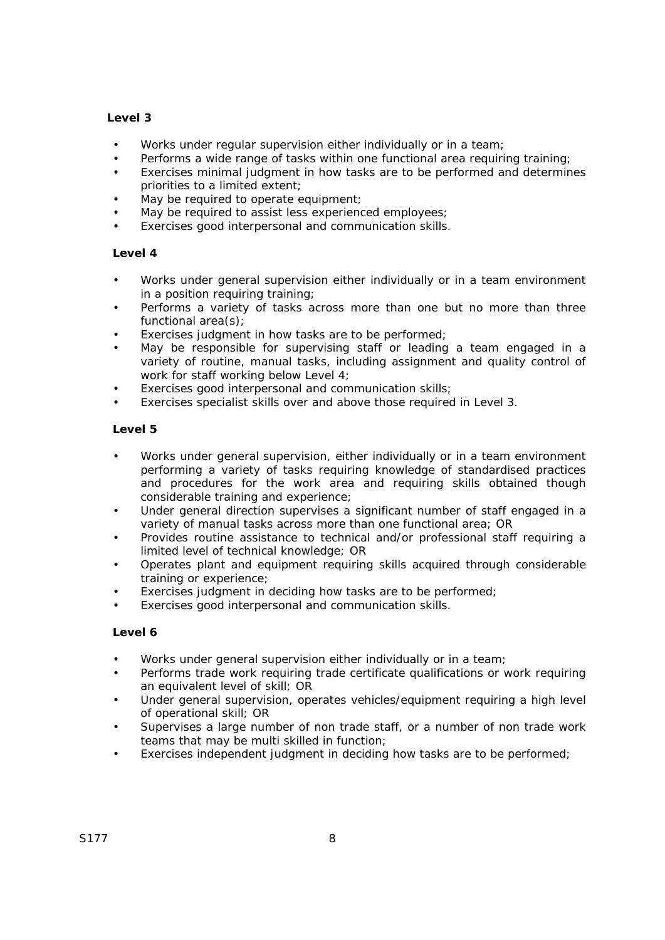## **Level 3**

- Works under regular supervision either individually or in a team;
- Performs a wide range of tasks within one functional area requiring training;
- Exercises minimal judgment in how tasks are to be performed and determines priorities to a limited extent;
- May be required to operate equipment;
- May be required to assist less experienced employees;
- Exercises good interpersonal and communication skills.

## **Level 4**

- Works under general supervision either individually or in a team environment in a position requiring training;
- Performs a variety of tasks across more than one but no more than three functional area(s);
- Exercises judgment in how tasks are to be performed;
- May be responsible for supervising staff or leading a team engaged in a variety of routine, manual tasks, including assignment and quality control of work for staff working below Level 4;
- Exercises good interpersonal and communication skills;
- Exercises specialist skills over and above those required in Level 3.

### **Level 5**

- Works under general supervision, either individually or in a team environment performing a variety of tasks requiring knowledge of standardised practices and procedures for the work area and requiring skills obtained though considerable training and experience;
- Under general direction supervises a significant number of staff engaged in a variety of manual tasks across more than one functional area; OR
- Provides routine assistance to technical and/or professional staff requiring a limited level of technical knowledge; OR
- Operates plant and equipment requiring skills acquired through considerable training or experience;
- Exercises judgment in deciding how tasks are to be performed;
- Exercises good interpersonal and communication skills.

- Works under general supervision either individually or in a team;
- Performs trade work requiring trade certificate qualifications or work requiring an equivalent level of skill; OR
- Under general supervision, operates vehicles/equipment requiring a high level of operational skill; OR
- Supervises a large number of non trade staff, or a number of non trade work teams that may be multi skilled in function;
- Exercises independent judgment in deciding how tasks are to be performed;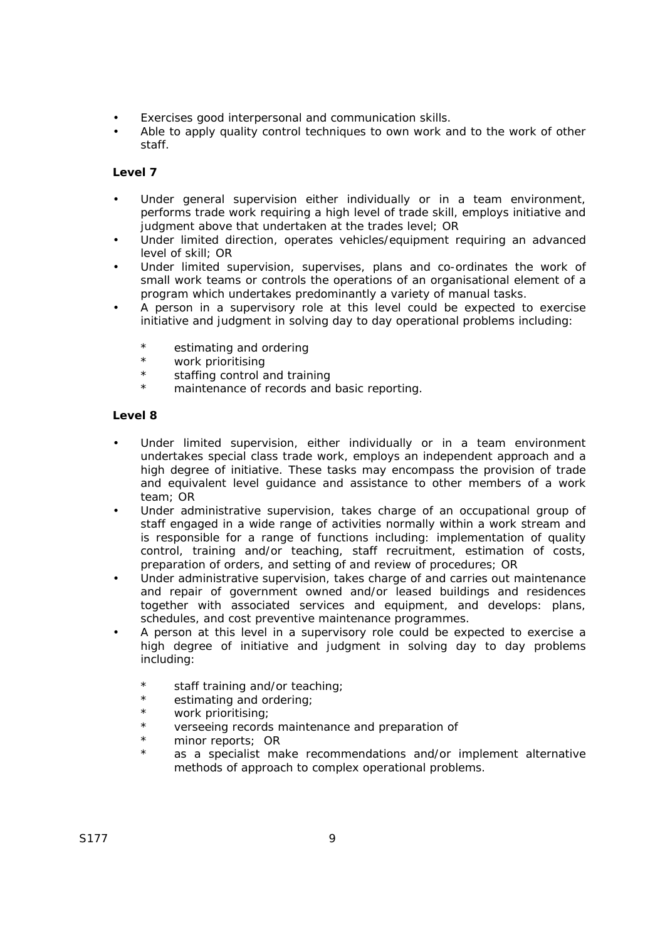- Exercises good interpersonal and communication skills.
- Able to apply quality control techniques to own work and to the work of other staff.

## **Level 7**

- Under general supervision either individually or in a team environment, performs trade work requiring a high level of trade skill, employs initiative and judgment above that undertaken at the trades level; OR
- Under limited direction, operates vehicles/equipment requiring an advanced level of skill; OR
- Under limited supervision, supervises, plans and co-ordinates the work of small work teams or controls the operations of an organisational element of a program which undertakes predominantly a variety of manual tasks.
- A person in a supervisory role at this level could be expected to exercise initiative and judgment in solving day to day operational problems including:
	- \* estimating and ordering
	- \* work prioritising
	- \* staffing control and training
	- maintenance of records and basic reporting.

- Under limited supervision, either individually or in a team environment undertakes special class trade work, employs an independent approach and a high degree of initiative. These tasks may encompass the provision of trade and equivalent level guidance and assistance to other members of a work team; OR
- Under administrative supervision, takes charge of an occupational group of staff engaged in a wide range of activities normally within a work stream and is responsible for a range of functions including: implementation of quality control, training and/or teaching, staff recruitment, estimation of costs, preparation of orders, and setting of and review of procedures; OR
- Under administrative supervision, takes charge of and carries out maintenance and repair of government owned and/or leased buildings and residences together with associated services and equipment, and develops: plans, schedules, and cost preventive maintenance programmes.
- A person at this level in a supervisory role could be expected to exercise a high degree of initiative and judgment in solving day to day problems including:
	- \* staff training and/or teaching;
	- \* estimating and ordering;<br>\*  $W$  work prioritising:
	- \* work prioritising;<br>\* verseeing records
	- \* verseeing records maintenance and preparation of<br>\* minor reports: OR
	- minor reports; OR
	- as a specialist make recommendations and/or implement alternative methods of approach to complex operational problems.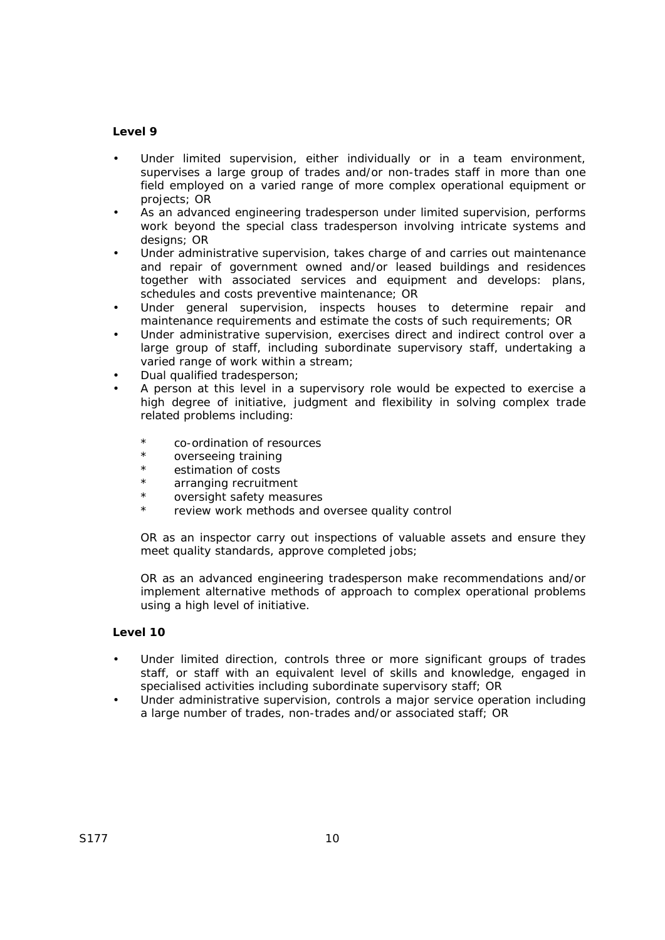### **Level 9**

- Under limited supervision, either individually or in a team environment, supervises a large group of trades and/or non-trades staff in more than one field employed on a varied range of more complex operational equipment or projects; OR
- As an advanced engineering tradesperson under limited supervision, performs work beyond the special class tradesperson involving intricate systems and designs: OR
- Under administrative supervision, takes charge of and carries out maintenance and repair of government owned and/or leased buildings and residences together with associated services and equipment and develops: plans, schedules and costs preventive maintenance; OR
- Under general supervision, inspects houses to determine repair and maintenance requirements and estimate the costs of such requirements; OR
- Under administrative supervision, exercises direct and indirect control over a large group of staff, including subordinate supervisory staff, undertaking a varied range of work within a stream;
- Dual qualified tradesperson;
- A person at this level in a supervisory role would be expected to exercise a high degree of initiative, judgment and flexibility in solving complex trade related problems including:
	- co-ordination of resources
	- \* overseeing training<br>\* astimation of costs
	- \* estimation of costs
	- arranging recruitment
	- oversight safety measures
	- \* review work methods and oversee quality control

OR as an inspector carry out inspections of valuable assets and ensure they meet quality standards, approve completed jobs;

OR as an advanced engineering tradesperson make recommendations and/or implement alternative methods of approach to complex operational problems using a high level of initiative.

- Under limited direction, controls three or more significant groups of trades staff, or staff with an equivalent level of skills and knowledge, engaged in specialised activities including subordinate supervisory staff; OR
- Under administrative supervision, controls a major service operation including a large number of trades, non-trades and/or associated staff; OR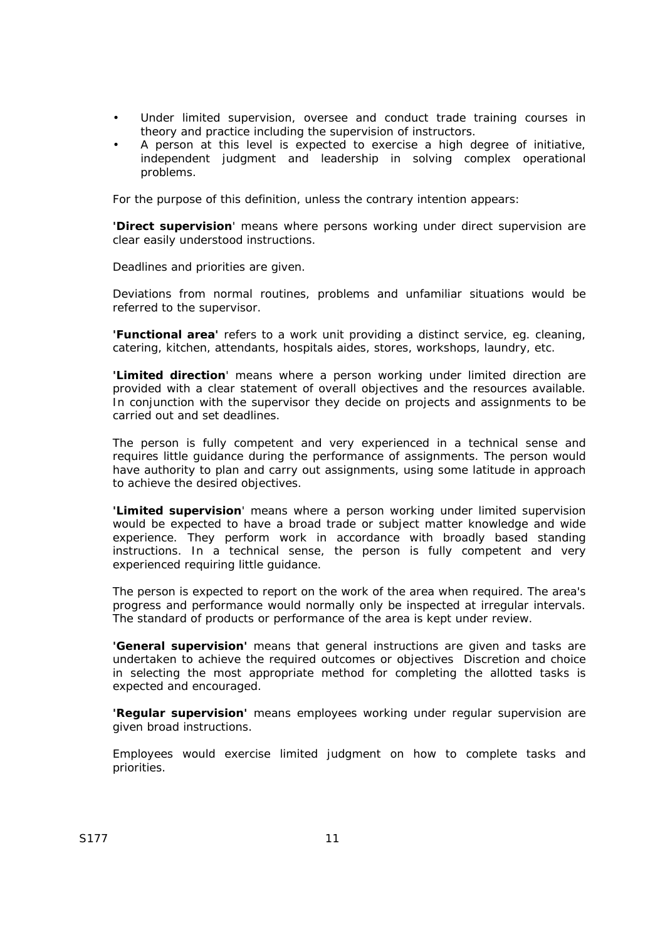- Under limited supervision, oversee and conduct trade training courses in theory and practice including the supervision of instructors.
- A person at this level is expected to exercise a high degree of initiative, independent judgment and leadership in solving complex operational problems.

For the purpose of this definition, unless the contrary intention appears:

**'Direct supervision**' means where persons working under direct supervision are clear easily understood instructions.

Deadlines and priorities are given.

Deviations from normal routines, problems and unfamiliar situations would be referred to the supervisor.

**'Functional area'** refers to a work unit providing a distinct service, eg. cleaning, catering, kitchen, attendants, hospitals aides, stores, workshops, laundry, etc.

**'Limited direction**' means where a person working under limited direction are provided with a clear statement of overall objectives and the resources available. In conjunction with the supervisor they decide on projects and assignments to be carried out and set deadlines.

The person is fully competent and very experienced in a technical sense and requires little guidance during the performance of assignments. The person would have authority to plan and carry out assignments, using some latitude in approach to achieve the desired objectives.

**'Limited supervision**' means where a person working under limited supervision would be expected to have a broad trade or subject matter knowledge and wide experience. They perform work in accordance with broadly based standing instructions. In a technical sense, the person is fully competent and very experienced requiring little guidance.

The person is expected to report on the work of the area when required. The area's progress and performance would normally only be inspected at irregular intervals. The standard of products or performance of the area is kept under review.

**'General supervision'** means that general instructions are given and tasks are undertaken to achieve the required outcomes or objectives Discretion and choice in selecting the most appropriate method for completing the allotted tasks is expected and encouraged.

**'Regular supervision'** means employees working under regular supervision are given broad instructions.

Employees would exercise limited judgment on how to complete tasks and priorities.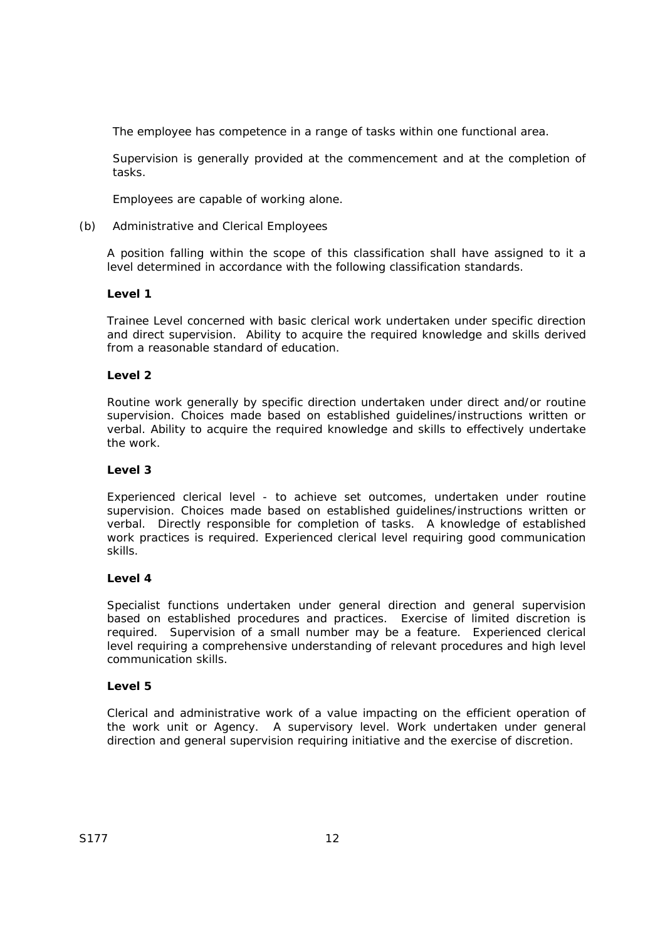The employee has competence in a range of tasks within one functional area.

Supervision is generally provided at the commencement and at the completion of tasks.

Employees are capable of working alone.

## (b) Administrative and Clerical Employees

A position falling within the scope of this classification shall have assigned to it a level determined in accordance with the following classification standards.

## **Level 1**

Trainee Level concerned with basic clerical work undertaken under specific direction and direct supervision. Ability to acquire the required knowledge and skills derived from a reasonable standard of education.

## **Level 2**

Routine work generally by specific direction undertaken under direct and/or routine supervision. Choices made based on established guidelines/instructions written or verbal. Ability to acquire the required knowledge and skills to effectively undertake the work.

### **Level 3**

Experienced clerical level - to achieve set outcomes, undertaken under routine supervision. Choices made based on established guidelines/instructions written or verbal. Directly responsible for completion of tasks. A knowledge of established work practices is required. Experienced clerical level requiring good communication skills.

### **Level 4**

Specialist functions undertaken under general direction and general supervision based on established procedures and practices. Exercise of limited discretion is required. Supervision of a small number may be a feature. Experienced clerical level requiring a comprehensive understanding of relevant procedures and high level communication skills.

### **Level 5**

Clerical and administrative work of a value impacting on the efficient operation of the work unit or Agency. A supervisory level. Work undertaken under general direction and general supervision requiring initiative and the exercise of discretion.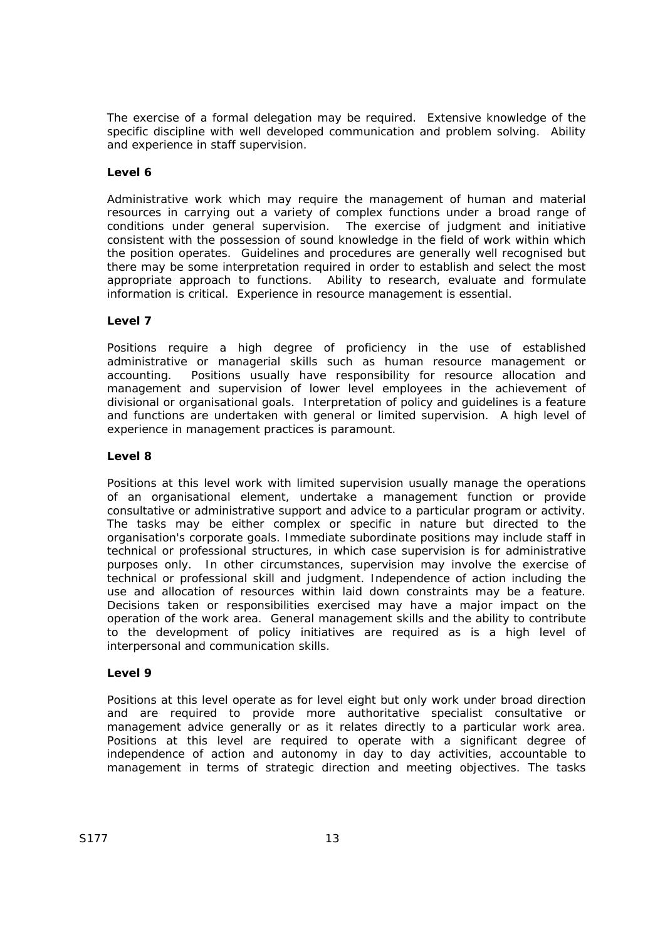The exercise of a formal delegation may be required. Extensive knowledge of the specific discipline with well developed communication and problem solving. Ability and experience in staff supervision.

### **Level 6**

Administrative work which may require the management of human and material resources in carrying out a variety of complex functions under a broad range of conditions under general supervision. The exercise of judgment and initiative consistent with the possession of sound knowledge in the field of work within which the position operates. Guidelines and procedures are generally well recognised but there may be some interpretation required in order to establish and select the most appropriate approach to functions. Ability to research, evaluate and formulate information is critical. Experience in resource management is essential.

#### **Level 7**

Positions require a high degree of proficiency in the use of established administrative or managerial skills such as human resource management or accounting. Positions usually have responsibility for resource allocation and management and supervision of lower level employees in the achievement of divisional or organisational goals. Interpretation of policy and guidelines is a feature and functions are undertaken with general or limited supervision. A high level of experience in management practices is paramount.

#### **Level 8**

Positions at this level work with limited supervision usually manage the operations of an organisational element, undertake a management function or provide consultative or administrative support and advice to a particular program or activity. The tasks may be either complex or specific in nature but directed to the organisation's corporate goals. Immediate subordinate positions may include staff in technical or professional structures, in which case supervision is for administrative purposes only. In other circumstances, supervision may involve the exercise of technical or professional skill and judgment. Independence of action including the use and allocation of resources within laid down constraints may be a feature. Decisions taken or responsibilities exercised may have a major impact on the operation of the work area. General management skills and the ability to contribute to the development of policy initiatives are required as is a high level of interpersonal and communication skills.

#### **Level 9**

Positions at this level operate as for level eight but only work under broad direction and are required to provide more authoritative specialist consultative or management advice generally or as it relates directly to a particular work area. Positions at this level are required to operate with a significant degree of independence of action and autonomy in day to day activities, accountable to management in terms of strategic direction and meeting objectives. The tasks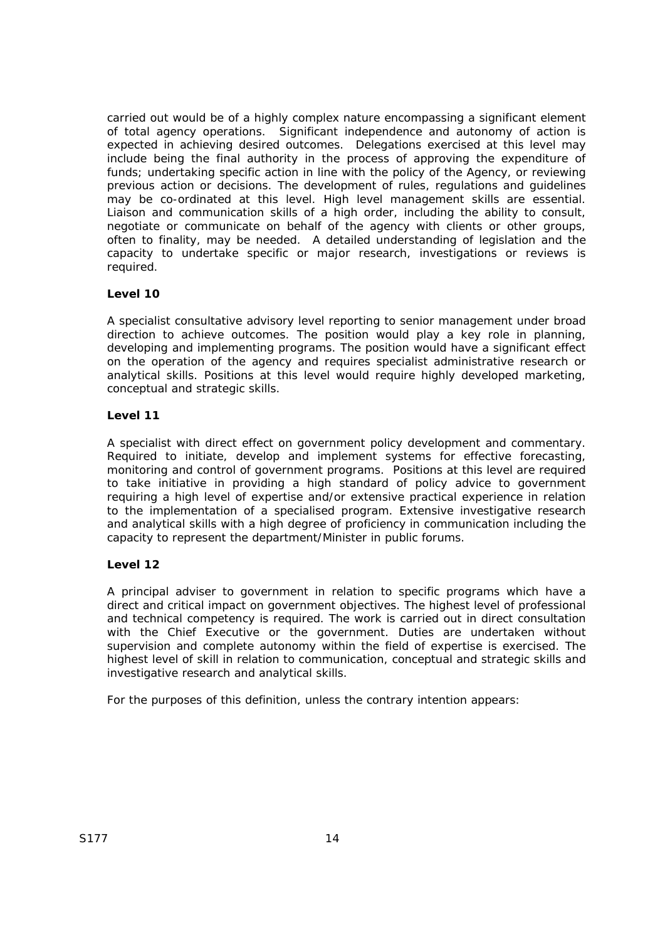carried out would be of a highly complex nature encompassing a significant element of total agency operations. Significant independence and autonomy of action is expected in achieving desired outcomes. Delegations exercised at this level may include being the final authority in the process of approving the expenditure of funds; undertaking specific action in line with the policy of the Agency, or reviewing previous action or decisions. The development of rules, regulations and guidelines may be co-ordinated at this level. High level management skills are essential. Liaison and communication skills of a high order, including the ability to consult, negotiate or communicate on behalf of the agency with clients or other groups, often to finality, may be needed. A detailed understanding of legislation and the capacity to undertake specific or major research, investigations or reviews is required.

## **Level 10**

A specialist consultative advisory level reporting to senior management under broad direction to achieve outcomes. The position would play a key role in planning, developing and implementing programs. The position would have a significant effect on the operation of the agency and requires specialist administrative research or analytical skills. Positions at this level would require highly developed marketing, conceptual and strategic skills.

### **Level 11**

A specialist with direct effect on government policy development and commentary. Required to initiate, develop and implement systems for effective forecasting, monitoring and control of government programs. Positions at this level are required to take initiative in providing a high standard of policy advice to government requiring a high level of expertise and/or extensive practical experience in relation to the implementation of a specialised program. Extensive investigative research and analytical skills with a high degree of proficiency in communication including the capacity to represent the department/Minister in public forums.

### **Level 12**

A principal adviser to government in relation to specific programs which have a direct and critical impact on government objectives. The highest level of professional and technical competency is required. The work is carried out in direct consultation with the Chief Executive or the government. Duties are undertaken without supervision and complete autonomy within the field of expertise is exercised. The highest level of skill in relation to communication, conceptual and strategic skills and investigative research and analytical skills.

For the purposes of this definition, unless the contrary intention appears: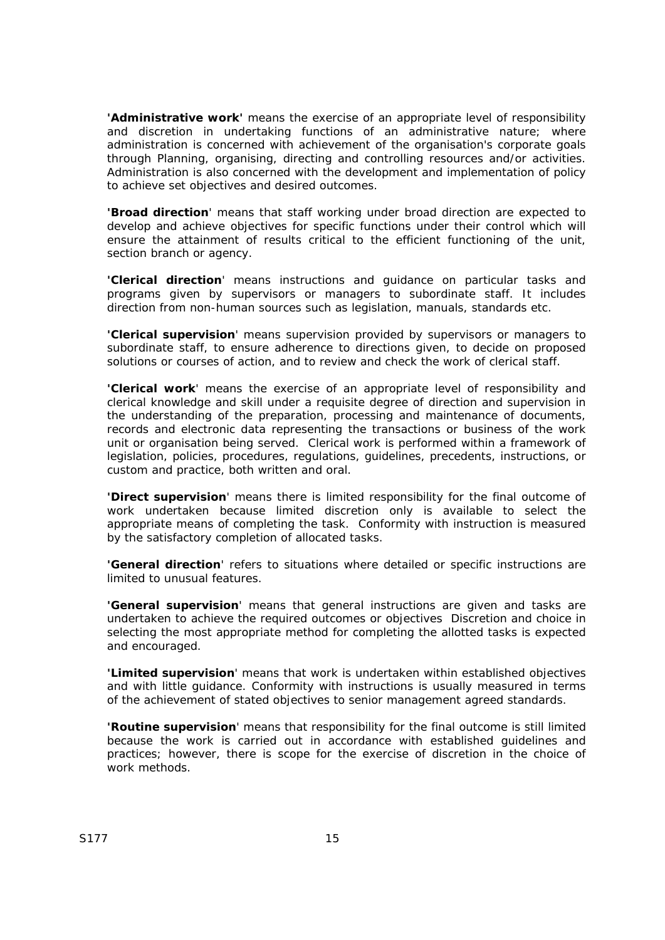**'Administrative work'** means the exercise of an appropriate level of responsibility and discretion in undertaking functions of an administrative nature; where administration is concerned with achievement of the organisation's corporate goals through Planning, organising, directing and controlling resources and/or activities. Administration is also concerned with the development and implementation of policy to achieve set objectives and desired outcomes.

**'Broad direction**' means that staff working under broad direction are expected to develop and achieve objectives for specific functions under their control which will ensure the attainment of results critical to the efficient functioning of the unit, section branch or agency.

**'Clerical direction**' means instructions and guidance on particular tasks and programs given by supervisors or managers to subordinate staff. It includes direction from non-human sources such as legislation, manuals, standards etc.

**'Clerical supervision**' means supervision provided by supervisors or managers to subordinate staff, to ensure adherence to directions given, to decide on proposed solutions or courses of action, and to review and check the work of clerical staff.

**'Clerical work**' means the exercise of an appropriate level of responsibility and clerical knowledge and skill under a requisite degree of direction and supervision in the understanding of the preparation, processing and maintenance of documents, records and electronic data representing the transactions or business of the work unit or organisation being served. Clerical work is performed within a framework of legislation, policies, procedures, regulations, guidelines, precedents, instructions, or custom and practice, both written and oral.

**'Direct supervision**' means there is limited responsibility for the final outcome of work undertaken because limited discretion only is available to select the appropriate means of completing the task. Conformity with instruction is measured by the satisfactory completion of allocated tasks.

**'General direction**' refers to situations where detailed or specific instructions are limited to unusual features.

**'General supervision**' means that general instructions are given and tasks are undertaken to achieve the required outcomes or objectives Discretion and choice in selecting the most appropriate method for completing the allotted tasks is expected and encouraged.

**'Limited supervision**' means that work is undertaken within established objectives and with little guidance. Conformity with instructions is usually measured in terms of the achievement of stated objectives to senior management agreed standards.

**'Routine supervision**' means that responsibility for the final outcome is still limited because the work is carried out in accordance with established guidelines and practices; however, there is scope for the exercise of discretion in the choice of work methods.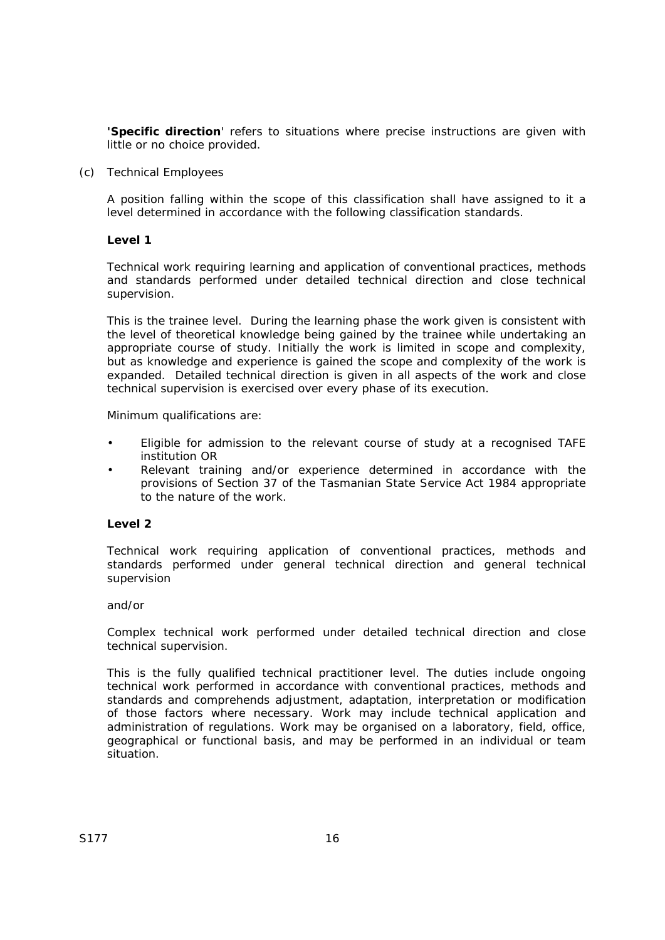**'Specific direction**' refers to situations where precise instructions are given with little or no choice provided.

(c) Technical Employees

A position falling within the scope of this classification shall have assigned to it a level determined in accordance with the following classification standards.

#### **Level 1**

Technical work requiring learning and application of conventional practices, methods and standards performed under detailed technical direction and close technical supervision.

This is the trainee level. During the learning phase the work given is consistent with the level of theoretical knowledge being gained by the trainee while undertaking an appropriate course of study. Initially the work is limited in scope and complexity, but as knowledge and experience is gained the scope and complexity of the work is expanded. Detailed technical direction is given in all aspects of the work and close technical supervision is exercised over every phase of its execution.

Minimum qualifications are:

- Eligible for admission to the relevant course of study at a recognised TAFE institution OR
- Relevant training and/or experience determined in accordance with the provisions of Section 37 of the Tasmanian *State Service Act 1984* appropriate to the nature of the work.

### **Level 2**

Technical work requiring application of conventional practices, methods and standards performed under general technical direction and general technical supervision

#### and/or

Complex technical work performed under detailed technical direction and close technical supervision.

This is the fully qualified technical practitioner level. The duties include ongoing technical work performed in accordance with conventional practices, methods and standards and comprehends adjustment, adaptation, interpretation or modification of those factors where necessary. Work may include technical application and administration of regulations. Work may be organised on a laboratory, field, office, geographical or functional basis, and may be performed in an individual or team situation.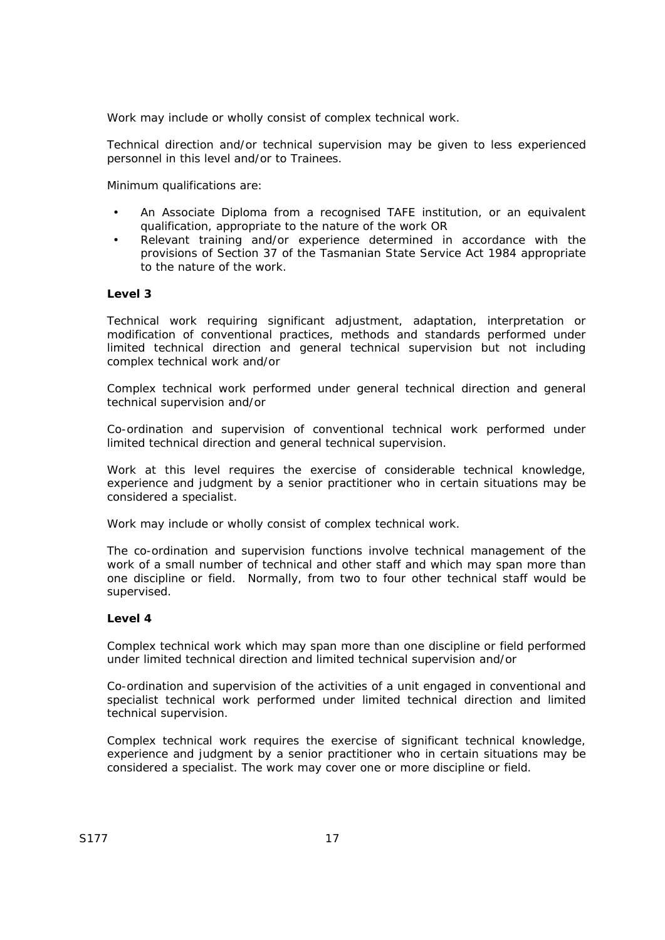Work may include or wholly consist of complex technical work.

Technical direction and/or technical supervision may be given to less experienced personnel in this level and/or to Trainees.

Minimum qualifications are:

- An Associate Diploma from a recognised TAFE institution, or an equivalent qualification, appropriate to the nature of the work OR
- Relevant training and/or experience determined in accordance with the provisions of Section 37 of the *Tasmanian State Service Act 1984* appropriate to the nature of the work.

### **Level 3**

Technical work requiring significant adjustment, adaptation, interpretation or modification of conventional practices, methods and standards performed under limited technical direction and general technical supervision but not including complex technical work and/or

Complex technical work performed under general technical direction and general technical supervision and/or

Co-ordination and supervision of conventional technical work performed under limited technical direction and general technical supervision.

Work at this level requires the exercise of considerable technical knowledge, experience and judgment by a senior practitioner who in certain situations may be considered a specialist.

Work may include or wholly consist of complex technical work.

The co-ordination and supervision functions involve technical management of the work of a small number of technical and other staff and which may span more than one discipline or field. Normally, from two to four other technical staff would be supervised.

#### **Level 4**

Complex technical work which may span more than one discipline or field performed under limited technical direction and limited technical supervision and/or

Co-ordination and supervision of the activities of a unit engaged in conventional and specialist technical work performed under limited technical direction and limited technical supervision.

Complex technical work requires the exercise of significant technical knowledge, experience and judgment by a senior practitioner who in certain situations may be considered a specialist. The work may cover one or more discipline or field.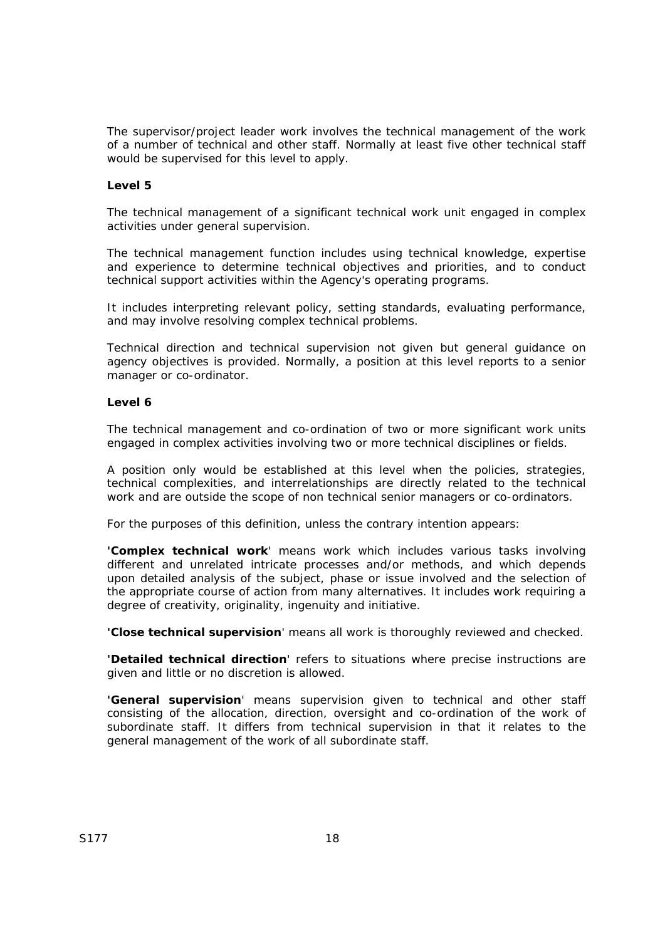The supervisor/project leader work involves the technical management of the work of a number of technical and other staff. Normally at least five other technical staff would be supervised for this level to apply.

### **Level 5**

The technical management of a significant technical work unit engaged in complex activities under general supervision.

The technical management function includes using technical knowledge, expertise and experience to determine technical objectives and priorities, and to conduct technical support activities within the Agency's operating programs.

It includes interpreting relevant policy, setting standards, evaluating performance, and may involve resolving complex technical problems.

Technical direction and technical supervision not given but general guidance on agency objectives is provided. Normally, a position at this level reports to a senior manager or co-ordinator.

#### **Level 6**

The technical management and co-ordination of two or more significant work units engaged in complex activities involving two or more technical disciplines or fields.

A position only would be established at this level when the policies, strategies, technical complexities, and interrelationships are directly related to the technical work and are outside the scope of non technical senior managers or co-ordinators.

For the purposes of this definition, unless the contrary intention appears:

**'Complex technical work**' means work which includes various tasks involving different and unrelated intricate processes and/or methods, and which depends upon detailed analysis of the subject, phase or issue involved and the selection of the appropriate course of action from many alternatives. It includes work requiring a degree of creativity, originality, ingenuity and initiative.

**'Close technical supervision**' means all work is thoroughly reviewed and checked.

**'Detailed technical direction**' refers to situations where precise instructions are given and little or no discretion is allowed.

**'General supervision**' means supervision given to technical and other staff consisting of the allocation, direction, oversight and co-ordination of the work of subordinate staff. It differs from technical supervision in that it relates to the general management of the work of all subordinate staff.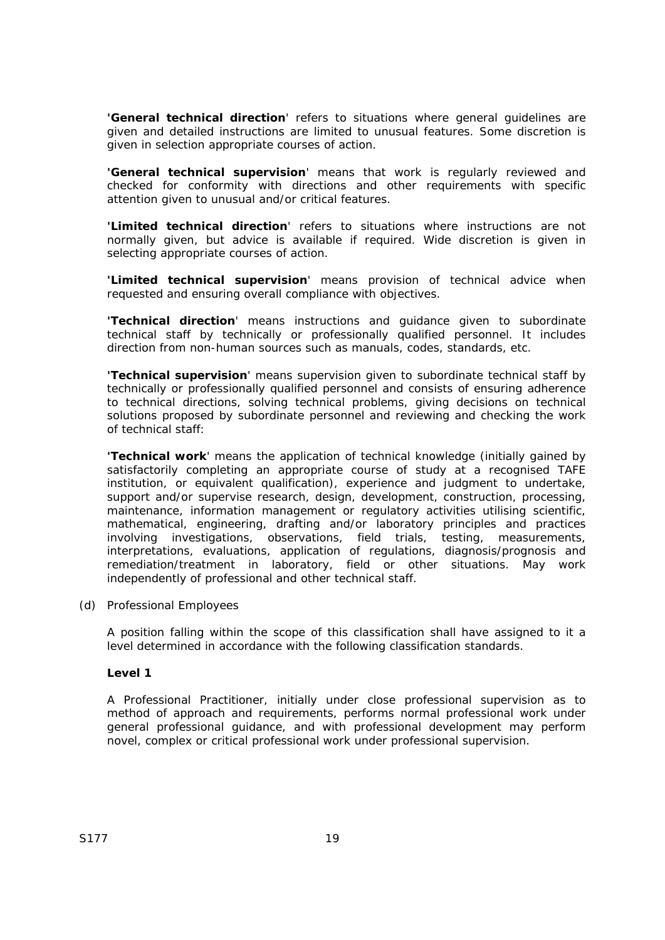**'General technical direction**' refers to situations where general guidelines are given and detailed instructions are limited to unusual features. Some discretion is given in selection appropriate courses of action.

**'General technical supervision**' means that work is regularly reviewed and checked for conformity with directions and other requirements with specific attention given to unusual and/or critical features.

**'Limited technical direction**' refers to situations where instructions are not normally given, but advice is available if required. Wide discretion is given in selecting appropriate courses of action.

**'Limited technical supervision**' means provision of technical advice when requested and ensuring overall compliance with objectives.

**'Technical direction**' means instructions and guidance given to subordinate technical staff by technically or professionally qualified personnel. It includes direction from non-human sources such as manuals, codes, standards, etc.

**'Technical supervision**' means supervision given to subordinate technical staff by technically or professionally qualified personnel and consists of ensuring adherence to technical directions, solving technical problems, giving decisions on technical solutions proposed by subordinate personnel and reviewing and checking the work of technical staff:

**'Technical work**' means the application of technical knowledge (initially gained by satisfactorily completing an appropriate course of study at a recognised TAFE institution, or equivalent qualification), experience and judgment to undertake, support and/or supervise research, design, development, construction, processing, maintenance, information management or regulatory activities utilising scientific, mathematical, engineering, drafting and/or laboratory principles and practices involving investigations, observations, field trials, testing, measurements, interpretations, evaluations, application of regulations, diagnosis/prognosis and remediation/treatment in laboratory, field or other situations. May work independently of professional and other technical staff.

(d) Professional Employees

A position falling within the scope of this classification shall have assigned to it a level determined in accordance with the following classification standards.

#### **Level 1**

A Professional Practitioner, initially under close professional supervision as to method of approach and requirements, performs normal professional work under general professional guidance, and with professional development may perform novel, complex or critical professional work under professional supervision.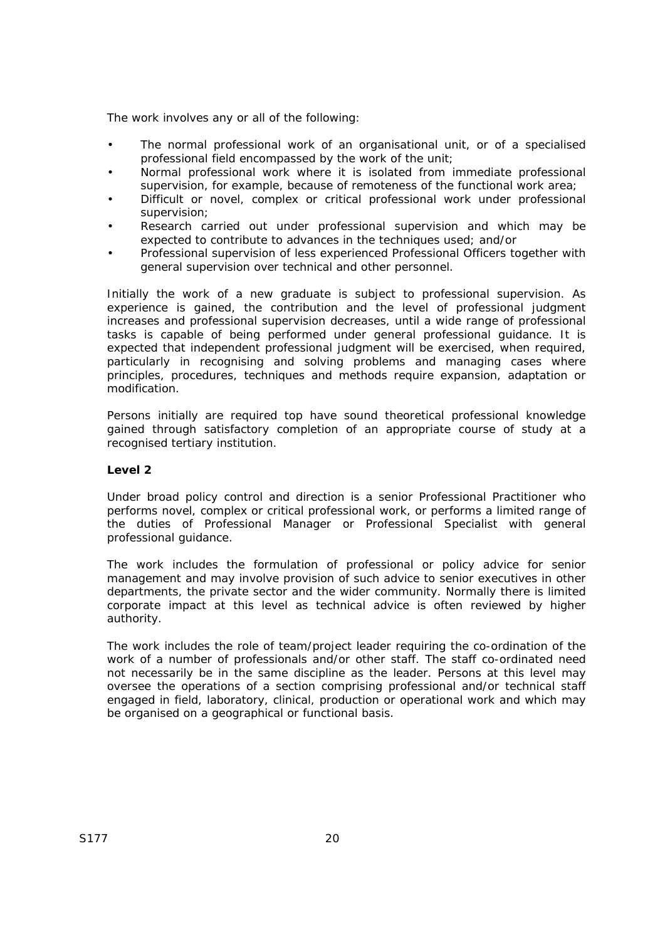The work involves any or all of the following:

- The normal professional work of an organisational unit, or of a specialised professional field encompassed by the work of the unit;
- Normal professional work where it is isolated from immediate professional supervision, for example, because of remoteness of the functional work area;
- Difficult or novel, complex or critical professional work under professional supervision;
- Research carried out under professional supervision and which may be expected to contribute to advances in the techniques used; and/or
- Professional supervision of less experienced Professional Officers together with general supervision over technical and other personnel.

Initially the work of a new graduate is subject to professional supervision. As experience is gained, the contribution and the level of professional judgment increases and professional supervision decreases, until a wide range of professional tasks is capable of being performed under general professional guidance. It is expected that independent professional judgment will be exercised, when required, particularly in recognising and solving problems and managing cases where principles, procedures, techniques and methods require expansion, adaptation or modification.

Persons initially are required top have sound theoretical professional knowledge gained through satisfactory completion of an appropriate course of study at a recognised tertiary institution.

#### **Level 2**

Under broad policy control and direction is a senior Professional Practitioner who performs novel, complex or critical professional work, or performs a limited range of the duties of Professional Manager or Professional Specialist with general professional guidance.

The work includes the formulation of professional or policy advice for senior management and may involve provision of such advice to senior executives in other departments, the private sector and the wider community. Normally there is limited corporate impact at this level as technical advice is often reviewed by higher authority.

The work includes the role of team/project leader requiring the co-ordination of the work of a number of professionals and/or other staff. The staff co-ordinated need not necessarily be in the same discipline as the leader. Persons at this level may oversee the operations of a section comprising professional and/or technical staff engaged in field, laboratory, clinical, production or operational work and which may be organised on a geographical or functional basis.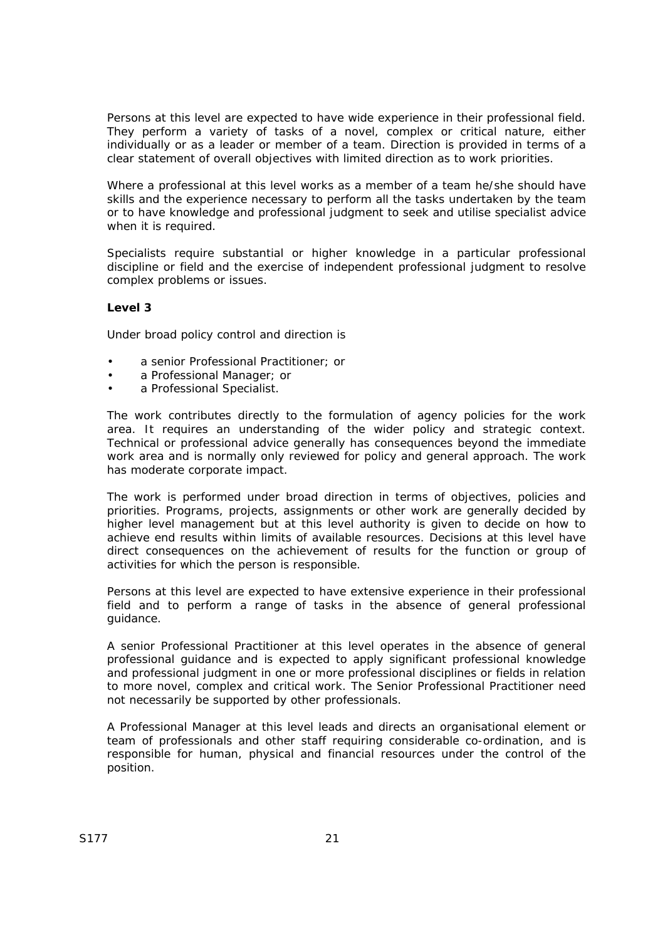Persons at this level are expected to have wide experience in their professional field. They perform a variety of tasks of a novel, complex or critical nature, either individually or as a leader or member of a team. Direction is provided in terms of a clear statement of overall objectives with limited direction as to work priorities.

Where a professional at this level works as a member of a team he/she should have skills and the experience necessary to perform all the tasks undertaken by the team or to have knowledge and professional judgment to seek and utilise specialist advice when it is required.

Specialists require substantial or higher knowledge in a particular professional discipline or field and the exercise of independent professional judgment to resolve complex problems or issues.

### **Level 3**

Under broad policy control and direction is

- a senior Professional Practitioner; or
- a Professional Manager; or
- a Professional Specialist.

The work contributes directly to the formulation of agency policies for the work area. It requires an understanding of the wider policy and strategic context. Technical or professional advice generally has consequences beyond the immediate work area and is normally only reviewed for policy and general approach. The work has moderate corporate impact.

The work is performed under broad direction in terms of objectives, policies and priorities. Programs, projects, assignments or other work are generally decided by higher level management but at this level authority is given to decide on how to achieve end results within limits of available resources. Decisions at this level have direct consequences on the achievement of results for the function or group of activities for which the person is responsible.

Persons at this level are expected to have extensive experience in their professional field and to perform a range of tasks in the absence of general professional guidance.

A senior Professional Practitioner at this level operates in the absence of general professional guidance and is expected to apply significant professional knowledge and professional judgment in one or more professional disciplines or fields in relation to more novel, complex and critical work. The Senior Professional Practitioner need not necessarily be supported by other professionals.

A Professional Manager at this level leads and directs an organisational element or team of professionals and other staff requiring considerable co-ordination, and is responsible for human, physical and financial resources under the control of the position.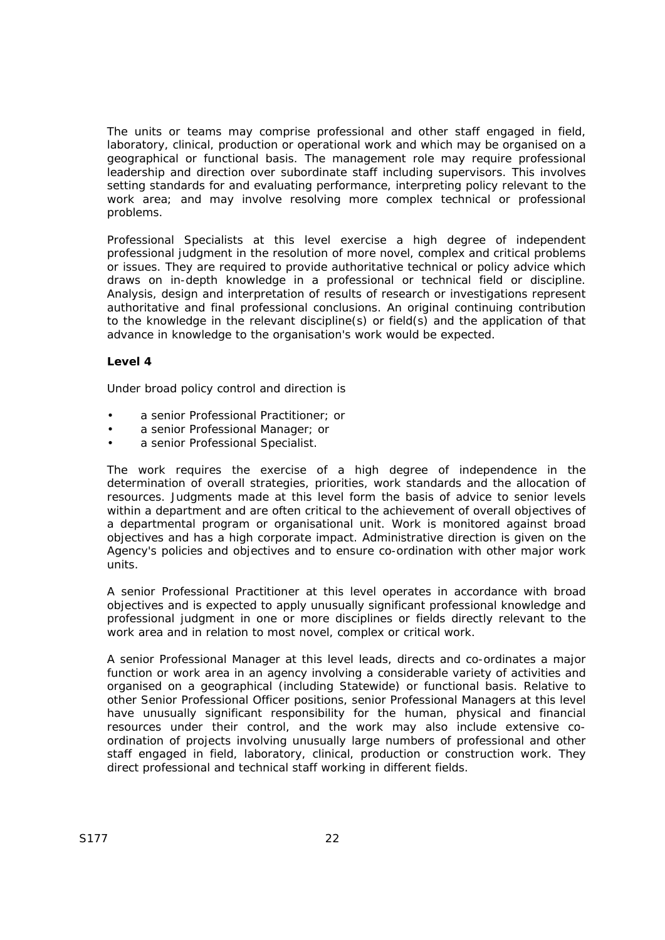The units or teams may comprise professional and other staff engaged in field, laboratory, clinical, production or operational work and which may be organised on a geographical or functional basis. The management role may require professional leadership and direction over subordinate staff including supervisors. This involves setting standards for and evaluating performance, interpreting policy relevant to the work area; and may involve resolving more complex technical or professional problems.

Professional Specialists at this level exercise a high degree of independent professional judgment in the resolution of more novel, complex and critical problems or issues. They are required to provide authoritative technical or policy advice which draws on in-depth knowledge in a professional or technical field or discipline. Analysis, design and interpretation of results of research or investigations represent authoritative and final professional conclusions. An original continuing contribution to the knowledge in the relevant discipline(s) or field(s) and the application of that advance in knowledge to the organisation's work would be expected.

## **Level 4**

Under broad policy control and direction is

- a senior Professional Practitioner; or
- a senior Professional Manager; or
- a senior Professional Specialist.

The work requires the exercise of a high degree of independence in the determination of overall strategies, priorities, work standards and the allocation of resources. Judgments made at this level form the basis of advice to senior levels within a department and are often critical to the achievement of overall objectives of a departmental program or organisational unit. Work is monitored against broad objectives and has a high corporate impact. Administrative direction is given on the Agency's policies and objectives and to ensure co-ordination with other major work units.

A senior Professional Practitioner at this level operates in accordance with broad objectives and is expected to apply unusually significant professional knowledge and professional judgment in one or more disciplines or fields directly relevant to the work area and in relation to most novel, complex or critical work.

A senior Professional Manager at this level leads, directs and co-ordinates a major function or work area in an agency involving a considerable variety of activities and organised on a geographical (including Statewide) or functional basis. Relative to other Senior Professional Officer positions, senior Professional Managers at this level have unusually significant responsibility for the human, physical and financial resources under their control, and the work may also include extensive coordination of projects involving unusually large numbers of professional and other staff engaged in field, laboratory, clinical, production or construction work. They direct professional and technical staff working in different fields.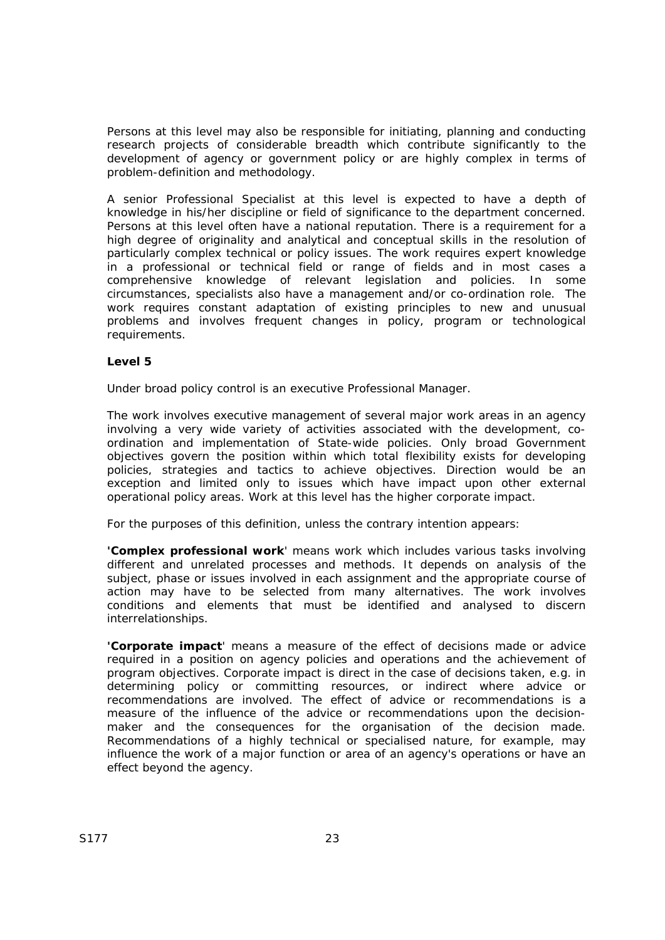Persons at this level may also be responsible for initiating, planning and conducting research projects of considerable breadth which contribute significantly to the development of agency or government policy or are highly complex in terms of problem-definition and methodology.

A senior Professional Specialist at this level is expected to have a depth of knowledge in his/her discipline or field of significance to the department concerned. Persons at this level often have a national reputation. There is a requirement for a high degree of originality and analytical and conceptual skills in the resolution of particularly complex technical or policy issues. The work requires expert knowledge in a professional or technical field or range of fields and in most cases a comprehensive knowledge of relevant legislation and policies. In some circumstances, specialists also have a management and/or co-ordination role. The work requires constant adaptation of existing principles to new and unusual problems and involves frequent changes in policy, program or technological requirements.

## **Level 5**

Under broad policy control is an executive Professional Manager.

The work involves executive management of several major work areas in an agency involving a very wide variety of activities associated with the development, coordination and implementation of State-wide policies. Only broad Government objectives govern the position within which total flexibility exists for developing policies, strategies and tactics to achieve objectives. Direction would be an exception and limited only to issues which have impact upon other external operational policy areas. Work at this level has the higher corporate impact.

For the purposes of this definition, unless the contrary intention appears:

**'Complex professional work**' means work which includes various tasks involving different and unrelated processes and methods. It depends on analysis of the subject, phase or issues involved in each assignment and the appropriate course of action may have to be selected from many alternatives. The work involves conditions and elements that must be identified and analysed to discern interrelationships.

**'Corporate impact**' means a measure of the effect of decisions made or advice required in a position on agency policies and operations and the achievement of program objectives. Corporate impact is direct in the case of decisions taken, e.g. in determining policy or committing resources, or indirect where advice or recommendations are involved. The effect of advice or recommendations is a measure of the influence of the advice or recommendations upon the decisionmaker and the consequences for the organisation of the decision made. Recommendations of a highly technical or specialised nature, for example, may influence the work of a major function or area of an agency's operations or have an effect beyond the agency.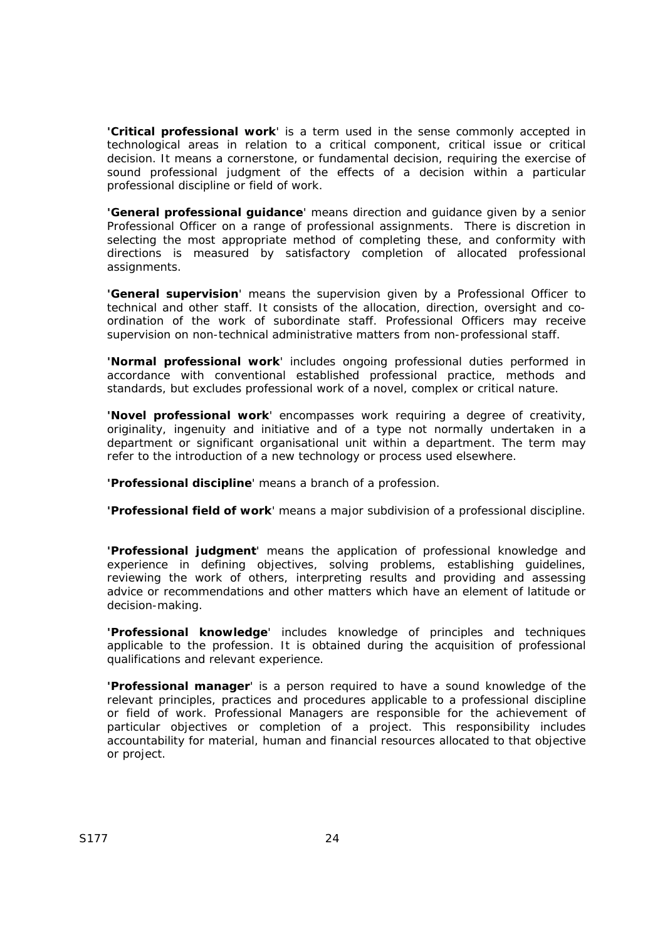**'Critical professional work**' is a term used in the sense commonly accepted in technological areas in relation to a critical component, critical issue or critical decision. It means a cornerstone, or fundamental decision, requiring the exercise of sound professional judgment of the effects of a decision within a particular professional discipline or field of work.

**'General professional guidance**' means direction and guidance given by a senior Professional Officer on a range of professional assignments. There is discretion in selecting the most appropriate method of completing these, and conformity with directions is measured by satisfactory completion of allocated professional assignments.

**'General supervision**' means the supervision given by a Professional Officer to technical and other staff. It consists of the allocation, direction, oversight and coordination of the work of subordinate staff. Professional Officers may receive supervision on non-technical administrative matters from non-professional staff.

**'Normal professional work**' includes ongoing professional duties performed in accordance with conventional established professional practice, methods and standards, but excludes professional work of a novel, complex or critical nature.

**'Novel professional work**' encompasses work requiring a degree of creativity, originality, ingenuity and initiative and of a type not normally undertaken in a department or significant organisational unit within a department. The term may refer to the introduction of a new technology or process used elsewhere.

**'Professional discipline**' means a branch of a profession.

**'Professional field of work**' means a major subdivision of a professional discipline.

**'Professional judgment**' means the application of professional knowledge and experience in defining objectives, solving problems, establishing guidelines, reviewing the work of others, interpreting results and providing and assessing advice or recommendations and other matters which have an element of latitude or decision-making.

**'Professional knowledge**' includes knowledge of principles and techniques applicable to the profession. It is obtained during the acquisition of professional qualifications and relevant experience.

**'Professional manager**' is a person required to have a sound knowledge of the relevant principles, practices and procedures applicable to a professional discipline or field of work. Professional Managers are responsible for the achievement of particular objectives or completion of a project. This responsibility includes accountability for material, human and financial resources allocated to that objective or project.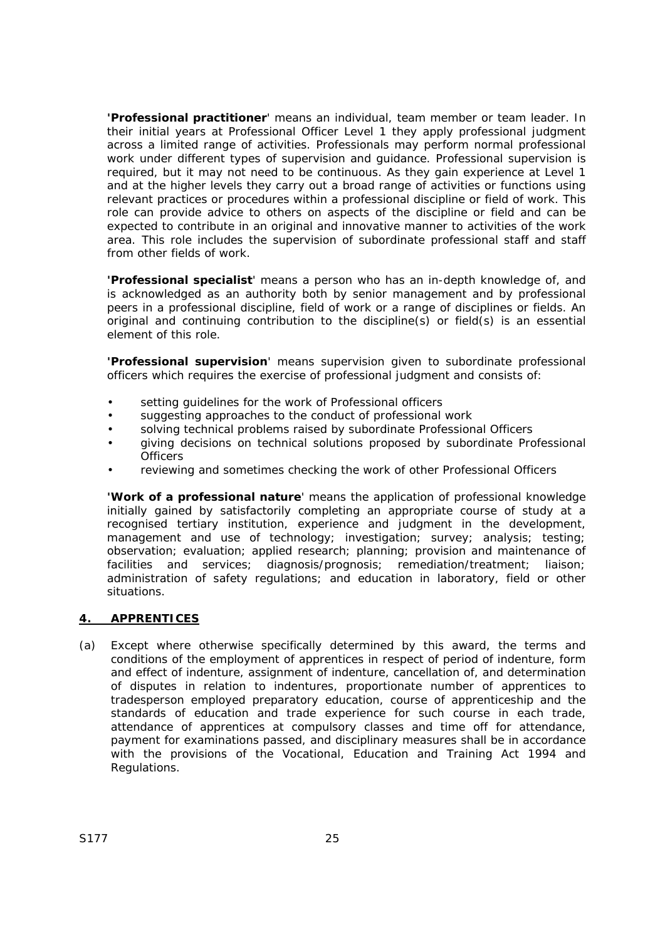**'Professional practitioner**' means an individual, team member or team leader. In their initial years at Professional Officer Level 1 they apply professional judgment across a limited range of activities. Professionals may perform normal professional work under different types of supervision and guidance. Professional supervision is required, but it may not need to be continuous. As they gain experience at Level 1 and at the higher levels they carry out a broad range of activities or functions using relevant practices or procedures within a professional discipline or field of work. This role can provide advice to others on aspects of the discipline or field and can be expected to contribute in an original and innovative manner to activities of the work area. This role includes the supervision of subordinate professional staff and staff from other fields of work.

**'Professional specialist**' means a person who has an in-depth knowledge of, and is acknowledged as an authority both by senior management and by professional peers in a professional discipline, field of work or a range of disciplines or fields. An original and continuing contribution to the discipline(s) or field(s) is an essential element of this role.

**'Professional supervision**' means supervision given to subordinate professional officers which requires the exercise of professional judgment and consists of:

- setting quidelines for the work of Professional officers
- suggesting approaches to the conduct of professional work
- solving technical problems raised by subordinate Professional Officers
- giving decisions on technical solutions proposed by subordinate Professional **Officers**
- reviewing and sometimes checking the work of other Professional Officers

**'Work of a professional nature**' means the application of professional knowledge initially gained by satisfactorily completing an appropriate course of study at a recognised tertiary institution, experience and judgment in the development, management and use of technology; investigation; survey; analysis; testing; observation; evaluation; applied research; planning; provision and maintenance of facilities and services; diagnosis/prognosis; remediation/treatment; liaison; administration of safety regulations; and education in laboratory, field or other situations.

### **4. APPRENTICES**

(a) Except where otherwise specifically determined by this award, the terms and conditions of the employment of apprentices in respect of period of indenture, form and effect of indenture, assignment of indenture, cancellation of, and determination of disputes in relation to indentures, proportionate number of apprentices to tradesperson employed preparatory education, course of apprenticeship and the standards of education and trade experience for such course in each trade, attendance of apprentices at compulsory classes and time off for attendance, payment for examinations passed, and disciplinary measures shall be in accordance with the provisions of the *Vocational, Education and Training Act 1994* and Regulations.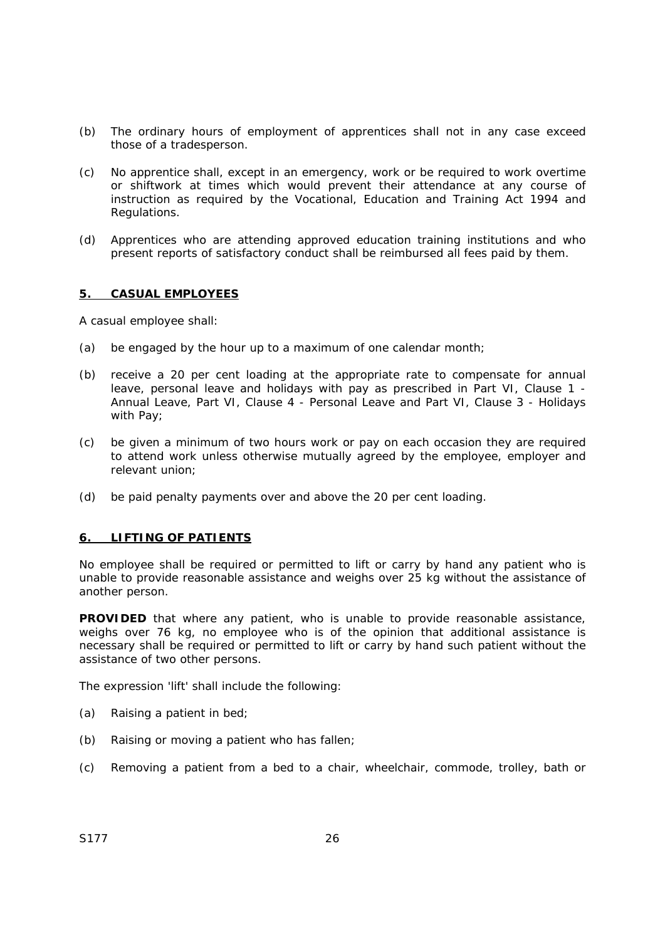- (b) The ordinary hours of employment of apprentices shall not in any case exceed those of a tradesperson.
- (c) No apprentice shall, except in an emergency, work or be required to work overtime or shiftwork at times which would prevent their attendance at any course of instruction as required by the *Vocational, Education and Training Act 1994* and Regulations.
- (d) Apprentices who are attending approved education training institutions and who present reports of satisfactory conduct shall be reimbursed all fees paid by them.

#### **5. CASUAL EMPLOYEES**

A casual employee shall:

- (a) be engaged by the hour up to a maximum of one calendar month;
- (b) receive a 20 per cent loading at the appropriate rate to compensate for annual leave, personal leave and holidays with pay as prescribed in Part VI, Clause 1 - Annual Leave, Part VI, Clause 4 - Personal Leave and Part VI, Clause 3 - Holidays with Pay;
- (c) be given a minimum of two hours work or pay on each occasion they are required to attend work unless otherwise mutually agreed by the employee, employer and relevant union;
- (d) be paid penalty payments over and above the 20 per cent loading.

### **6. LIFTING OF PATIENTS**

No employee shall be required or permitted to lift or carry by hand any patient who is unable to provide reasonable assistance and weighs over 25 kg without the assistance of another person.

**PROVIDED** that where any patient, who is unable to provide reasonable assistance, weighs over 76 kg, no employee who is of the opinion that additional assistance is necessary shall be required or permitted to lift or carry by hand such patient without the assistance of two other persons.

The expression 'lift' shall include the following:

- (a) Raising a patient in bed;
- (b) Raising or moving a patient who has fallen;
- (c) Removing a patient from a bed to a chair, wheelchair, commode, trolley, bath or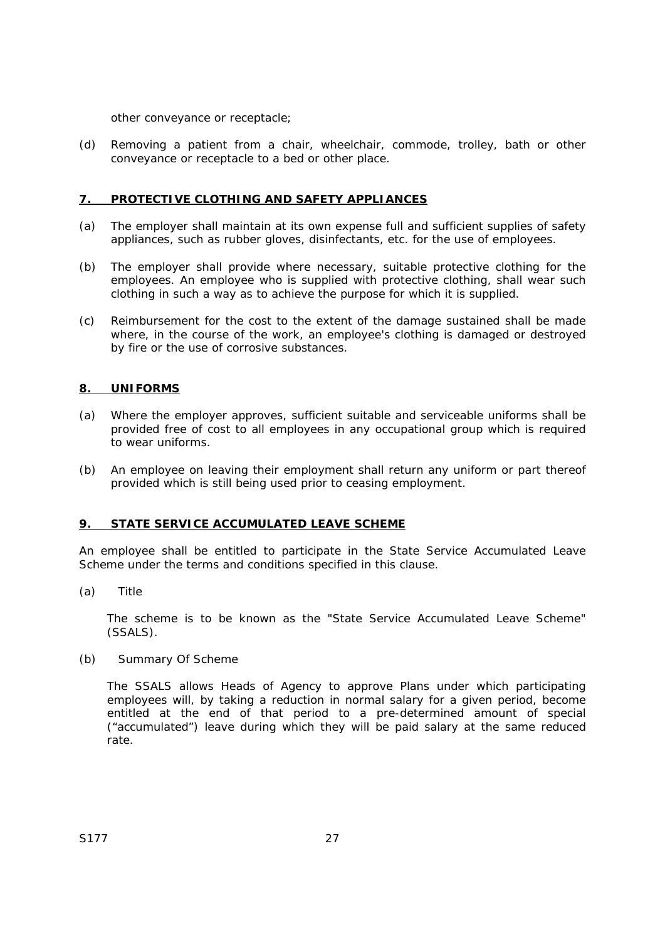other conveyance or receptacle;

(d) Removing a patient from a chair, wheelchair, commode, trolley, bath or other conveyance or receptacle to a bed or other place.

#### **7. PROTECTIVE CLOTHING AND SAFETY APPLIANCES**

- (a) The employer shall maintain at its own expense full and sufficient supplies of safety appliances, such as rubber gloves, disinfectants, etc. for the use of employees.
- (b) The employer shall provide where necessary, suitable protective clothing for the employees. An employee who is supplied with protective clothing, shall wear such clothing in such a way as to achieve the purpose for which it is supplied.
- (c) Reimbursement for the cost to the extent of the damage sustained shall be made where, in the course of the work, an employee's clothing is damaged or destroyed by fire or the use of corrosive substances.

#### **8. UNIFORMS**

- (a) Where the employer approves, sufficient suitable and serviceable uniforms shall be provided free of cost to all employees in any occupational group which is required to wear uniforms.
- (b) An employee on leaving their employment shall return any uniform or part thereof provided which is still being used prior to ceasing employment.

#### **9. STATE SERVICE ACCUMULATED LEAVE SCHEME**

An employee shall be entitled to participate in the State Service Accumulated Leave Scheme under the terms and conditions specified in this clause.

(a) Title

The scheme is to be known as the "State Service Accumulated Leave Scheme" (SSALS).

(b) Summary Of Scheme

The SSALS allows Heads of Agency to approve Plans under which participating employees will, by taking a reduction in normal salary for a given period, become entitled at the end of that period to a pre-determined amount of special ("accumulated") leave during which they will be paid salary at the same reduced rate.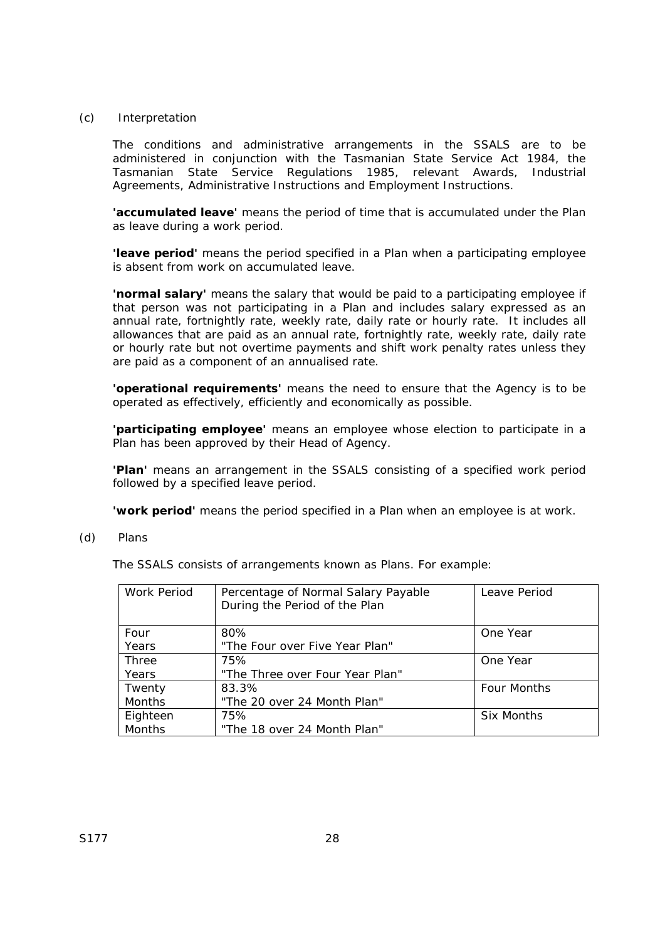#### (c) Interpretation

The conditions and administrative arrangements in the SSALS are to be administered in conjunction with the Tasmanian *State Service Act 1984*, the Tasmanian *State Service Regulations 1985*, relevant Awards, Industrial Agreements, Administrative Instructions and Employment Instructions.

**'accumulated leave'** means the period of time that is accumulated under the Plan as leave during a work period.

**'leave period'** means the period specified in a Plan when a participating employee is absent from work on accumulated leave.

**'normal salary'** means the salary that would be paid to a participating employee if that person was not participating in a Plan and includes salary expressed as an annual rate, fortnightly rate, weekly rate, daily rate or hourly rate. It includes all allowances that are paid as an annual rate, fortnightly rate, weekly rate, daily rate or hourly rate but not overtime payments and shift work penalty rates unless they are paid as a component of an annualised rate.

**'operational requirements'** means the need to ensure that the Agency is to be operated as effectively, efficiently and economically as possible.

**'participating employee'** means an employee whose election to participate in a Plan has been approved by their Head of Agency.

**'Plan'** means an arrangement in the SSALS consisting of a specified work period followed by a specified leave period.

**'work period'** means the period specified in a Plan when an employee is at work.

(d) Plans

The SSALS consists of arrangements known as Plans. For example:

| Work Period | Percentage of Normal Salary Payable<br>During the Period of the Plan | Leave Period       |
|-------------|----------------------------------------------------------------------|--------------------|
| Four        | 80%                                                                  | One Year           |
| Years       | "The Four over Five Year Plan"                                       |                    |
| Three       | 75%                                                                  | One Year           |
| Years       | "The Three over Four Year Plan"                                      |                    |
| Twenty      | 83.3%                                                                | <b>Four Months</b> |
| Months      | "The 20 over 24 Month Plan"                                          |                    |
| Eighteen    | 75%                                                                  | Six Months         |
| Months      | "The 18 over 24 Month Plan"                                          |                    |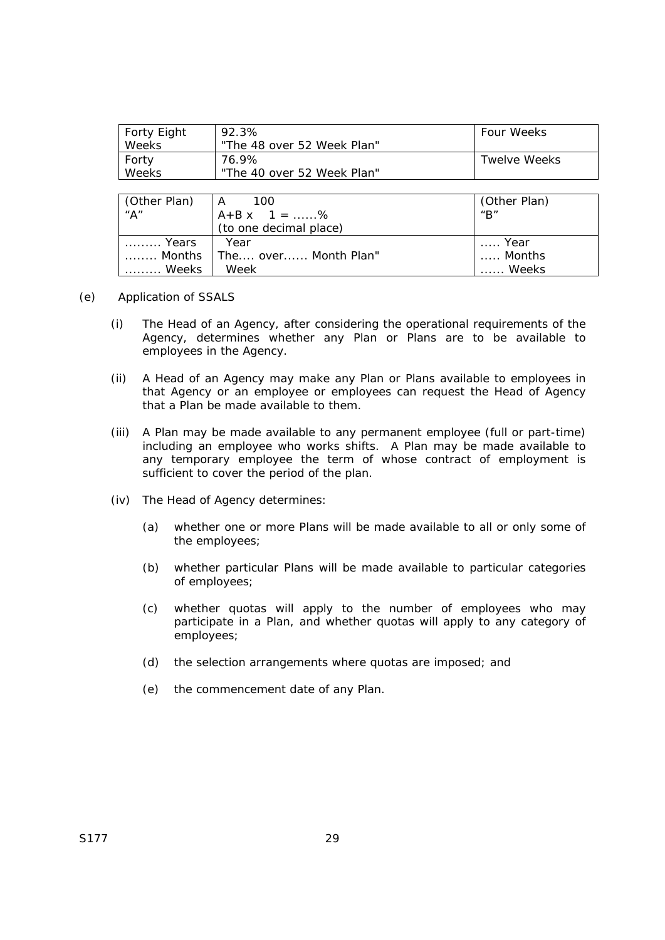| Forty Eight  | 92.3%                      | Four Weeks   |
|--------------|----------------------------|--------------|
| <b>Weeks</b> | "The 48 over 52 Week Plan" |              |
| Forty        | 76.9%                      | Twelve Weeks |
| Weeks        | "The 40 over 52 Week Plan" |              |

| $\begin{array}{c c}\n\text{(Other Plan)} & A & 100 \\ \text{A}^n & A + B \times 1 = 1\n\end{array}$ | $A+B x \quad 1 =  \%$<br>(to one decimal place) | (Other Plan)<br>$^{\prime\prime}$ B" |
|-----------------------------------------------------------------------------------------------------|-------------------------------------------------|--------------------------------------|
|                                                                                                     |                                                 |                                      |
|                                                                                                     |                                                 |                                      |
| <i>Years</i>                                                                                        | Year                                            | l  Year<br>Months                    |
|                                                                                                     | Months   The over Month Plan"                   |                                      |
| Weeks                                                                                               | Week                                            | . Weeks                              |

- (e) Application of SSALS
	- (i) The Head of an Agency, after considering the operational requirements of the Agency, determines whether any Plan or Plans are to be available to employees in the Agency.
	- (ii) A Head of an Agency may make any Plan or Plans available to employees in that Agency or an employee or employees can request the Head of Agency that a Plan be made available to them.
	- (iii) A Plan may be made available to any permanent employee (full or part-time) including an employee who works shifts. A Plan may be made available to any temporary employee the term of whose contract of employment is sufficient to cover the period of the plan.
	- (iv) The Head of Agency determines:
		- (a) whether one or more Plans will be made available to all or only some of the employees;
		- (b) whether particular Plans will be made available to particular categories of employees;
		- (c) whether quotas will apply to the number of employees who may participate in a Plan, and whether quotas will apply to any category of employees;
		- (d) the selection arrangements where quotas are imposed; and
		- (e) the commencement date of any Plan.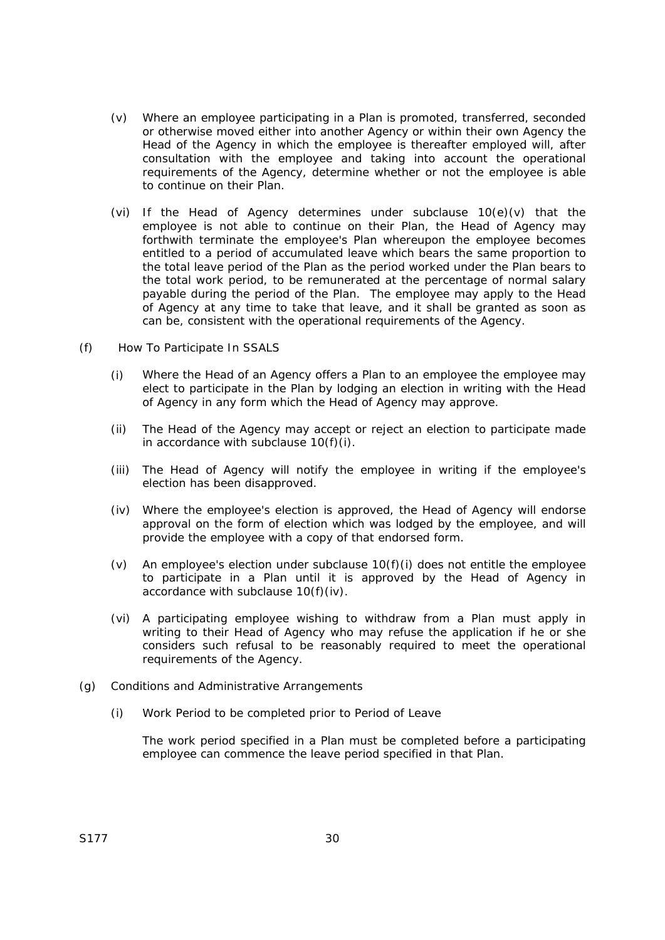- (v) Where an employee participating in a Plan is promoted, transferred, seconded or otherwise moved either into another Agency or within their own Agency the Head of the Agency in which the employee is thereafter employed will, after consultation with the employee and taking into account the operational requirements of the Agency, determine whether or not the employee is able to continue on their Plan.
- (vi) If the Head of Agency determines under subclause 10(e)(v) that the employee is not able to continue on their Plan, the Head of Agency may forthwith terminate the employee's Plan whereupon the employee becomes entitled to a period of accumulated leave which bears the same proportion to the total leave period of the Plan as the period worked under the Plan bears to the total work period, to be remunerated at the percentage of normal salary payable during the period of the Plan. The employee may apply to the Head of Agency at any time to take that leave, and it shall be granted as soon as can be, consistent with the operational requirements of the Agency.
- (f) How To Participate In SSALS
	- (i) Where the Head of an Agency offers a Plan to an employee the employee may elect to participate in the Plan by lodging an election in writing with the Head of Agency in any form which the Head of Agency may approve.
	- (ii) The Head of the Agency may accept or reject an election to participate made in accordance with subclause  $10(f)(i)$ .
	- (iii) The Head of Agency will notify the employee in writing if the employee's election has been disapproved.
	- (iv) Where the employee's election is approved, the Head of Agency will endorse approval on the form of election which was lodged by the employee, and will provide the employee with a copy of that endorsed form.
	- (v) An employee's election under subclause  $10(f)(i)$  does not entitle the employee to participate in a Plan until it is approved by the Head of Agency in accordance with subclause 10(f)(iv).
	- (vi) A participating employee wishing to withdraw from a Plan must apply in writing to their Head of Agency who may refuse the application if he or she considers such refusal to be reasonably required to meet the operational requirements of the Agency.
- (g) Conditions and Administrative Arrangements
	- (i) Work Period to be completed prior to Period of Leave

The work period specified in a Plan must be completed before a participating employee can commence the leave period specified in that Plan.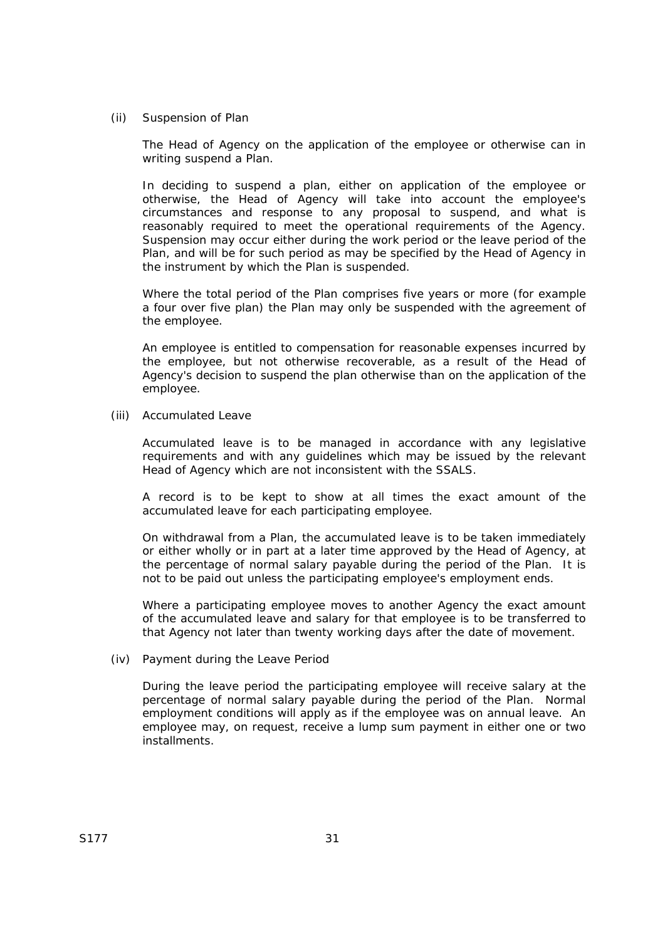(ii) Suspension of Plan

The Head of Agency on the application of the employee or otherwise can in writing suspend a Plan.

In deciding to suspend a plan, either on application of the employee or otherwise, the Head of Agency will take into account the employee's circumstances and response to any proposal to suspend, and what is reasonably required to meet the operational requirements of the Agency. Suspension may occur either during the work period or the leave period of the Plan, and will be for such period as may be specified by the Head of Agency in the instrument by which the Plan is suspended.

Where the total period of the Plan comprises five years or more (for example a four over five plan) the Plan may only be suspended with the agreement of the employee.

An employee is entitled to compensation for reasonable expenses incurred by the employee, but not otherwise recoverable, as a result of the Head of Agency's decision to suspend the plan otherwise than on the application of the employee.

(iii) Accumulated Leave

Accumulated leave is to be managed in accordance with any legislative requirements and with any guidelines which may be issued by the relevant Head of Agency which are not inconsistent with the SSALS.

A record is to be kept to show at all times the exact amount of the accumulated leave for each participating employee.

On withdrawal from a Plan, the accumulated leave is to be taken immediately or either wholly or in part at a later time approved by the Head of Agency, at the percentage of normal salary payable during the period of the Plan. It is not to be paid out unless the participating employee's employment ends.

Where a participating employee moves to another Agency the exact amount of the accumulated leave and salary for that employee is to be transferred to that Agency not later than twenty working days after the date of movement.

(iv) Payment during the Leave Period

During the leave period the participating employee will receive salary at the percentage of normal salary payable during the period of the Plan. Normal employment conditions will apply as if the employee was on annual leave. An employee may, on request, receive a lump sum payment in either one or two installments.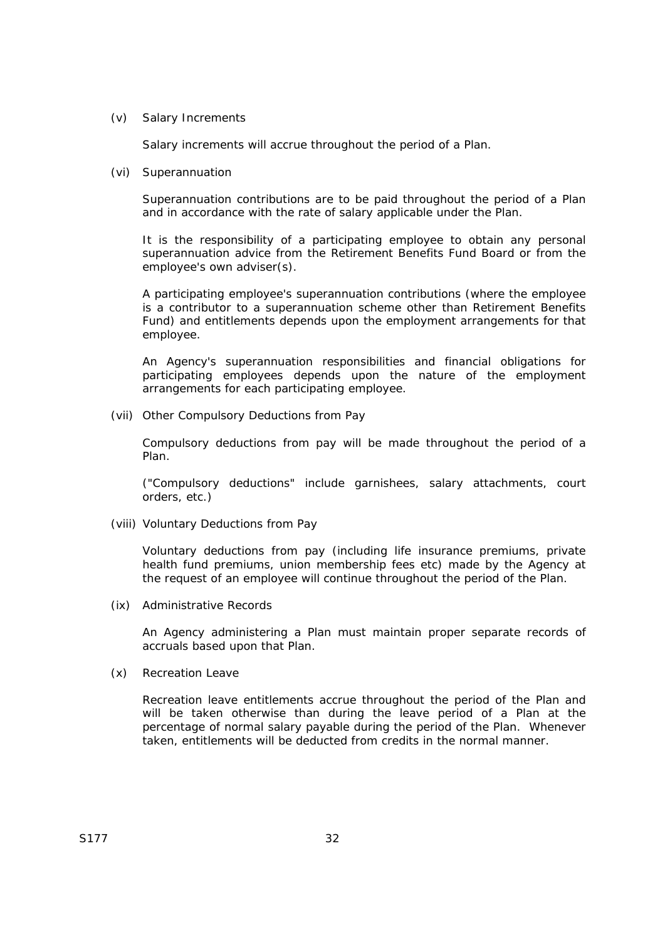(v) Salary Increments

Salary increments will accrue throughout the period of a Plan.

(vi) Superannuation

Superannuation contributions are to be paid throughout the period of a Plan and in accordance with the rate of salary applicable under the Plan.

It is the responsibility of a participating employee to obtain any personal superannuation advice from the Retirement Benefits Fund Board or from the employee's own adviser(s).

A participating employee's superannuation contributions (where the employee is a contributor to a superannuation scheme other than Retirement Benefits Fund) and entitlements depends upon the employment arrangements for that employee.

An Agency's superannuation responsibilities and financial obligations for participating employees depends upon the nature of the employment arrangements for each participating employee.

(vii) Other Compulsory Deductions from Pay

Compulsory deductions from pay will be made throughout the period of a Plan.

("Compulsory deductions" include garnishees, salary attachments, court orders, etc.)

(viii) Voluntary Deductions from Pay

Voluntary deductions from pay (including life insurance premiums, private health fund premiums, union membership fees etc) made by the Agency at the request of an employee will continue throughout the period of the Plan.

(ix) Administrative Records

An Agency administering a Plan must maintain proper separate records of accruals based upon that Plan.

(x) Recreation Leave

Recreation leave entitlements accrue throughout the period of the Plan and will be taken otherwise than during the leave period of a Plan at the percentage of normal salary payable during the period of the Plan. Whenever taken, entitlements will be deducted from credits in the normal manner.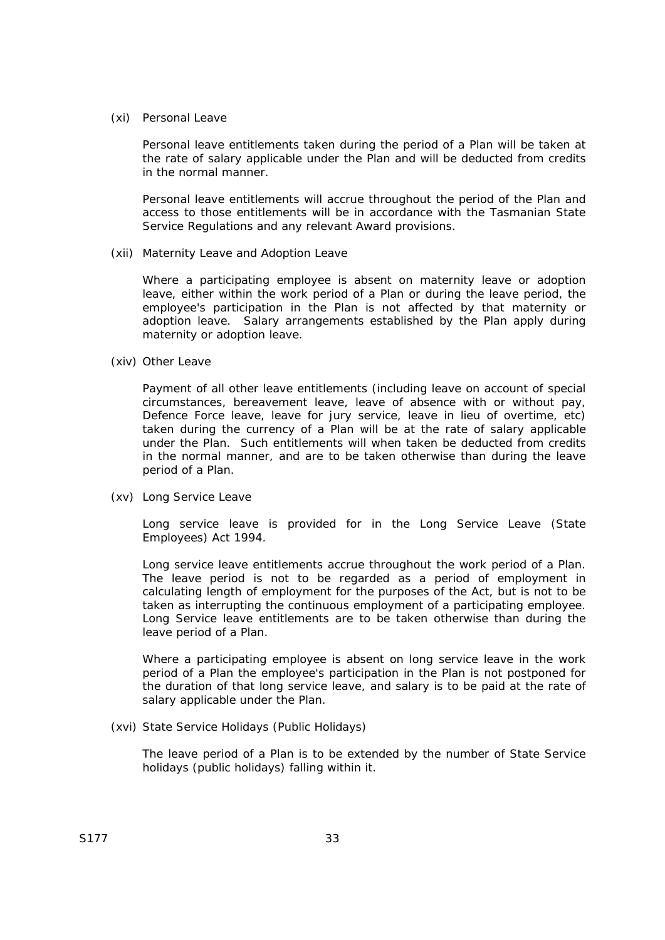(xi) Personal Leave

Personal leave entitlements taken during the period of a Plan will be taken at the rate of salary applicable under the Plan and will be deducted from credits in the normal manner.

Personal leave entitlements will accrue throughout the period of the Plan and access to those entitlements will be in accordance with the Tasmanian State Service Regulations and any relevant Award provisions.

(xii) Maternity Leave and Adoption Leave

Where a participating employee is absent on maternity leave or adoption leave, either within the work period of a Plan or during the leave period, the employee's participation in the Plan is not affected by that maternity or adoption leave. Salary arrangements established by the Plan apply during maternity or adoption leave.

(xiv) Other Leave

Payment of all other leave entitlements (including leave on account of special circumstances, bereavement leave, leave of absence with or without pay, Defence Force leave, leave for jury service, leave in lieu of overtime, etc) taken during the currency of a Plan will be at the rate of salary applicable under the Plan. Such entitlements will when taken be deducted from credits in the normal manner, and are to be taken otherwise than during the leave period of a Plan.

(xv) Long Service Leave

Long service leave is provided for in the *Long Service Leave (State Employees) Act 1994*.

Long service leave entitlements accrue throughout the work period of a Plan. The leave period is not to be regarded as a period of employment in calculating length of employment for the purposes of the Act, but is not to be taken as interrupting the continuous employment of a participating employee. Long Service leave entitlements are to be taken otherwise than during the leave period of a Plan.

Where a participating employee is absent on long service leave in the work period of a Plan the employee's participation in the Plan is not postponed for the duration of that long service leave, and salary is to be paid at the rate of salary applicable under the Plan.

(xvi) State Service Holidays (Public Holidays)

The leave period of a Plan is to be extended by the number of State Service holidays (public holidays) falling within it.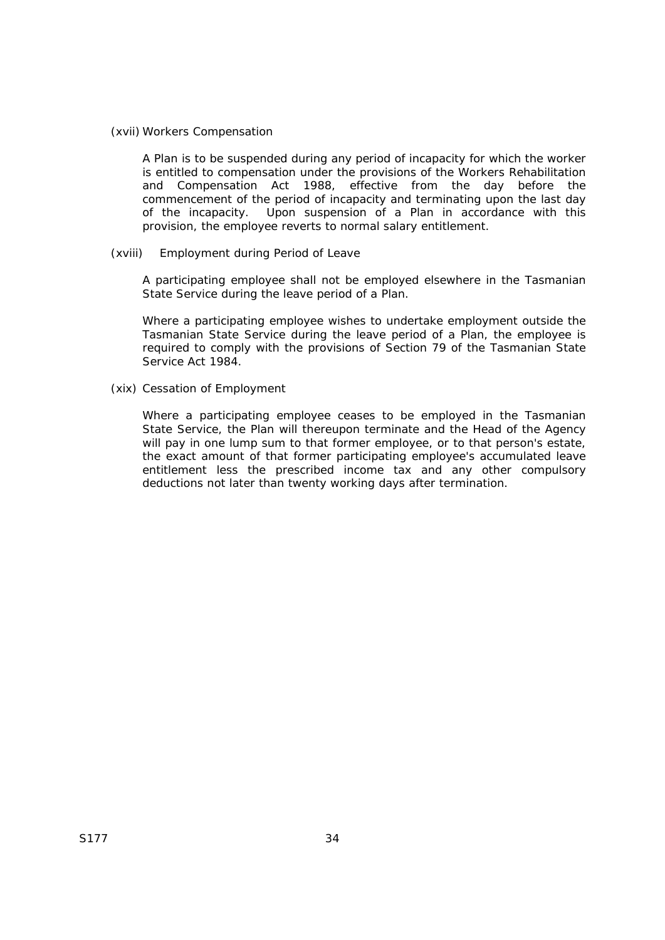#### (xvii) Workers Compensation

A Plan is to be suspended during any period of incapacity for which the worker is entitled to compensation under the provisions of the *Workers Rehabilitation and Compensation Act 1988*, effective from the day before the commencement of the period of incapacity and terminating upon the last day of the incapacity. Upon suspension of a Plan in accordance with this provision, the employee reverts to normal salary entitlement.

#### (xviii) Employment during Period of Leave

A participating employee shall not be employed elsewhere in the Tasmanian State Service during the leave period of a Plan.

Where a participating employee wishes to undertake employment outside the Tasmanian State Service during the leave period of a Plan, the employee is required to comply with the provisions of Section 79 of the Tasmanian *State Service Act 1984*.

(xix) Cessation of Employment

Where a participating employee ceases to be employed in the Tasmanian State Service, the Plan will thereupon terminate and the Head of the Agency will pay in one lump sum to that former employee, or to that person's estate, the exact amount of that former participating employee's accumulated leave entitlement less the prescribed income tax and any other compulsory deductions not later than twenty working days after termination.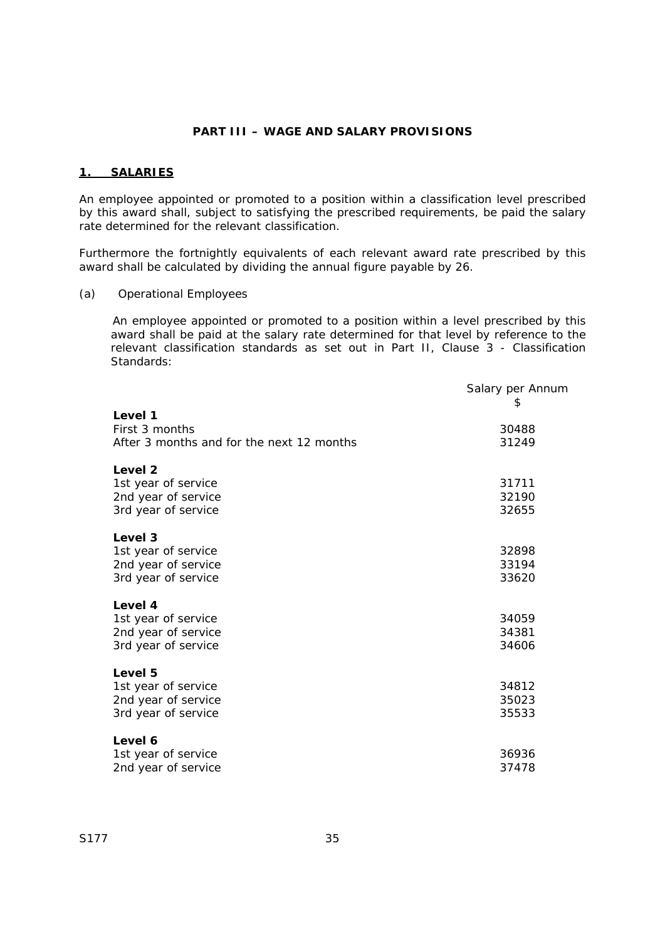## **PART III – WAGE AND SALARY PROVISIONS**

### **1. SALARIES**

An employee appointed or promoted to a position within a classification level prescribed by this award shall, subject to satisfying the prescribed requirements, be paid the salary rate determined for the relevant classification.

Furthermore the fortnightly equivalents of each relevant award rate prescribed by this award shall be calculated by dividing the annual figure payable by 26.

(a) Operational Employees

An employee appointed or promoted to a position within a level prescribed by this award shall be paid at the salary rate determined for that level by reference to the relevant classification standards as set out in Part II, Clause 3 - Classification Standards:

|                                                                                         | Salary per Annum<br>\$  |
|-----------------------------------------------------------------------------------------|-------------------------|
| Level 1<br>First 3 months<br>After 3 months and for the next 12 months                  | 30488<br>31249          |
| Level <sub>2</sub><br>1st year of service<br>2nd year of service<br>3rd year of service | 31711<br>32190<br>32655 |
| Level 3<br>1st year of service<br>2nd year of service<br>3rd year of service            | 32898<br>33194<br>33620 |
| Level 4<br>1st year of service<br>2nd year of service<br>3rd year of service            | 34059<br>34381<br>34606 |
| Level 5<br>1st year of service<br>2nd year of service<br>3rd year of service            | 34812<br>35023<br>35533 |
| Level 6<br>1st year of service<br>2nd year of service                                   | 36936<br>37478          |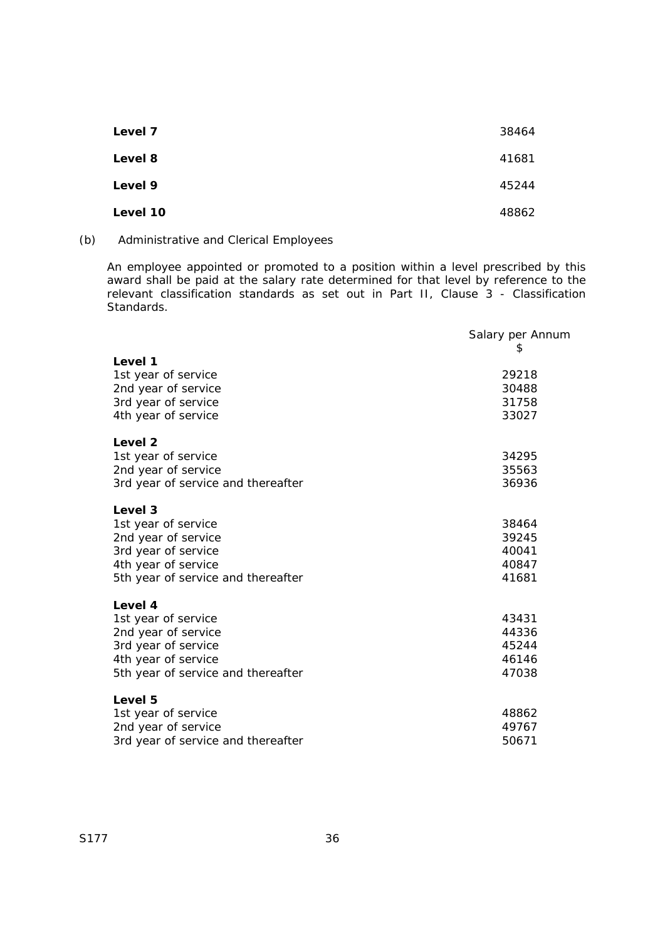| Level 7  | 38464 |
|----------|-------|
| Level 8  | 41681 |
| Level 9  | 45244 |
| Level 10 | 48862 |

## (b) Administrative and Clerical Employees

An employee appointed or promoted to a position within a level prescribed by this award shall be paid at the salary rate determined for that level by reference to the relevant classification standards as set out in Part II, Clause 3 - Classification Standards.

|                                    | Salary per Annum |
|------------------------------------|------------------|
| Level 1                            | 2                |
| 1st year of service                | 29218            |
| 2nd year of service                | 30488            |
| 3rd year of service                | 31758            |
| 4th year of service                | 33027            |
| Level <sub>2</sub>                 |                  |
| 1st year of service                | 34295            |
| 2nd year of service                | 35563            |
| 3rd year of service and thereafter | 36936            |
| Level 3                            |                  |
| 1st year of service                | 38464            |
| 2nd year of service                | 39245            |
| 3rd year of service                | 40041            |
| 4th year of service                | 40847            |
| 5th year of service and thereafter | 41681            |
| Level 4                            |                  |
| 1st year of service                | 43431            |
| 2nd year of service                | 44336            |
| 3rd year of service                | 45244            |
| 4th year of service                | 46146            |
| 5th year of service and thereafter | 47038            |
| Level 5                            |                  |
| 1st year of service                | 48862            |
| 2nd year of service                | 49767            |
| 3rd year of service and thereafter | 50671            |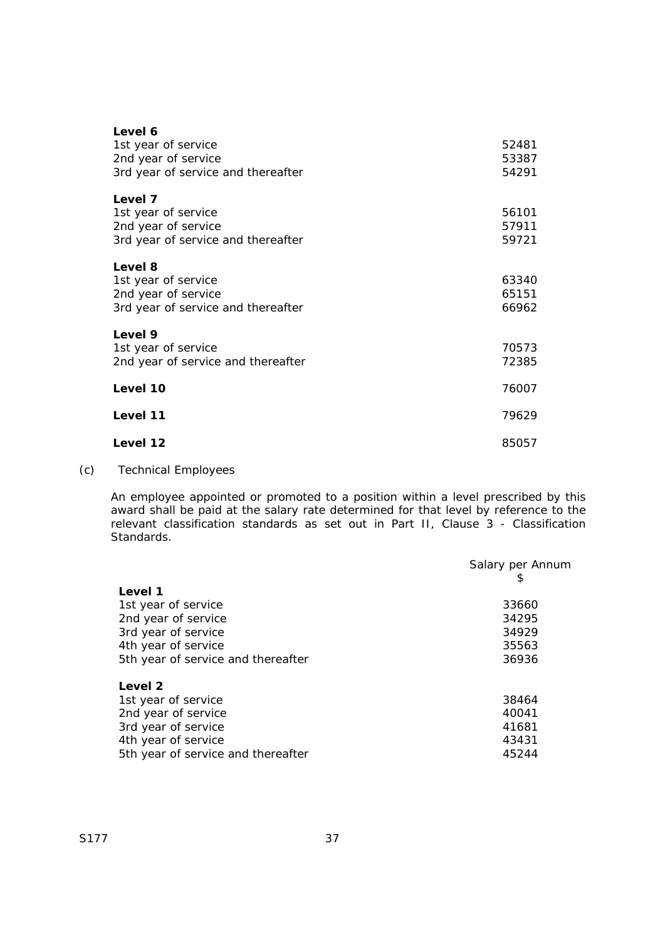| Level 6                            |       |
|------------------------------------|-------|
| 1st year of service                | 52481 |
| 2nd year of service                | 53387 |
|                                    |       |
| 3rd year of service and thereafter | 54291 |
| Level 7                            |       |
| 1st year of service                | 56101 |
|                                    | 57911 |
| 2nd year of service                |       |
| 3rd year of service and thereafter | 59721 |
| Level 8                            |       |
| 1st year of service                | 63340 |
| 2nd year of service                | 65151 |
|                                    |       |
| 3rd year of service and thereafter | 66962 |
| Level 9                            |       |
| 1st year of service                | 70573 |
|                                    |       |
| 2nd year of service and thereafter | 72385 |
| Level 10                           | 76007 |
|                                    |       |
| Level 11                           | 79629 |
|                                    |       |
| Level 12                           | 85057 |

## (c) Technical Employees

An employee appointed or promoted to a position within a level prescribed by this award shall be paid at the salary rate determined for that level by reference to the relevant classification standards as set out in Part II, Clause 3 - Classification Standards.

|                                    | Salary per Annum |
|------------------------------------|------------------|
|                                    | \$               |
| Level 1                            |                  |
| 1st year of service                | 33660            |
| 2nd year of service                | 34295            |
| 3rd year of service                | 34929            |
| 4th year of service                | 35563            |
| 5th year of service and thereafter | 36936            |
| Level 2                            |                  |
| 1st year of service                | 38464            |
| 2nd year of service                | 40041            |
| 3rd year of service                | 41681            |
| 4th year of service                | 43431            |
| 5th year of service and thereafter | 45244            |
|                                    |                  |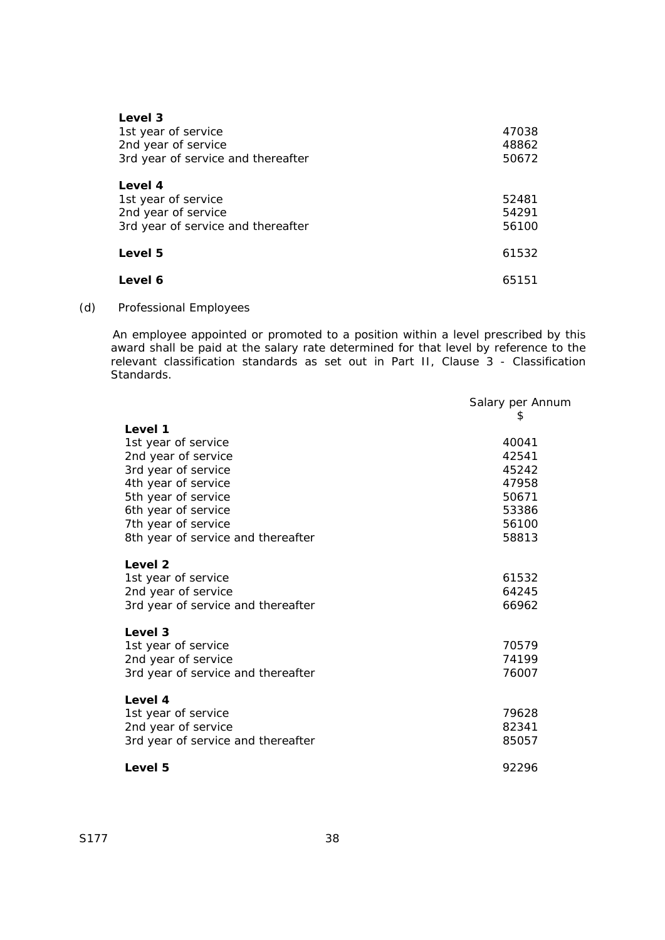| Level 3<br>1st year of service<br>2nd year of service<br>3rd year of service and thereafter | 47038<br>48862<br>50672 |
|---------------------------------------------------------------------------------------------|-------------------------|
| Level 4<br>1st year of service<br>2nd year of service<br>3rd year of service and thereafter | 52481<br>54291<br>56100 |
| Level 5                                                                                     | 61532                   |
| Level 6                                                                                     | 65151                   |

(d) Professional Employees

An employee appointed or promoted to a position within a level prescribed by this award shall be paid at the salary rate determined for that level by reference to the relevant classification standards as set out in Part II, Clause 3 - Classification Standards.

|                                    | Salary per Annum |
|------------------------------------|------------------|
|                                    | \$               |
| Level 1                            |                  |
| 1st year of service                | 40041            |
| 2nd year of service                | 42541            |
| 3rd year of service                | 45242            |
| 4th year of service                | 47958            |
| 5th year of service                | 50671            |
| 6th year of service                | 53386            |
| 7th year of service                | 56100            |
| 8th year of service and thereafter | 58813            |
|                                    |                  |
| Level <sub>2</sub>                 |                  |
| 1st year of service                | 61532            |
| 2nd year of service                | 64245            |
| 3rd year of service and thereafter | 66962            |
|                                    |                  |
| Level 3                            |                  |
| 1st year of service                | 70579            |
| 2nd year of service                | 74199            |
| 3rd year of service and thereafter | 76007            |
|                                    |                  |
| Level 4                            |                  |
| 1st year of service                | 79628            |
| 2nd year of service                | 82341            |
| 3rd year of service and thereafter | 85057            |
|                                    |                  |
| Level 5                            | 92296            |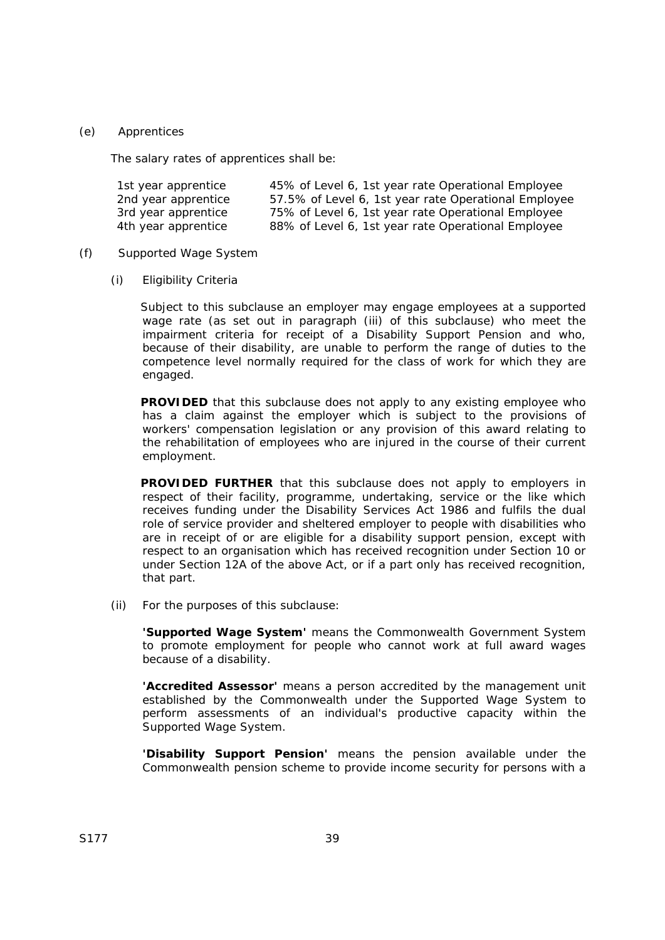### (e) Apprentices

The salary rates of apprentices shall be:

| 1st year apprentice | 45% of Level 6, 1st year rate Operational Employee   |
|---------------------|------------------------------------------------------|
| 2nd year apprentice | 57.5% of Level 6, 1st year rate Operational Employee |
| 3rd year apprentice | 75% of Level 6, 1st year rate Operational Employee   |
| 4th year apprentice | 88% of Level 6, 1st year rate Operational Employee   |

### (f) Supported Wage System

(i) Eligibility Criteria

Subject to this subclause an employer may engage employees at a supported wage rate (as set out in paragraph (iii) of this subclause) who meet the impairment criteria for receipt of a Disability Support Pension and who, because of their disability, are unable to perform the range of duties to the competence level normally required for the class of work for which they are engaged.

**PROVIDED** that this subclause does not apply to any existing employee who has a claim against the employer which is subject to the provisions of workers' compensation legislation or any provision of this award relating to the rehabilitation of employees who are injured in the course of their current employment.

**PROVIDED FURTHER** that this subclause does not apply to employers in respect of their facility, programme, undertaking, service or the like which receives funding under the *Disability Services Act 1986* and fulfils the dual role of service provider and sheltered employer to people with disabilities who are in receipt of or are eligible for a disability support pension, except with respect to an organisation which has received recognition under Section 10 or under Section 12A of the above Act, or if a part only has received recognition, that part.

(ii) For the purposes of this subclause:

**'Supported Wage System'** means the Commonwealth Government System to promote employment for people who cannot work at full award wages because of a disability.

**'Accredited Assessor'** means a person accredited by the management unit established by the Commonwealth under the Supported Wage System to perform assessments of an individual's productive capacity within the Supported Wage System.

**'Disability Support Pension'** means the pension available under the Commonwealth pension scheme to provide income security for persons with a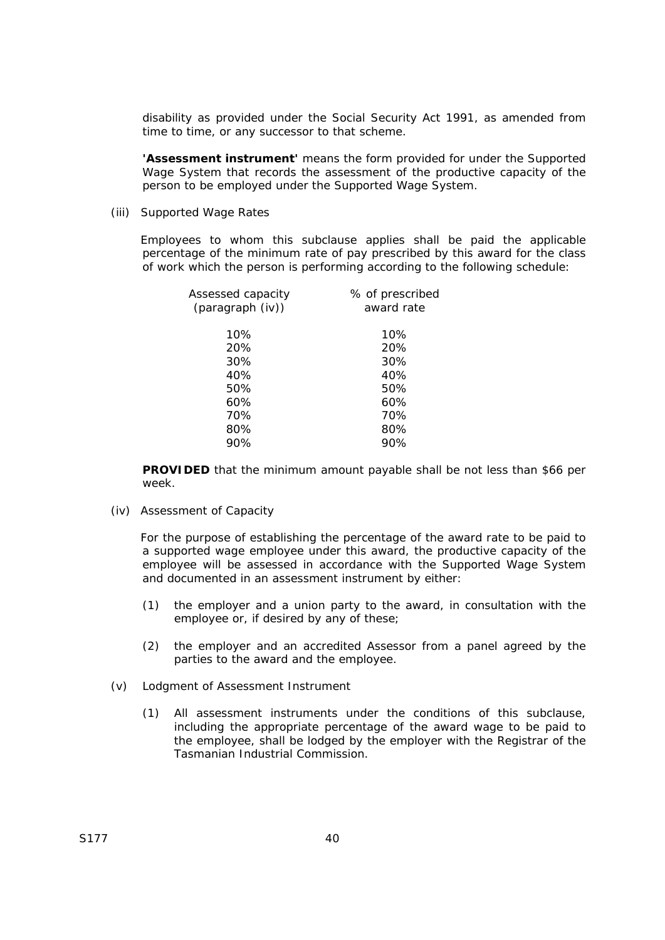disability as provided under the *Social Security Act 1991*, as amended from time to time, or any successor to that scheme.

**'Assessment instrument'** means the form provided for under the Supported Wage System that records the assessment of the productive capacity of the person to be employed under the Supported Wage System.

(iii) Supported Wage Rates

Employees to whom this subclause applies shall be paid the applicable percentage of the minimum rate of pay prescribed by this award for the class of work which the person is performing according to the following schedule:

| % of prescribed<br>award rate |
|-------------------------------|
| 10%                           |
| 20%                           |
| 30%                           |
| 40%                           |
| 50%                           |
| 60%                           |
| 70%                           |
| 80%                           |
| 90%                           |
|                               |

**PROVIDED** that the minimum amount payable shall be not less than \$66 per week.

(iv) Assessment of Capacity

For the purpose of establishing the percentage of the award rate to be paid to a supported wage employee under this award, the productive capacity of the employee will be assessed in accordance with the Supported Wage System and documented in an assessment instrument by either:

- (1) the employer and a union party to the award, in consultation with the employee or, if desired by any of these;
- (2) the employer and an accredited Assessor from a panel agreed by the parties to the award and the employee.
- (v) Lodgment of Assessment Instrument
	- (1) All assessment instruments under the conditions of this subclause, including the appropriate percentage of the award wage to be paid to the employee, shall be lodged by the employer with the Registrar of the Tasmanian Industrial Commission.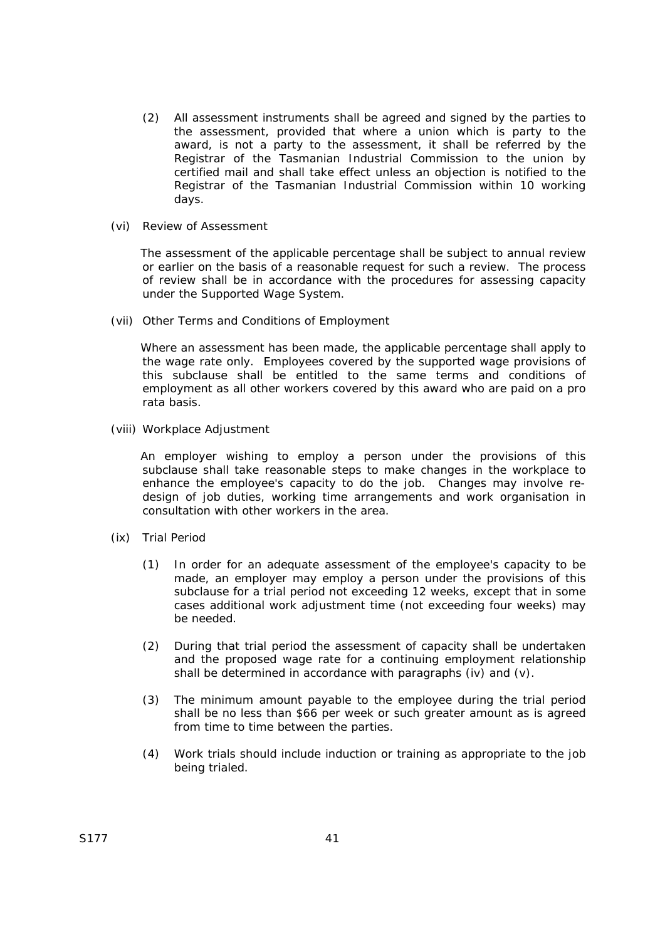- (2) All assessment instruments shall be agreed and signed by the parties to the assessment, provided that where a union which is party to the award, is not a party to the assessment, it shall be referred by the Registrar of the Tasmanian Industrial Commission to the union by certified mail and shall take effect unless an objection is notified to the Registrar of the Tasmanian Industrial Commission within 10 working days.
- (vi) Review of Assessment

The assessment of the applicable percentage shall be subject to annual review or earlier on the basis of a reasonable request for such a review. The process of review shall be in accordance with the procedures for assessing capacity under the Supported Wage System.

(vii) Other Terms and Conditions of Employment

Where an assessment has been made, the applicable percentage shall apply to the wage rate only. Employees covered by the supported wage provisions of this subclause shall be entitled to the same terms and conditions of employment as all other workers covered by this award who are paid on a pro rata basis.

(viii) Workplace Adjustment

An employer wishing to employ a person under the provisions of this subclause shall take reasonable steps to make changes in the workplace to enhance the employee's capacity to do the job. Changes may involve redesign of job duties, working time arrangements and work organisation in consultation with other workers in the area.

- (ix) Trial Period
	- (1) In order for an adequate assessment of the employee's capacity to be made, an employer may employ a person under the provisions of this subclause for a trial period not exceeding 12 weeks, except that in some cases additional work adjustment time (not exceeding four weeks) may be needed.
	- (2) During that trial period the assessment of capacity shall be undertaken and the proposed wage rate for a continuing employment relationship shall be determined in accordance with paragraphs (iv) and (v).
	- (3) The minimum amount payable to the employee during the trial period shall be no less than \$66 per week or such greater amount as is agreed from time to time between the parties.
	- (4) Work trials should include induction or training as appropriate to the job being trialed.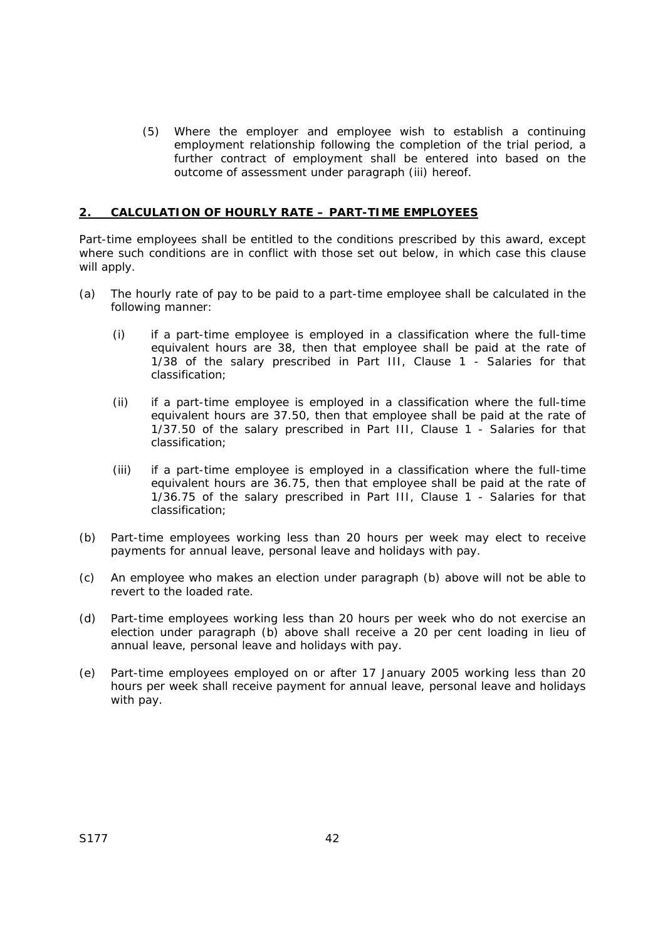(5) Where the employer and employee wish to establish a continuing employment relationship following the completion of the trial period, a further contract of employment shall be entered into based on the outcome of assessment under paragraph (iii) hereof.

## **2. CALCULATION OF HOURLY RATE – PART-TIME EMPLOYEES**

Part-time employees shall be entitled to the conditions prescribed by this award, except where such conditions are in conflict with those set out below, in which case this clause will apply.

- (a) The hourly rate of pay to be paid to a part-time employee shall be calculated in the following manner:
	- (i) if a part-time employee is employed in a classification where the full-time equivalent hours are 38, then that employee shall be paid at the rate of 1/38 of the salary prescribed in Part III, Clause 1 - Salaries for that classification;
	- (ii) if a part-time employee is employed in a classification where the full-time equivalent hours are 37.50, then that employee shall be paid at the rate of 1/37.50 of the salary prescribed in Part III, Clause 1 - Salaries for that classification;
	- (iii) if a part-time employee is employed in a classification where the full-time equivalent hours are 36.75, then that employee shall be paid at the rate of 1/36.75 of the salary prescribed in Part III, Clause 1 - Salaries for that classification;
- (b) Part-time employees working less than 20 hours per week may elect to receive payments for annual leave, personal leave and holidays with pay.
- (c) An employee who makes an election under paragraph (b) above will not be able to revert to the loaded rate.
- (d) Part-time employees working less than 20 hours per week who do not exercise an election under paragraph (b) above shall receive a 20 per cent loading in lieu of annual leave, personal leave and holidays with pay.
- (e) Part-time employees employed on or after 17 January 2005 working less than 20 hours per week shall receive payment for annual leave, personal leave and holidays with pay.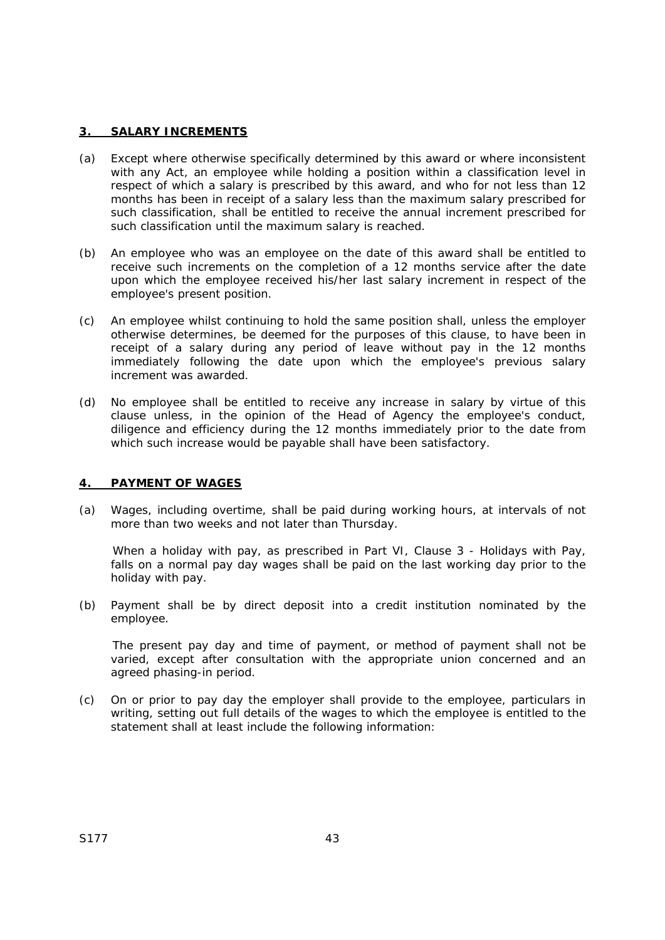### **3. SALARY INCREMENTS**

- (a) Except where otherwise specifically determined by this award or where inconsistent with any Act, an employee while holding a position within a classification level in respect of which a salary is prescribed by this award, and who for not less than 12 months has been in receipt of a salary less than the maximum salary prescribed for such classification, shall be entitled to receive the annual increment prescribed for such classification until the maximum salary is reached.
- (b) An employee who was an employee on the date of this award shall be entitled to receive such increments on the completion of a 12 months service after the date upon which the employee received his/her last salary increment in respect of the employee's present position.
- (c) An employee whilst continuing to hold the same position shall, unless the employer otherwise determines, be deemed for the purposes of this clause, to have been in receipt of a salary during any period of leave without pay in the 12 months immediately following the date upon which the employee's previous salary increment was awarded.
- (d) No employee shall be entitled to receive any increase in salary by virtue of this clause unless, in the opinion of the Head of Agency the employee's conduct, diligence and efficiency during the 12 months immediately prior to the date from which such increase would be payable shall have been satisfactory.

## **4. PAYMENT OF WAGES**

(a) Wages, including overtime, shall be paid during working hours, at intervals of not more than two weeks and not later than Thursday.

When a holiday with pay, as prescribed in Part VI, Clause 3 - Holidays with Pay, falls on a normal pay day wages shall be paid on the last working day prior to the holiday with pay.

(b) Payment shall be by direct deposit into a credit institution nominated by the employee.

The present pay day and time of payment, or method of payment shall not be varied, except after consultation with the appropriate union concerned and an agreed phasing-in period.

(c) On or prior to pay day the employer shall provide to the employee, particulars in writing, setting out full details of the wages to which the employee is entitled to the statement shall at least include the following information: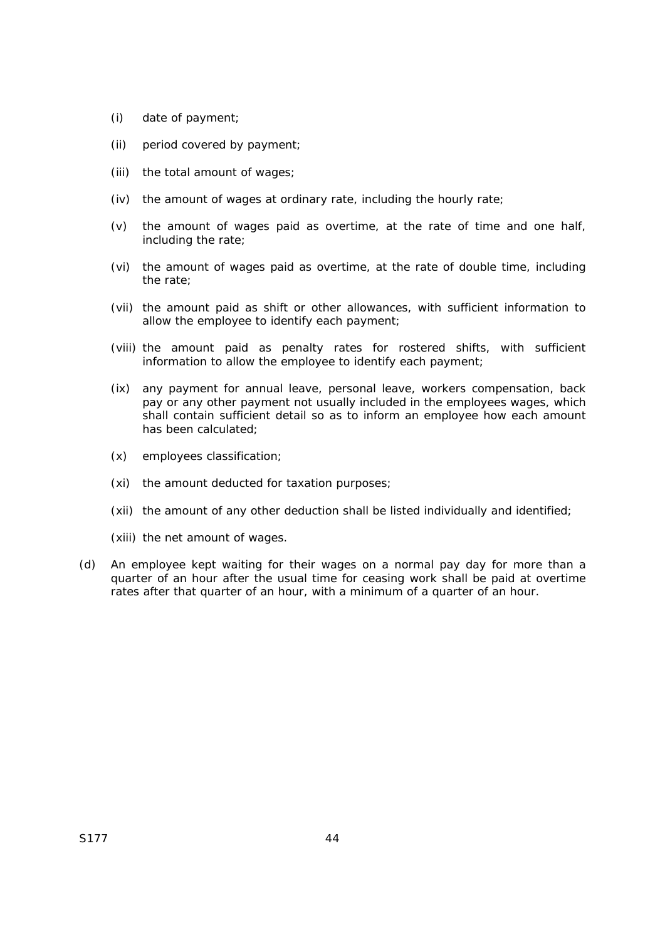- (i) date of payment;
- (ii) period covered by payment;
- (iii) the total amount of wages;
- (iv) the amount of wages at ordinary rate, including the hourly rate;
- (v) the amount of wages paid as overtime, at the rate of time and one half, including the rate;
- (vi) the amount of wages paid as overtime, at the rate of double time, including the rate;
- (vii) the amount paid as shift or other allowances, with sufficient information to allow the employee to identify each payment;
- (viii) the amount paid as penalty rates for rostered shifts, with sufficient information to allow the employee to identify each payment;
- (ix) any payment for annual leave, personal leave, workers compensation, back pay or any other payment not usually included in the employees wages, which shall contain sufficient detail so as to inform an employee how each amount has been calculated;
- (x) employees classification;
- (xi) the amount deducted for taxation purposes;
- (xii) the amount of any other deduction shall be listed individually and identified;
- (xiii) the net amount of wages.
- (d) An employee kept waiting for their wages on a normal pay day for more than a quarter of an hour after the usual time for ceasing work shall be paid at overtime rates after that quarter of an hour, with a minimum of a quarter of an hour.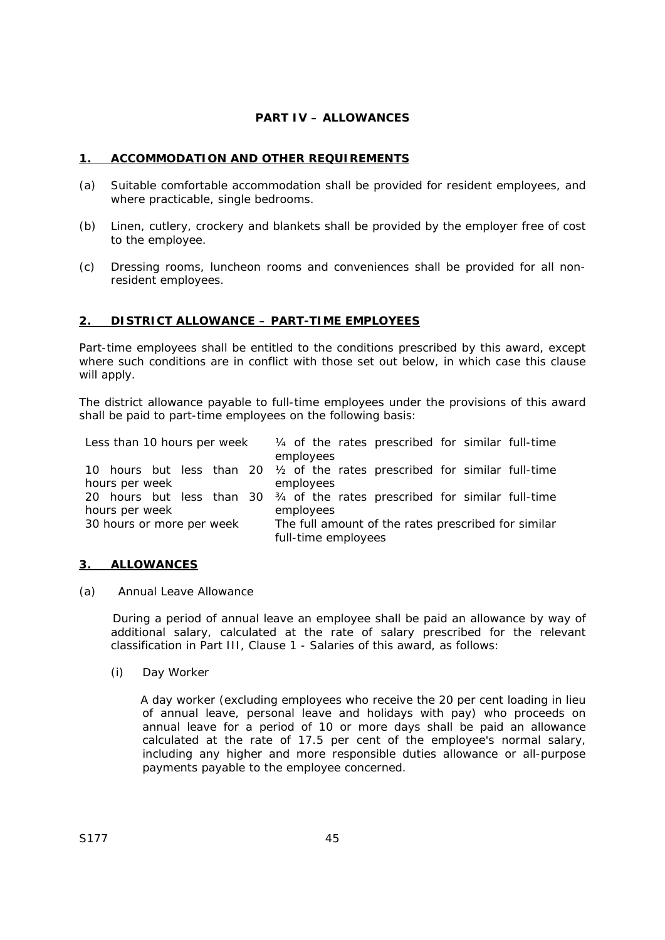## **PART IV – ALLOWANCES**

## **1. ACCOMMODATION AND OTHER REQUIREMENTS**

- (a) Suitable comfortable accommodation shall be provided for resident employees, and where practicable, single bedrooms.
- (b) Linen, cutlery, crockery and blankets shall be provided by the employer free of cost to the employee.
- (c) Dressing rooms, luncheon rooms and conveniences shall be provided for all nonresident employees.

### **2. DISTRICT ALLOWANCE – PART-TIME EMPLOYEES**

Part-time employees shall be entitled to the conditions prescribed by this award, except where such conditions are in conflict with those set out below, in which case this clause will apply.

The district allowance payable to full-time employees under the provisions of this award shall be paid to part-time employees on the following basis:

|                             |                                                                                  |  |  |  |  |                     |  |           |  | Less than 10 hours per week $\frac{1}{4}$ of the rates prescribed for similar full-time |  |  |
|-----------------------------|----------------------------------------------------------------------------------|--|--|--|--|---------------------|--|-----------|--|-----------------------------------------------------------------------------------------|--|--|
|                             |                                                                                  |  |  |  |  |                     |  | employees |  |                                                                                         |  |  |
|                             |                                                                                  |  |  |  |  |                     |  |           |  | 10 hours but less than 20 $\frac{1}{2}$ of the rates prescribed for similar full-time   |  |  |
|                             | hours per week                                                                   |  |  |  |  |                     |  | employees |  |                                                                                         |  |  |
|                             |                                                                                  |  |  |  |  |                     |  |           |  | 20 hours but less than 30 $34$ of the rates prescribed for similar full-time            |  |  |
| employees<br>hours per week |                                                                                  |  |  |  |  |                     |  |           |  |                                                                                         |  |  |
|                             | 30 hours or more per week<br>The full amount of the rates prescribed for similar |  |  |  |  |                     |  |           |  |                                                                                         |  |  |
|                             |                                                                                  |  |  |  |  | full-time employees |  |           |  |                                                                                         |  |  |

### **3. ALLOWANCES**

(a) Annual Leave Allowance

During a period of annual leave an employee shall be paid an allowance by way of additional salary, calculated at the rate of salary prescribed for the relevant classification in Part III, Clause 1 - Salaries of this award, as follows:

(i) Day Worker

A day worker (excluding employees who receive the 20 per cent loading in lieu of annual leave, personal leave and holidays with pay) who proceeds on annual leave for a period of 10 or more days shall be paid an allowance calculated at the rate of 17.5 per cent of the employee's normal salary, including any higher and more responsible duties allowance or all-purpose payments payable to the employee concerned.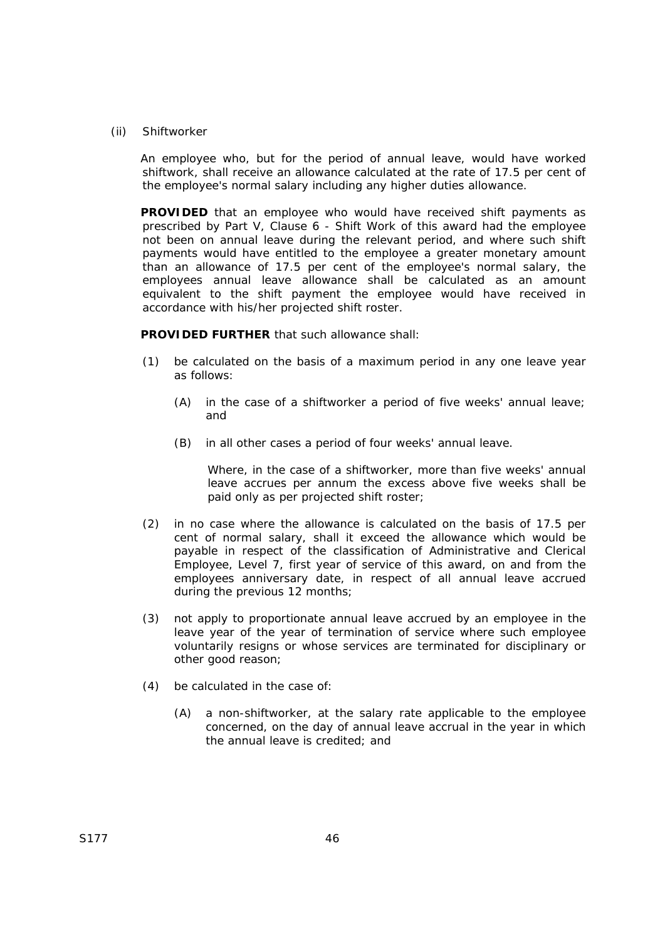### (ii) Shiftworker

An employee who, but for the period of annual leave, would have worked shiftwork, shall receive an allowance calculated at the rate of 17.5 per cent of the employee's normal salary including any higher duties allowance.

**PROVIDED** that an employee who would have received shift payments as prescribed by Part V, Clause 6 - Shift Work of this award had the employee not been on annual leave during the relevant period, and where such shift payments would have entitled to the employee a greater monetary amount than an allowance of 17.5 per cent of the employee's normal salary, the employees annual leave allowance shall be calculated as an amount equivalent to the shift payment the employee would have received in accordance with his/her projected shift roster.

**PROVIDED FURTHER** that such allowance shall:

- (1) be calculated on the basis of a maximum period in any one leave year as follows:
	- (A) in the case of a shiftworker a period of five weeks' annual leave; and
	- (B) in all other cases a period of four weeks' annual leave.

Where, in the case of a shiftworker, more than five weeks' annual leave accrues per annum the excess above five weeks shall be paid only as per projected shift roster;

- (2) in no case where the allowance is calculated on the basis of 17.5 per cent of normal salary, shall it exceed the allowance which would be payable in respect of the classification of Administrative and Clerical Employee, Level 7, first year of service of this award, on and from the employees anniversary date, in respect of all annual leave accrued during the previous 12 months;
- (3) not apply to proportionate annual leave accrued by an employee in the leave year of the year of termination of service where such employee voluntarily resigns or whose services are terminated for disciplinary or other good reason;
- (4) be calculated in the case of:
	- (A) a non-shiftworker, at the salary rate applicable to the employee concerned, on the day of annual leave accrual in the year in which the annual leave is credited; and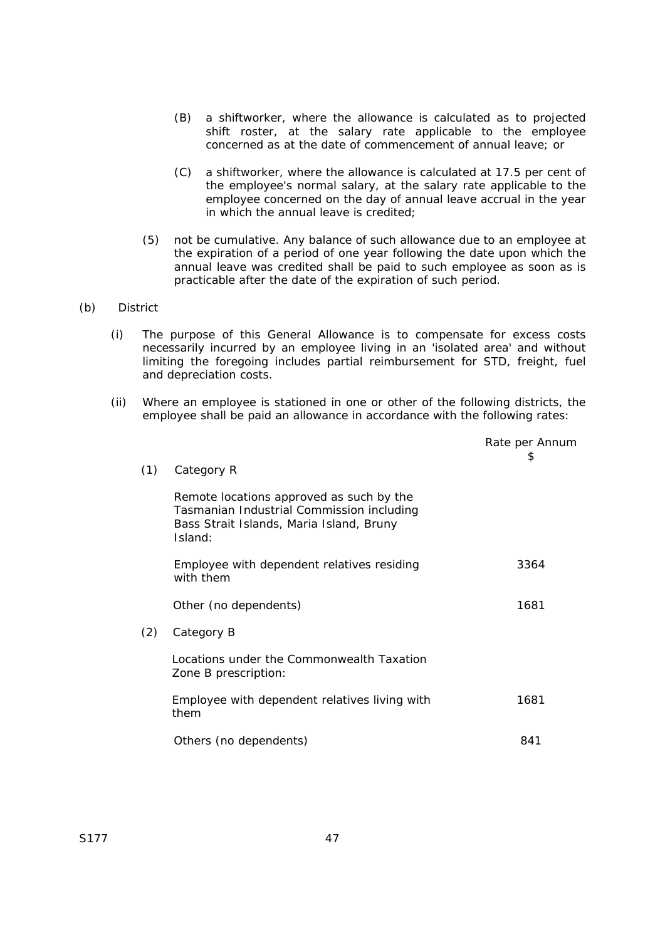- (B) a shiftworker, where the allowance is calculated as to projected shift roster, at the salary rate applicable to the employee concerned as at the date of commencement of annual leave; or
- (C) a shiftworker, where the allowance is calculated at 17.5 per cent of the employee's normal salary, at the salary rate applicable to the employee concerned on the day of annual leave accrual in the year in which the annual leave is credited;
- (5) not be cumulative. Any balance of such allowance due to an employee at the expiration of a period of one year following the date upon which the annual leave was credited shall be paid to such employee as soon as is practicable after the date of the expiration of such period.

### (b) District

- (i) The purpose of this General Allowance is to compensate for excess costs necessarily incurred by an employee living in an 'isolated area' and without limiting the foregoing includes partial reimbursement for STD, freight, fuel and depreciation costs.
- (ii) Where an employee is stationed in one or other of the following districts, the employee shall be paid an allowance in accordance with the following rates:

| (1) | Category R                                                                                                                                   | Rate per Annum<br>\$ |
|-----|----------------------------------------------------------------------------------------------------------------------------------------------|----------------------|
|     | Remote locations approved as such by the<br>Tasmanian Industrial Commission including<br>Bass Strait Islands, Maria Island, Bruny<br>Island: |                      |
|     | Employee with dependent relatives residing<br>with them                                                                                      | 3364                 |
|     | Other (no dependents)                                                                                                                        | 1681                 |
| (2) | Category B                                                                                                                                   |                      |
|     | Locations under the Commonwealth Taxation<br>Zone B prescription:                                                                            |                      |
|     | Employee with dependent relatives living with<br>them                                                                                        | 1681                 |
|     | Others (no dependents)                                                                                                                       | 841                  |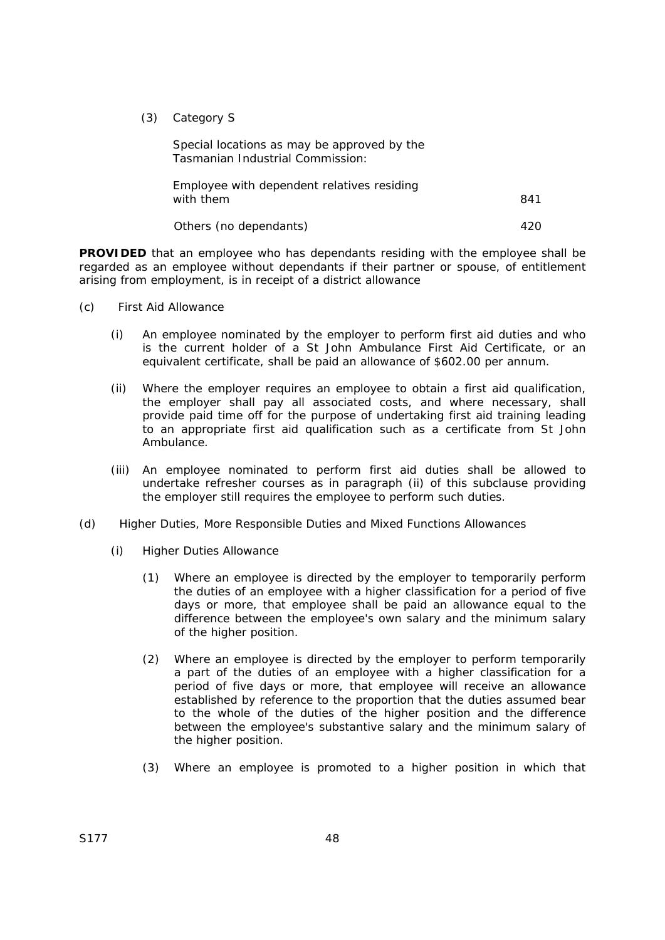(3) Category S

 Special locations as may be approved by the Tasmanian Industrial Commission:

| Employee with dependent relatives residing<br>with them | 841 |
|---------------------------------------------------------|-----|
| Others (no dependants)                                  | 420 |

**PROVIDED** that an employee who has dependants residing with the employee shall be regarded as an employee without dependants if their partner or spouse, of entitlement arising from employment, is in receipt of a district allowance

- (c) First Aid Allowance
	- (i) An employee nominated by the employer to perform first aid duties and who is the current holder of a St John Ambulance First Aid Certificate, or an equivalent certificate, shall be paid an allowance of \$602.00 per annum.
	- (ii) Where the employer requires an employee to obtain a first aid qualification, the employer shall pay all associated costs, and where necessary, shall provide paid time off for the purpose of undertaking first aid training leading to an appropriate first aid qualification such as a certificate from St John Ambulance.
	- (iii) An employee nominated to perform first aid duties shall be allowed to undertake refresher courses as in paragraph (ii) of this subclause providing the employer still requires the employee to perform such duties.
- (d) Higher Duties, More Responsible Duties and Mixed Functions Allowances
	- (i) Higher Duties Allowance
		- (1) Where an employee is directed by the employer to temporarily perform the duties of an employee with a higher classification for a period of five days or more, that employee shall be paid an allowance equal to the difference between the employee's own salary and the minimum salary of the higher position.
		- (2) Where an employee is directed by the employer to perform temporarily a part of the duties of an employee with a higher classification for a period of five days or more, that employee will receive an allowance established by reference to the proportion that the duties assumed bear to the whole of the duties of the higher position and the difference between the employee's substantive salary and the minimum salary of the higher position.
		- (3) Where an employee is promoted to a higher position in which that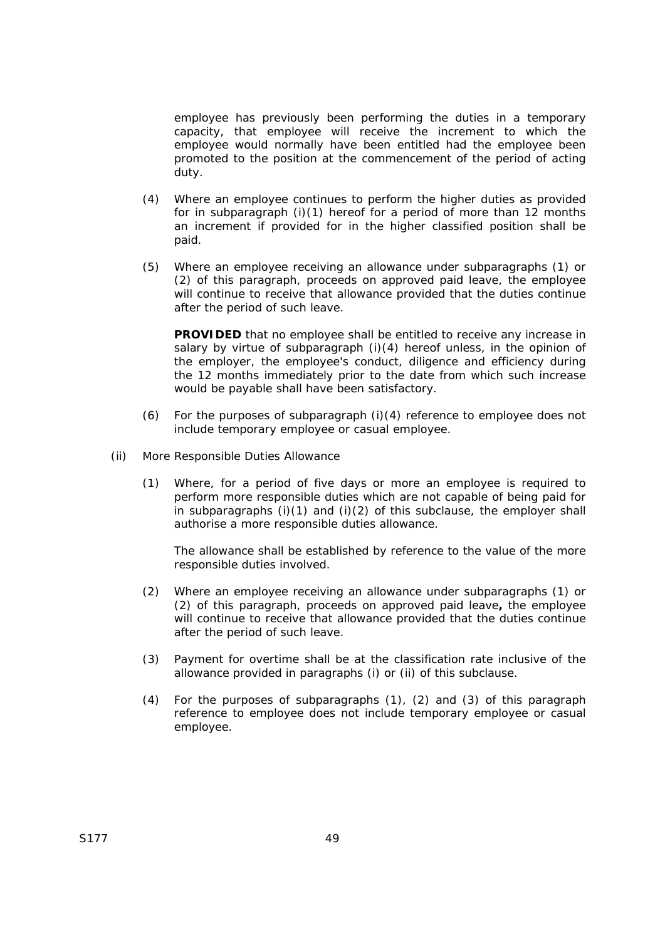employee has previously been performing the duties in a temporary capacity, that employee will receive the increment to which the employee would normally have been entitled had the employee been promoted to the position at the commencement of the period of acting duty.

- (4) Where an employee continues to perform the higher duties as provided for in subparagraph (i)(1) hereof for a period of more than 12 months an increment if provided for in the higher classified position shall be paid.
- (5) Where an employee receiving an allowance under subparagraphs (1) or (2) of this paragraph, proceeds on approved paid leave, the employee will continue to receive that allowance provided that the duties continue after the period of such leave.

**PROVIDED** that no employee shall be entitled to receive any increase in salary by virtue of subparagraph (i)(4) hereof unless, in the opinion of the employer, the employee's conduct, diligence and efficiency during the 12 months immediately prior to the date from which such increase would be payable shall have been satisfactory.

- (6) For the purposes of subparagraph (i)(4) reference to employee does not include temporary employee or casual employee.
- (ii) More Responsible Duties Allowance
	- (1) Where, for a period of five days or more an employee is required to perform more responsible duties which are not capable of being paid for in subparagraphs  $(i)(1)$  and  $(i)(2)$  of this subclause, the employer shall authorise a more responsible duties allowance.

The allowance shall be established by reference to the value of the more responsible duties involved.

- (2) Where an employee receiving an allowance under subparagraphs (1) or (2) of this paragraph, proceeds on approved paid leave*,* the employee will continue to receive that allowance provided that the duties continue after the period of such leave.
- (3) Payment for overtime shall be at the classification rate inclusive of the allowance provided in paragraphs (i) or (ii) of this subclause.
- (4) For the purposes of subparagraphs (1), (2) and (3) of this paragraph reference to employee does not include temporary employee or casual employee.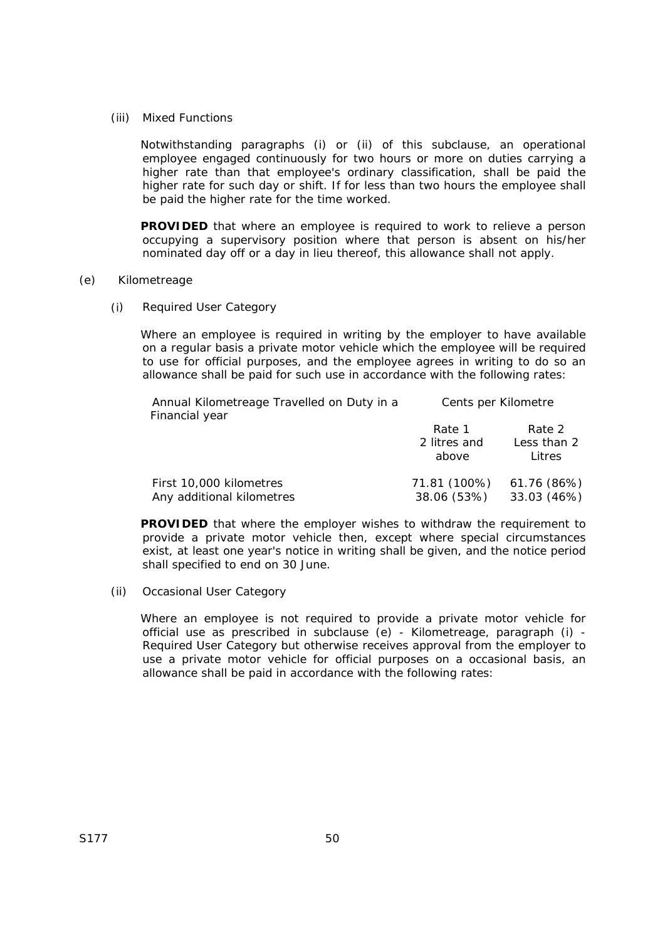(iii) Mixed Functions

Notwithstanding paragraphs (i) or (ii) of this subclause, an operational employee engaged continuously for two hours or more on duties carrying a higher rate than that employee's ordinary classification, shall be paid the higher rate for such day or shift. If for less than two hours the employee shall be paid the higher rate for the time worked.

**PROVIDED** that where an employee is required to work to relieve a person occupying a supervisory position where that person is absent on his/her nominated day off or a day in lieu thereof, this allowance shall not apply.

### (e) Kilometreage

(i) Required User Category

Where an employee is required in writing by the employer to have available on a regular basis a private motor vehicle which the employee will be required to use for official purposes, and the employee agrees in writing to do so an allowance shall be paid for such use in accordance with the following rates:

| Annual Kilometreage Travelled on Duty in a<br>Financial year | Cents per Kilometre |             |  |  |
|--------------------------------------------------------------|---------------------|-------------|--|--|
|                                                              | Rate 1              | Rate 2      |  |  |
|                                                              | 2 litres and        | Less than 2 |  |  |
|                                                              | above               | Litres      |  |  |
| First 10,000 kilometres                                      | 71.81 (100%)        | 61.76 (86%) |  |  |
| Any additional kilometres                                    | 38.06 (53%)         | 33.03 (46%) |  |  |

**PROVIDED** that where the employer wishes to withdraw the requirement to provide a private motor vehicle then, except where special circumstances exist, at least one year's notice in writing shall be given, and the notice period shall specified to end on 30 June.

(ii) Occasional User Category

Where an employee is not required to provide a private motor vehicle for official use as prescribed in subclause (e) - Kilometreage, paragraph (i) - Required User Category but otherwise receives approval from the employer to use a private motor vehicle for official purposes on a occasional basis, an allowance shall be paid in accordance with the following rates: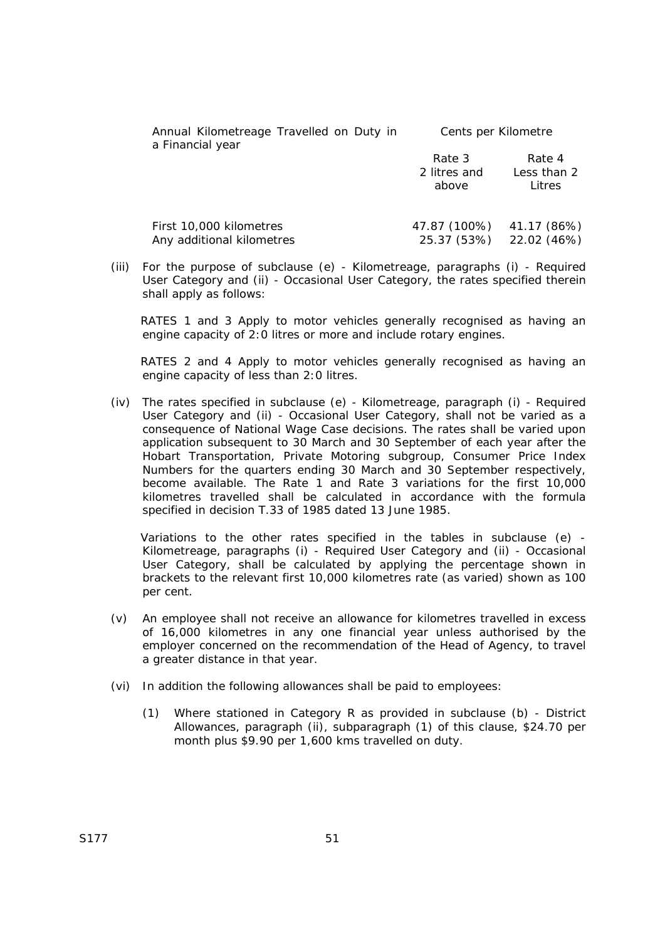| Annual Kilometreage Travelled on Duty in<br>a Financial year | Cents per Kilometre             |                                 |
|--------------------------------------------------------------|---------------------------------|---------------------------------|
|                                                              | Rate 3<br>2 litres and<br>above | Rate 4<br>Less than 2<br>Litres |
| First 10,000 kilometres<br>Any additional kilometres         | 47.87 (100%)<br>25.37 (53%)     | 41.17 (86%)<br>22.02 (46%)      |

(iii) For the purpose of subclause (e) - Kilometreage, paragraphs (i) - Required User Category and (ii) - Occasional User Category, the rates specified therein shall apply as follows:

RATES 1 and 3 Apply to motor vehicles generally recognised as having an engine capacity of 2:0 litres or more and include rotary engines.

RATES 2 and 4 Apply to motor vehicles generally recognised as having an engine capacity of less than 2:0 litres.

(iv) The rates specified in subclause (e) - Kilometreage, paragraph (i) - Required User Category and (ii) - Occasional User Category, shall not be varied as a consequence of National Wage Case decisions. The rates shall be varied upon application subsequent to 30 March and 30 September of each year after the Hobart Transportation, Private Motoring subgroup, Consumer Price Index Numbers for the quarters ending 30 March and 30 September respectively, become available. The Rate 1 and Rate 3 variations for the first 10,000 kilometres travelled shall be calculated in accordance with the formula specified in decision T.33 of 1985 dated 13 June 1985.

Variations to the other rates specified in the tables in subclause (e) - Kilometreage, paragraphs (i) - Required User Category and (ii) - Occasional User Category, shall be calculated by applying the percentage shown in brackets to the relevant first 10,000 kilometres rate (as varied) shown as 100 per cent.

- (v) An employee shall not receive an allowance for kilometres travelled in excess of 16,000 kilometres in any one financial year unless authorised by the employer concerned on the recommendation of the Head of Agency, to travel a greater distance in that year.
- (vi) In addition the following allowances shall be paid to employees:
	- (1) Where stationed in Category R as provided in subclause (b) District Allowances, paragraph (ii), subparagraph (1) of this clause, \$24.70 per month plus \$9.90 per 1,600 kms travelled on duty.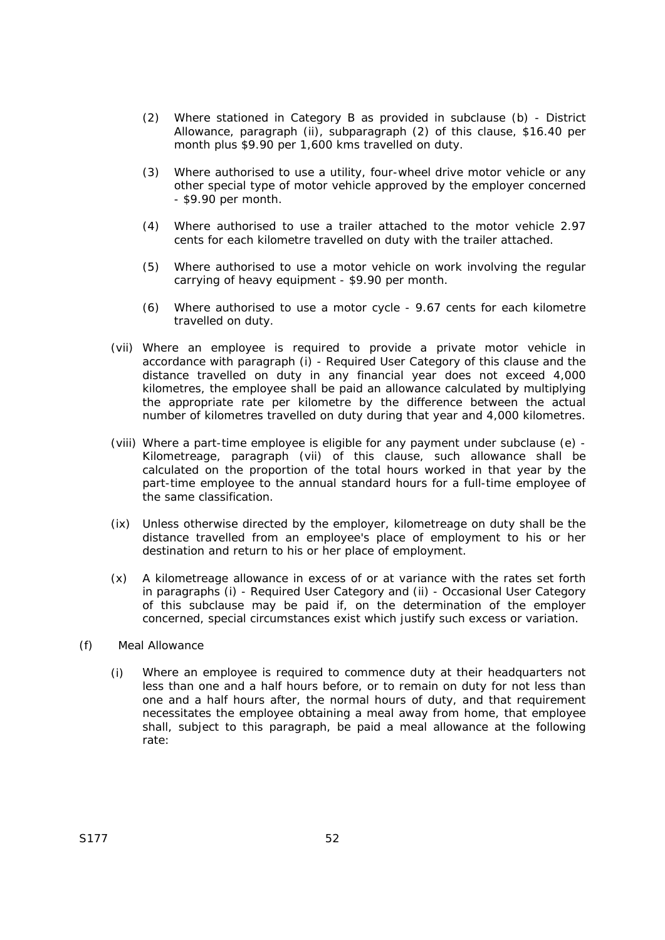- (2) Where stationed in Category B as provided in subclause (b) District Allowance, paragraph (ii), subparagraph (2) of this clause, \$16.40 per month plus \$9.90 per 1,600 kms travelled on duty.
- (3) Where authorised to use a utility, four-wheel drive motor vehicle or any other special type of motor vehicle approved by the employer concerned - \$9.90 per month.
- (4) Where authorised to use a trailer attached to the motor vehicle 2.97 cents for each kilometre travelled on duty with the trailer attached.
- (5) Where authorised to use a motor vehicle on work involving the regular carrying of heavy equipment - \$9.90 per month.
- (6) Where authorised to use a motor cycle 9.67 cents for each kilometre travelled on duty.
- (vii) Where an employee is required to provide a private motor vehicle in accordance with paragraph (i) - Required User Category of this clause and the distance travelled on duty in any financial year does not exceed 4,000 kilometres, the employee shall be paid an allowance calculated by multiplying the appropriate rate per kilometre by the difference between the actual number of kilometres travelled on duty during that year and 4,000 kilometres.
- (viii) Where a part-time employee is eligible for any payment under subclause (e) Kilometreage, paragraph (vii) of this clause, such allowance shall be calculated on the proportion of the total hours worked in that year by the part-time employee to the annual standard hours for a full-time employee of the same classification.
- (ix) Unless otherwise directed by the employer, kilometreage on duty shall be the distance travelled from an employee's place of employment to his or her destination and return to his or her place of employment.
- (x) A kilometreage allowance in excess of or at variance with the rates set forth in paragraphs (i) - Required User Category and (ii) - Occasional User Category of this subclause may be paid if, on the determination of the employer concerned, special circumstances exist which justify such excess or variation.
- (f) Meal Allowance
	- (i) Where an employee is required to commence duty at their headquarters not less than one and a half hours before, or to remain on duty for not less than one and a half hours after, the normal hours of duty, and that requirement necessitates the employee obtaining a meal away from home, that employee shall, subject to this paragraph, be paid a meal allowance at the following rate: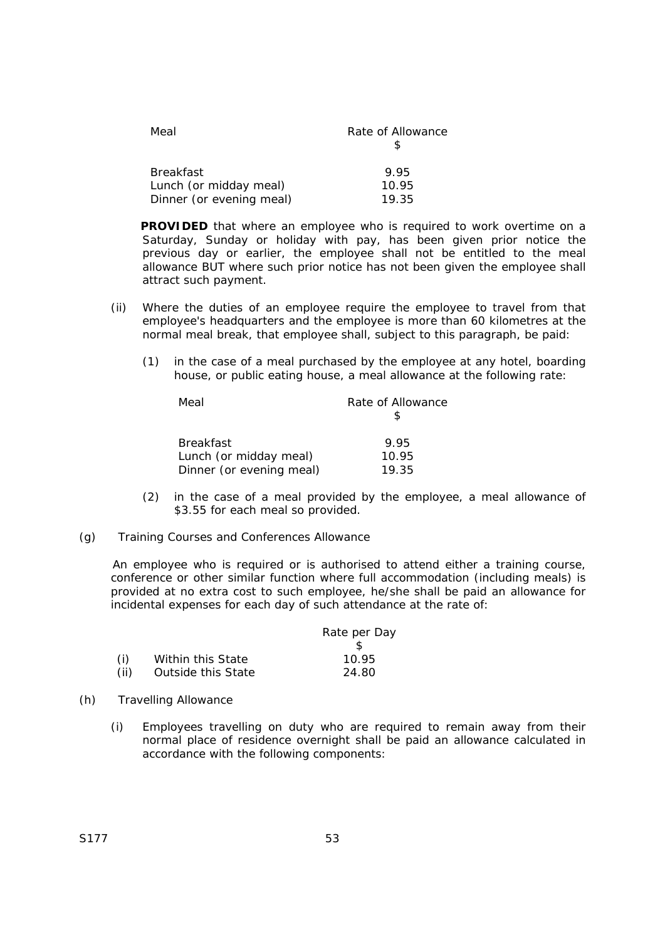| Meal                     | Rate of Allowance |
|--------------------------|-------------------|
|                          |                   |
| <b>Breakfast</b>         | 9.95              |
| Lunch (or midday meal)   | 10.95             |
| Dinner (or evening meal) | 19.35             |

**PROVIDED** that where an employee who is required to work overtime on a Saturday, Sunday or holiday with pay, has been given prior notice the previous day or earlier, the employee shall not be entitled to the meal allowance BUT where such prior notice has not been given the employee shall attract such payment.

- (ii) Where the duties of an employee require the employee to travel from that employee's headquarters and the employee is more than 60 kilometres at the normal meal break, that employee shall, subject to this paragraph, be paid:
	- (1) in the case of a meal purchased by the employee at any hotel, boarding house, or public eating house, a meal allowance at the following rate:

| Meal                     | Rate of Allowance |
|--------------------------|-------------------|
|                          |                   |
|                          |                   |
| <b>Breakfast</b>         | 995               |
| Lunch (or midday meal)   | 10.95             |
| Dinner (or evening meal) | 19.35             |

- (2) in the case of a meal provided by the employee, a meal allowance of \$3.55 for each meal so provided.
- (g) Training Courses and Conferences Allowance

An employee who is required or is authorised to attend either a training course, conference or other similar function where full accommodation (including meals) is provided at no extra cost to such employee, he/she shall be paid an allowance for incidental expenses for each day of such attendance at the rate of:

|      |                    | Rate per Day |
|------|--------------------|--------------|
|      |                    |              |
| (i)  | Within this State  | 10.95        |
| (ii) | Outside this State | 24.80        |

- (h) Travelling Allowance
	- (i) Employees travelling on duty who are required to remain away from their normal place of residence overnight shall be paid an allowance calculated in accordance with the following components: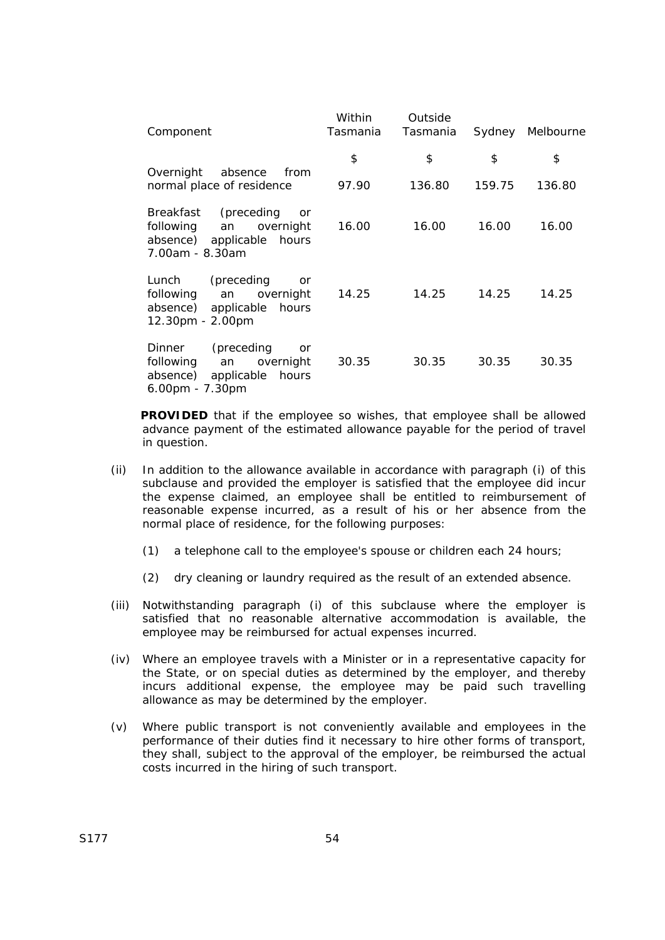| Component                                                                                               | Within<br>Tasmania | Outside<br>Tasmania |        | Sydney Melbourne |
|---------------------------------------------------------------------------------------------------------|--------------------|---------------------|--------|------------------|
|                                                                                                         | \$                 | \$                  | \$     | \$               |
| Overnight<br>absence<br>from<br>normal place of residence                                               | 97.90              | 136.80              | 159.75 | 136.80           |
| Breakfast (preceding<br>or<br>following<br>an overnight<br>absence) applicable hours<br>7.00am - 8.30am | 16.00              | 16.00               | 16.00  | 16.00            |
| Lunch (preceding<br>or<br>following an overnight<br>absence) applicable hours<br>12.30pm - 2.00pm       | 14.25              | 14.25               | 14.25  | 14.25            |
| Dinner (preceding<br>or<br>following an<br>overnight<br>absence) applicable hours<br>6.00pm - 7.30pm    | 30.35              | 30.35               | 30.35  | 30.35            |

**PROVIDED** that if the employee so wishes, that employee shall be allowed advance payment of the estimated allowance payable for the period of travel in question.

- (ii) In addition to the allowance available in accordance with paragraph (i) of this subclause and provided the employer is satisfied that the employee did incur the expense claimed, an employee shall be entitled to reimbursement of reasonable expense incurred, as a result of his or her absence from the normal place of residence, for the following purposes:
	- (1) a telephone call to the employee's spouse or children each 24 hours;
	- (2) dry cleaning or laundry required as the result of an extended absence.
- (iii) Notwithstanding paragraph (i) of this subclause where the employer is satisfied that no reasonable alternative accommodation is available, the employee may be reimbursed for actual expenses incurred.
- (iv) Where an employee travels with a Minister or in a representative capacity for the State, or on special duties as determined by the employer, and thereby incurs additional expense, the employee may be paid such travelling allowance as may be determined by the employer.
- (v) Where public transport is not conveniently available and employees in the performance of their duties find it necessary to hire other forms of transport, they shall, subject to the approval of the employer, be reimbursed the actual costs incurred in the hiring of such transport.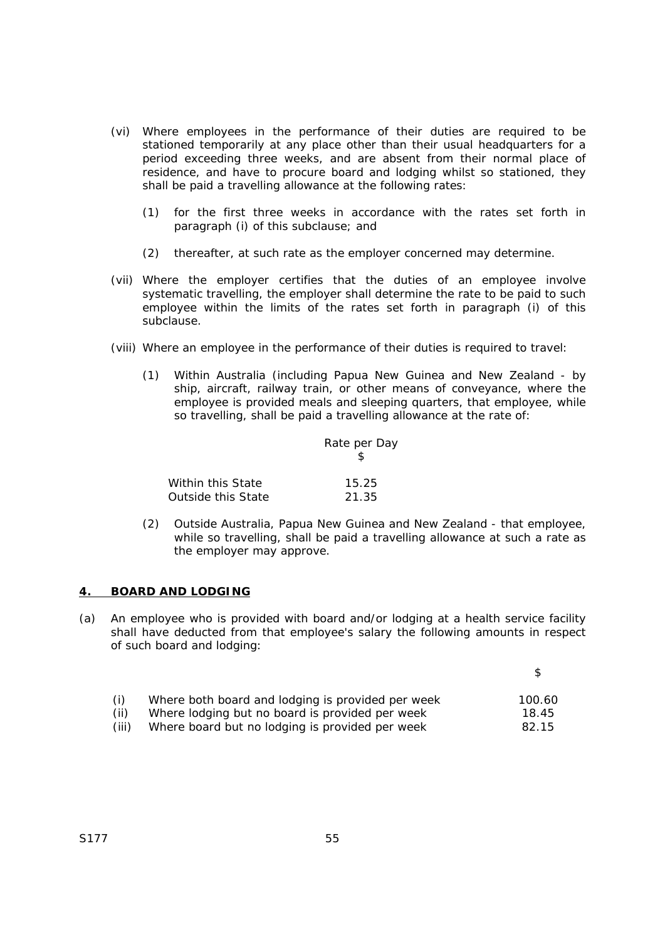- (vi) Where employees in the performance of their duties are required to be stationed temporarily at any place other than their usual headquarters for a period exceeding three weeks, and are absent from their normal place of residence, and have to procure board and lodging whilst so stationed, they shall be paid a travelling allowance at the following rates:
	- (1) for the first three weeks in accordance with the rates set forth in paragraph (i) of this subclause; and
	- (2) thereafter, at such rate as the employer concerned may determine.
- (vii) Where the employer certifies that the duties of an employee involve systematic travelling, the employer shall determine the rate to be paid to such employee within the limits of the rates set forth in paragraph (i) of this subclause.
- (viii) Where an employee in the performance of their duties is required to travel:
	- (1) Within Australia (including Papua New Guinea and New Zealand by ship, aircraft, railway train, or other means of conveyance, where the employee is provided meals and sleeping quarters, that employee, while so travelling, shall be paid a travelling allowance at the rate of:

|                    | Rate per Day |  |
|--------------------|--------------|--|
| Within this State  | 15.25        |  |
| Outside this State | 21.35        |  |

(2) Outside Australia, Papua New Guinea and New Zealand - that employee, while so travelling, shall be paid a travelling allowance at such a rate as the employer may approve.

### **4. BOARD AND LODGING**

(a) An employee who is provided with board and/or lodging at a health service facility shall have deducted from that employee's salary the following amounts in respect of such board and lodging:

| (i)   | Where both board and lodging is provided per week | 100.60 |
|-------|---------------------------------------------------|--------|
| (ii)  | Where lodging but no board is provided per week   | 18.45  |
| (iii) | Where board but no lodging is provided per week   | 82.15  |

 $\mathfrak{p}$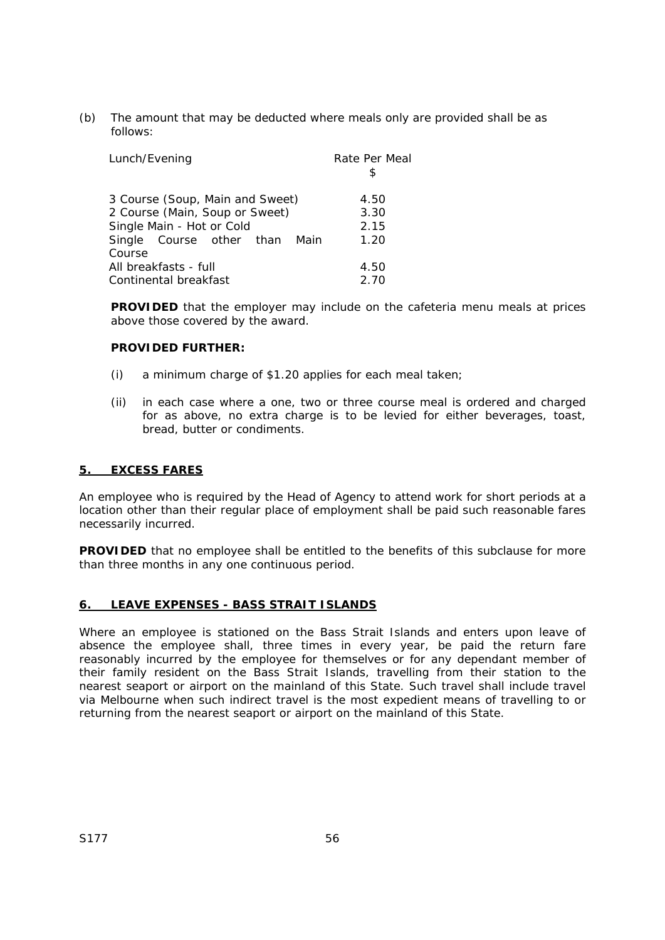(b) The amount that may be deducted where meals only are provided shall be as follows:

| Lunch/Evening                   | Rate Per Meal<br>S. |
|---------------------------------|---------------------|
| 3 Course (Soup, Main and Sweet) | 4.50                |
| 2 Course (Main, Soup or Sweet)  | 3.30                |
| Single Main - Hot or Cold       | 2.15                |
| Single Course other than Main   | 1.20                |
| Course                          |                     |
| All breakfasts - full           | 4.50                |
| Continental breakfast           | 2.70                |

**PROVIDED** that the employer may include on the cafeteria menu meals at prices above those covered by the award.

## **PROVIDED FURTHER:**

- (i) a minimum charge of \$1.20 applies for each meal taken;
- (ii) in each case where a one, two or three course meal is ordered and charged for as above, no extra charge is to be levied for either beverages, toast, bread, butter or condiments.

## **5. EXCESS FARES**

An employee who is required by the Head of Agency to attend work for short periods at a location other than their regular place of employment shall be paid such reasonable fares necessarily incurred.

**PROVIDED** that no employee shall be entitled to the benefits of this subclause for more than three months in any one continuous period.

## **6. LEAVE EXPENSES - BASS STRAIT ISLANDS**

Where an employee is stationed on the Bass Strait Islands and enters upon leave of absence the employee shall, three times in every year, be paid the return fare reasonably incurred by the employee for themselves or for any dependant member of their family resident on the Bass Strait Islands, travelling from their station to the nearest seaport or airport on the mainland of this State. Such travel shall include travel via Melbourne when such indirect travel is the most expedient means of travelling to or returning from the nearest seaport or airport on the mainland of this State.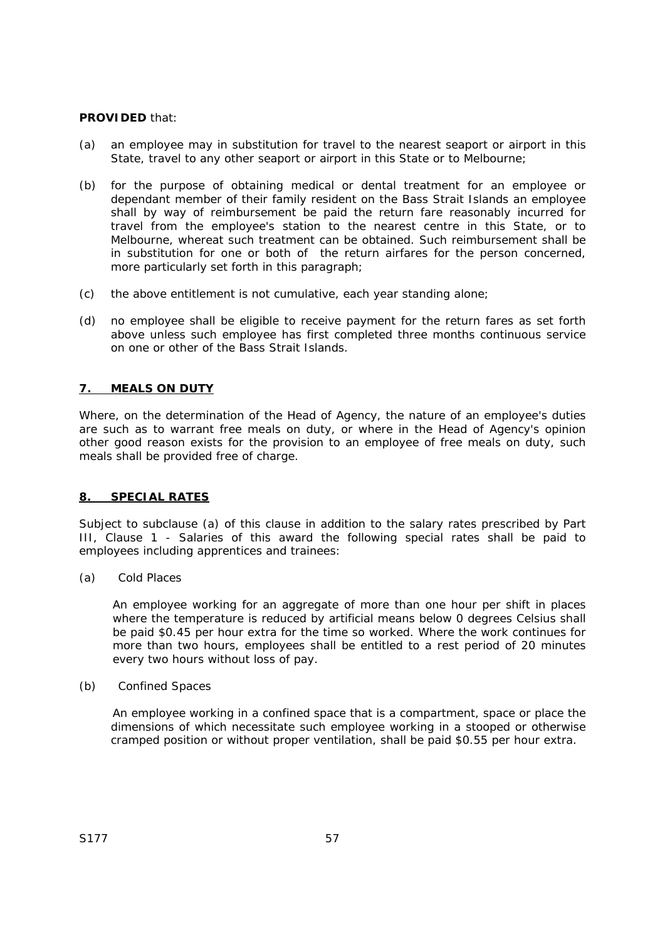## **PROVIDED** that:

- (a) an employee may in substitution for travel to the nearest seaport or airport in this State, travel to any other seaport or airport in this State or to Melbourne;
- (b) for the purpose of obtaining medical or dental treatment for an employee or dependant member of their family resident on the Bass Strait Islands an employee shall by way of reimbursement be paid the return fare reasonably incurred for travel from the employee's station to the nearest centre in this State, or to Melbourne, whereat such treatment can be obtained. Such reimbursement shall be in substitution for one or both of the return airfares for the person concerned, more particularly set forth in this paragraph;
- (c) the above entitlement is not cumulative, each year standing alone;
- (d) no employee shall be eligible to receive payment for the return fares as set forth above unless such employee has first completed three months continuous service on one or other of the Bass Strait Islands.

## **7. MEALS ON DUTY**

Where, on the determination of the Head of Agency, the nature of an employee's duties are such as to warrant free meals on duty, or where in the Head of Agency's opinion other good reason exists for the provision to an employee of free meals on duty, such meals shall be provided free of charge.

## **8. SPECIAL RATES**

Subject to subclause (a) of this clause in addition to the salary rates prescribed by Part III, Clause 1 - Salaries of this award the following special rates shall be paid to employees including apprentices and trainees:

(a) Cold Places

An employee working for an aggregate of more than one hour per shift in places where the temperature is reduced by artificial means below 0 degrees Celsius shall be paid \$0.45 per hour extra for the time so worked. Where the work continues for more than two hours, employees shall be entitled to a rest period of 20 minutes every two hours without loss of pay.

(b) Confined Spaces

An employee working in a confined space that is a compartment, space or place the dimensions of which necessitate such employee working in a stooped or otherwise cramped position or without proper ventilation, shall be paid \$0.55 per hour extra.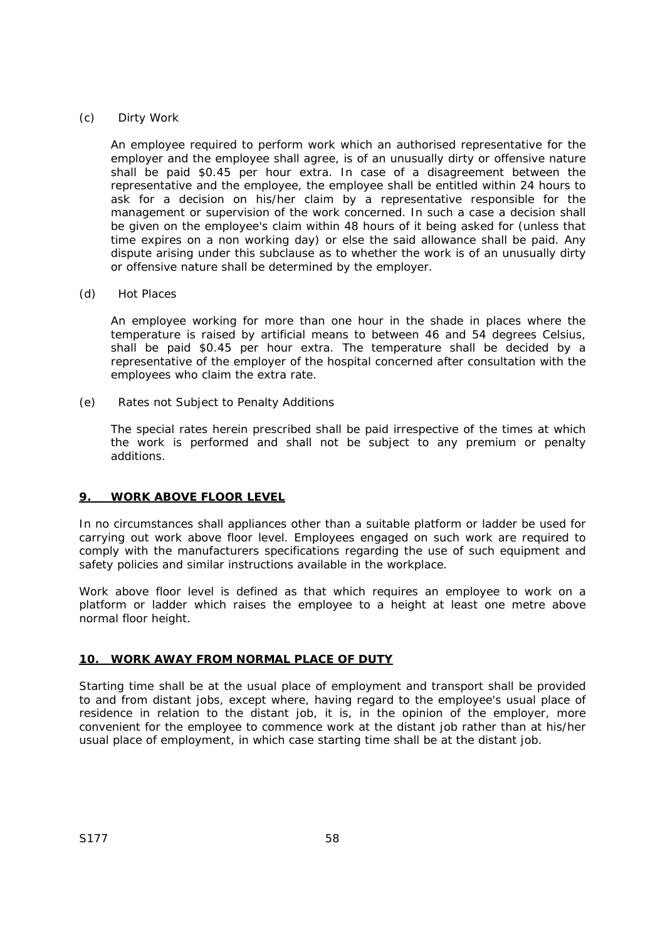## (c) Dirty Work

An employee required to perform work which an authorised representative for the employer and the employee shall agree, is of an unusually dirty or offensive nature shall be paid \$0.45 per hour extra. In case of a disagreement between the representative and the employee, the employee shall be entitled within 24 hours to ask for a decision on his/her claim by a representative responsible for the management or supervision of the work concerned. In such a case a decision shall be given on the employee's claim within 48 hours of it being asked for (unless that time expires on a non working day) or else the said allowance shall be paid. Any dispute arising under this subclause as to whether the work is of an unusually dirty or offensive nature shall be determined by the employer.

### (d) Hot Places

An employee working for more than one hour in the shade in places where the temperature is raised by artificial means to between 46 and 54 degrees Celsius, shall be paid \$0.45 per hour extra. The temperature shall be decided by a representative of the employer of the hospital concerned after consultation with the employees who claim the extra rate.

(e) Rates not Subject to Penalty Additions

The special rates herein prescribed shall be paid irrespective of the times at which the work is performed and shall not be subject to any premium or penalty additions.

## **9. WORK ABOVE FLOOR LEVEL**

In no circumstances shall appliances other than a suitable platform or ladder be used for carrying out work above floor level. Employees engaged on such work are required to comply with the manufacturers specifications regarding the use of such equipment and safety policies and similar instructions available in the workplace.

Work above floor level is defined as that which requires an employee to work on a platform or ladder which raises the employee to a height at least one metre above normal floor height.

## **10. WORK AWAY FROM NORMAL PLACE OF DUTY**

Starting time shall be at the usual place of employment and transport shall be provided to and from distant jobs, except where, having regard to the employee's usual place of residence in relation to the distant job, it is, in the opinion of the employer, more convenient for the employee to commence work at the distant job rather than at his/her usual place of employment, in which case starting time shall be at the distant job.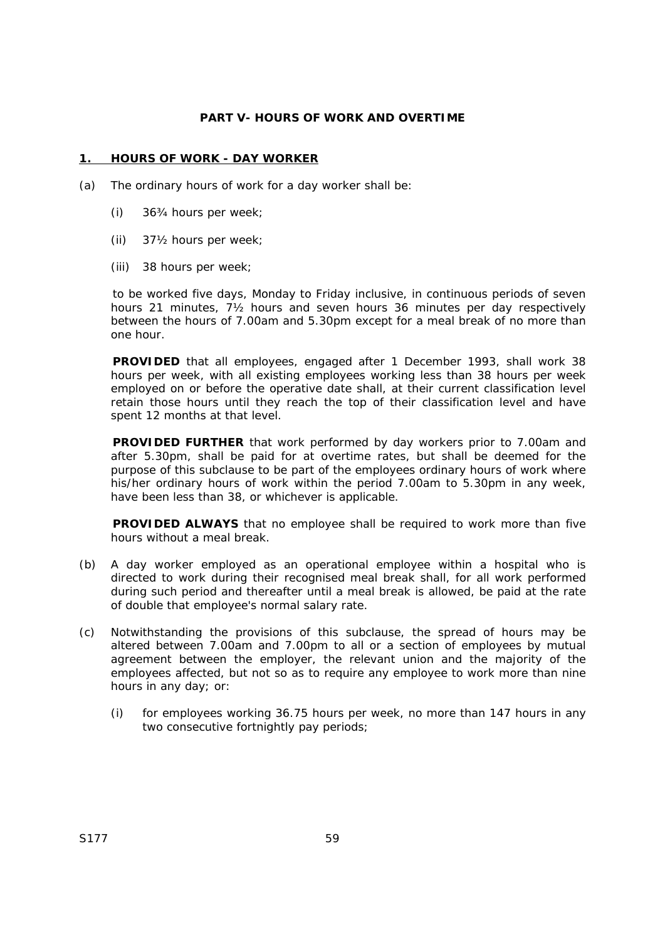## **PART V- HOURS OF WORK AND OVERTIME**

## **1. HOURS OF WORK - DAY WORKER**

- (a) The ordinary hours of work for a day worker shall be:
	- (i) 36¾ hours per week;
	- (ii) 37½ hours per week;
	- (iii) 38 hours per week;

to be worked five days, Monday to Friday inclusive, in continuous periods of seven hours 21 minutes, 7½ hours and seven hours 36 minutes per day respectively between the hours of 7.00am and 5.30pm except for a meal break of no more than one hour.

**PROVIDED** that all employees, engaged after 1 December 1993, shall work 38 hours per week, with all existing employees working less than 38 hours per week employed on or before the operative date shall, at their current classification level retain those hours until they reach the top of their classification level and have spent 12 months at that level.

**PROVIDED FURTHER** that work performed by day workers prior to 7.00am and after 5.30pm, shall be paid for at overtime rates, but shall be deemed for the purpose of this subclause to be part of the employees ordinary hours of work where his/her ordinary hours of work within the period 7.00am to 5.30pm in any week, have been less than 38, or whichever is applicable.

**PROVIDED ALWAYS** that no employee shall be required to work more than five hours without a meal break.

- (b) A day worker employed as an operational employee within a hospital who is directed to work during their recognised meal break shall, for all work performed during such period and thereafter until a meal break is allowed, be paid at the rate of double that employee's normal salary rate.
- (c) Notwithstanding the provisions of this subclause, the spread of hours may be altered between 7.00am and 7.00pm to all or a section of employees by mutual agreement between the employer, the relevant union and the majority of the employees affected, but not so as to require any employee to work more than nine hours in any day; or:
	- (i) for employees working 36.75 hours per week, no more than 147 hours in any two consecutive fortnightly pay periods;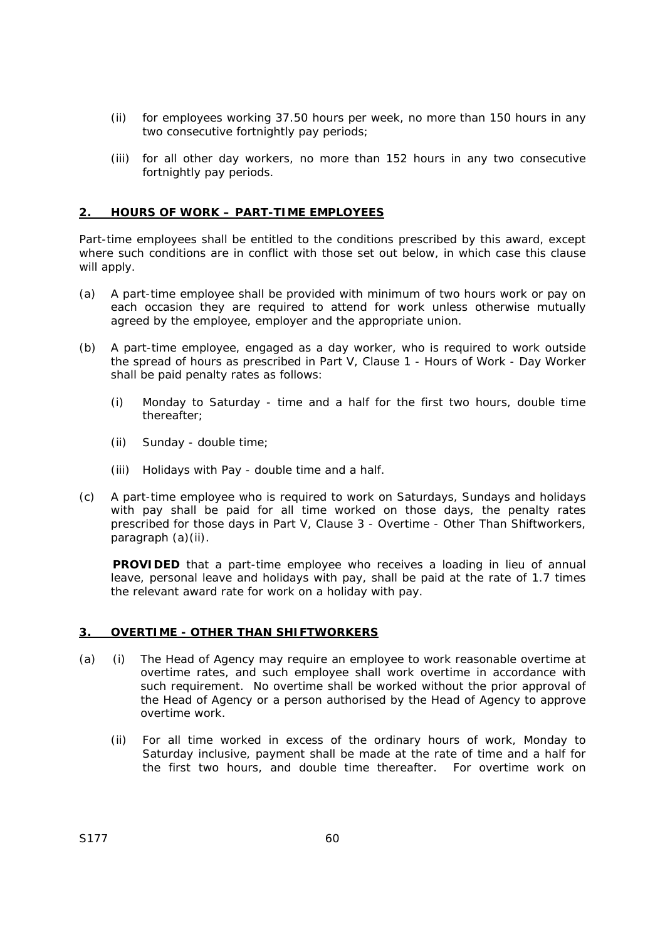- (ii) for employees working 37.50 hours per week, no more than 150 hours in any two consecutive fortnightly pay periods;
- (iii) for all other day workers, no more than 152 hours in any two consecutive fortnightly pay periods.

## **2. HOURS OF WORK – PART-TIME EMPLOYEES**

Part-time employees shall be entitled to the conditions prescribed by this award, except where such conditions are in conflict with those set out below, in which case this clause will apply.

- (a) A part-time employee shall be provided with minimum of two hours work or pay on each occasion they are required to attend for work unless otherwise mutually agreed by the employee, employer and the appropriate union.
- (b) A part-time employee, engaged as a day worker, who is required to work outside the spread of hours as prescribed in Part V, Clause 1 - Hours of Work - Day Worker shall be paid penalty rates as follows:
	- (i) Monday to Saturday time and a half for the first two hours, double time thereafter;
	- (ii) Sunday double time;
	- (iii) Holidays with Pay double time and a half.
- (c) A part-time employee who is required to work on Saturdays, Sundays and holidays with pay shall be paid for all time worked on those days, the penalty rates prescribed for those days in Part V, Clause 3 - Overtime - Other Than Shiftworkers, paragraph (a)(ii).

**PROVIDED** that a part-time employee who receives a loading in lieu of annual leave, personal leave and holidays with pay, shall be paid at the rate of 1.7 times the relevant award rate for work on a holiday with pay.

## **3. OVERTIME - OTHER THAN SHIFTWORKERS**

- (a) (i) The Head of Agency may require an employee to work reasonable overtime at overtime rates, and such employee shall work overtime in accordance with such requirement. No overtime shall be worked without the prior approval of the Head of Agency or a person authorised by the Head of Agency to approve overtime work.
	- (ii) For all time worked in excess of the ordinary hours of work, Monday to Saturday inclusive, payment shall be made at the rate of time and a half for the first two hours, and double time thereafter. For overtime work on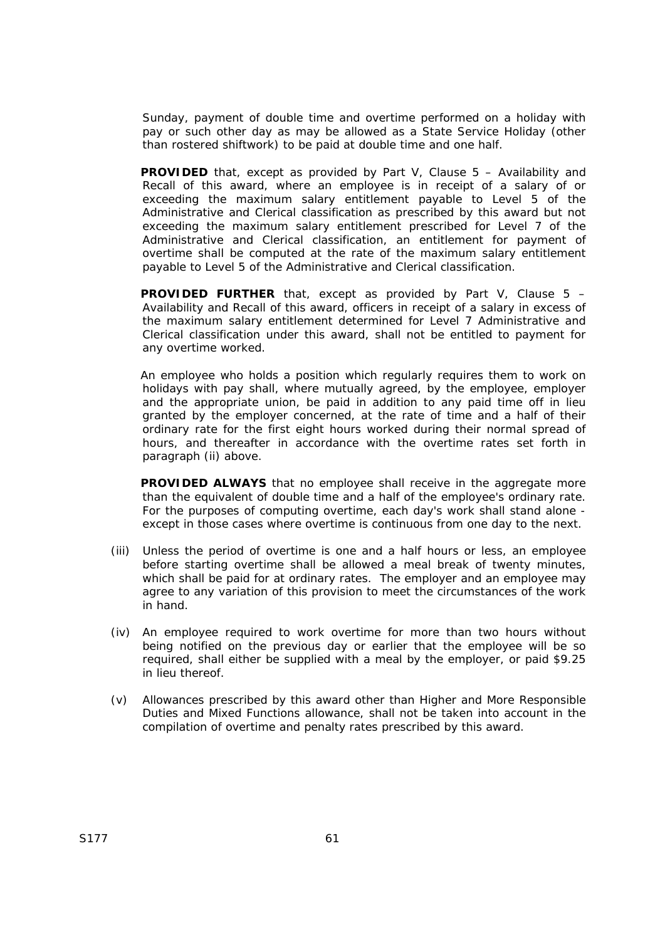Sunday, payment of double time and overtime performed on a holiday with pay or such other day as may be allowed as a State Service Holiday (other than rostered shiftwork) to be paid at double time and one half.

**PROVIDED** that, except as provided by Part V, Clause 5 – Availability and Recall of this award, where an employee is in receipt of a salary of or exceeding the maximum salary entitlement payable to Level 5 of the Administrative and Clerical classification as prescribed by this award but not exceeding the maximum salary entitlement prescribed for Level 7 of the Administrative and Clerical classification, an entitlement for payment of overtime shall be computed at the rate of the maximum salary entitlement payable to Level 5 of the Administrative and Clerical classification.

**PROVIDED FURTHER** that, except as provided by Part V, Clause 5 – Availability and Recall of this award, officers in receipt of a salary in excess of the maximum salary entitlement determined for Level 7 Administrative and Clerical classification under this award, shall not be entitled to payment for any overtime worked.

An employee who holds a position which regularly requires them to work on holidays with pay shall, where mutually agreed, by the employee, employer and the appropriate union, be paid in addition to any paid time off in lieu granted by the employer concerned, at the rate of time and a half of their ordinary rate for the first eight hours worked during their normal spread of hours, and thereafter in accordance with the overtime rates set forth in paragraph (ii) above.

**PROVIDED ALWAYS** that no employee shall receive in the aggregate more than the equivalent of double time and a half of the employee's ordinary rate. For the purposes of computing overtime, each day's work shall stand alone except in those cases where overtime is continuous from one day to the next.

- (iii) Unless the period of overtime is one and a half hours or less, an employee before starting overtime shall be allowed a meal break of twenty minutes, which shall be paid for at ordinary rates. The employer and an employee may agree to any variation of this provision to meet the circumstances of the work in hand.
- (iv) An employee required to work overtime for more than two hours without being notified on the previous day or earlier that the employee will be so required, shall either be supplied with a meal by the employer, or paid \$9.25 in lieu thereof.
- (v) Allowances prescribed by this award other than Higher and More Responsible Duties and Mixed Functions allowance, shall not be taken into account in the compilation of overtime and penalty rates prescribed by this award.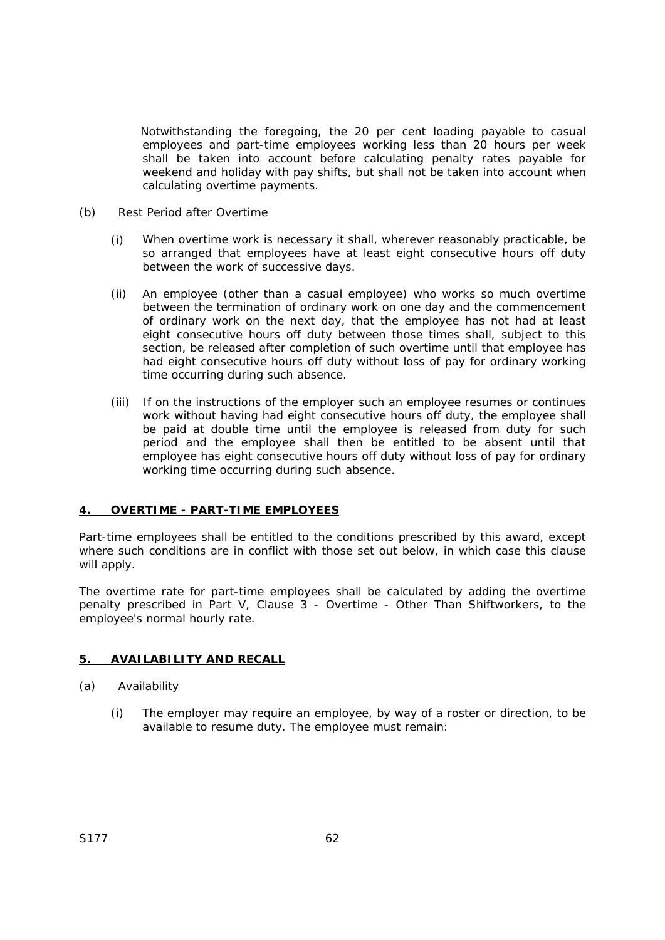Notwithstanding the foregoing, the 20 per cent loading payable to casual employees and part-time employees working less than 20 hours per week shall be taken into account before calculating penalty rates payable for weekend and holiday with pay shifts, but shall not be taken into account when calculating overtime payments.

- (b) Rest Period after Overtime
	- (i) When overtime work is necessary it shall, wherever reasonably practicable, be so arranged that employees have at least eight consecutive hours off duty between the work of successive days.
	- (ii) An employee (other than a casual employee) who works so much overtime between the termination of ordinary work on one day and the commencement of ordinary work on the next day, that the employee has not had at least eight consecutive hours off duty between those times shall, subject to this section, be released after completion of such overtime until that employee has had eight consecutive hours off duty without loss of pay for ordinary working time occurring during such absence.
	- (iii) If on the instructions of the employer such an employee resumes or continues work without having had eight consecutive hours off duty, the employee shall be paid at double time until the employee is released from duty for such period and the employee shall then be entitled to be absent until that employee has eight consecutive hours off duty without loss of pay for ordinary working time occurring during such absence.

## **4. OVERTIME - PART-TIME EMPLOYEES**

Part-time employees shall be entitled to the conditions prescribed by this award, except where such conditions are in conflict with those set out below, in which case this clause will apply.

The overtime rate for part-time employees shall be calculated by adding the overtime penalty prescribed in Part V, Clause 3 - Overtime - Other Than Shiftworkers, to the employee's normal hourly rate.

# **5. AVAILABILITY AND RECALL**

- (a) Availability
	- (i) The employer may require an employee, by way of a roster or direction, to be available to resume duty. The employee must remain: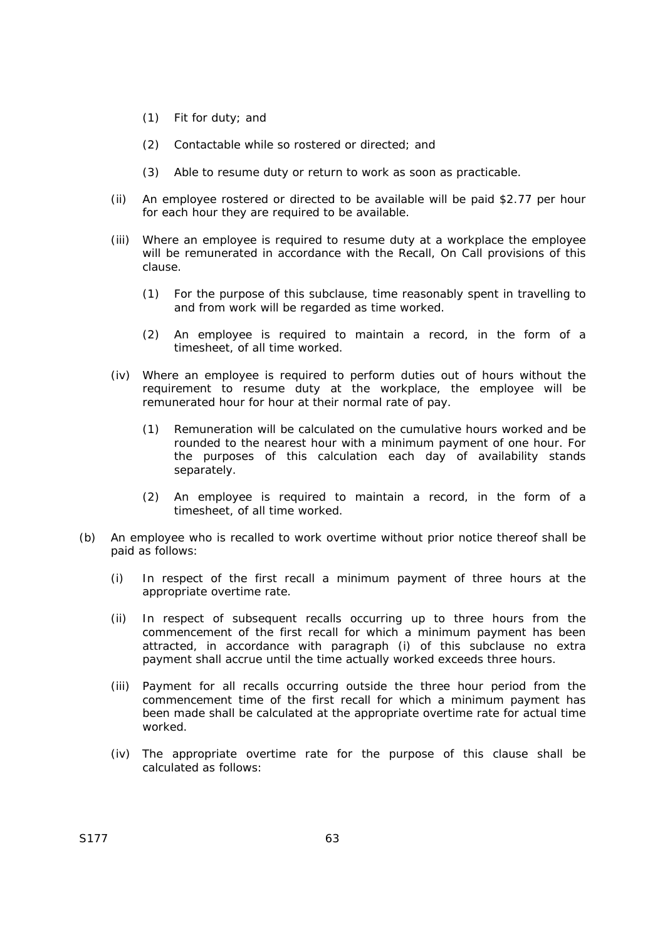- (1) Fit for duty; and
- (2) Contactable while so rostered or directed; and
- (3) Able to resume duty or return to work as soon as practicable.
- (ii) An employee rostered or directed to be available will be paid \$2.77 per hour for each hour they are required to be available.
- (iii) Where an employee is required to resume duty at a workplace the employee will be remunerated in accordance with the Recall, On Call provisions of this clause.
	- (1) For the purpose of this subclause, time reasonably spent in travelling to and from work will be regarded as time worked.
	- (2) An employee is required to maintain a record, in the form of a timesheet, of all time worked.
- (iv) Where an employee is required to perform duties out of hours without the requirement to resume duty at the workplace, the employee will be remunerated hour for hour at their normal rate of pay.
	- (1) Remuneration will be calculated on the cumulative hours worked and be rounded to the nearest hour with a minimum payment of one hour. For the purposes of this calculation each day of availability stands separately.
	- (2) An employee is required to maintain a record, in the form of a timesheet, of all time worked.
- (b) An employee who is recalled to work overtime without prior notice thereof shall be paid as follows:
	- (i) In respect of the first recall a minimum payment of three hours at the appropriate overtime rate.
	- (ii) In respect of subsequent recalls occurring up to three hours from the commencement of the first recall for which a minimum payment has been attracted, in accordance with paragraph (i) of this subclause no extra payment shall accrue until the time actually worked exceeds three hours.
	- (iii) Payment for all recalls occurring outside the three hour period from the commencement time of the first recall for which a minimum payment has been made shall be calculated at the appropriate overtime rate for actual time worked.
	- (iv) The appropriate overtime rate for the purpose of this clause shall be calculated as follows: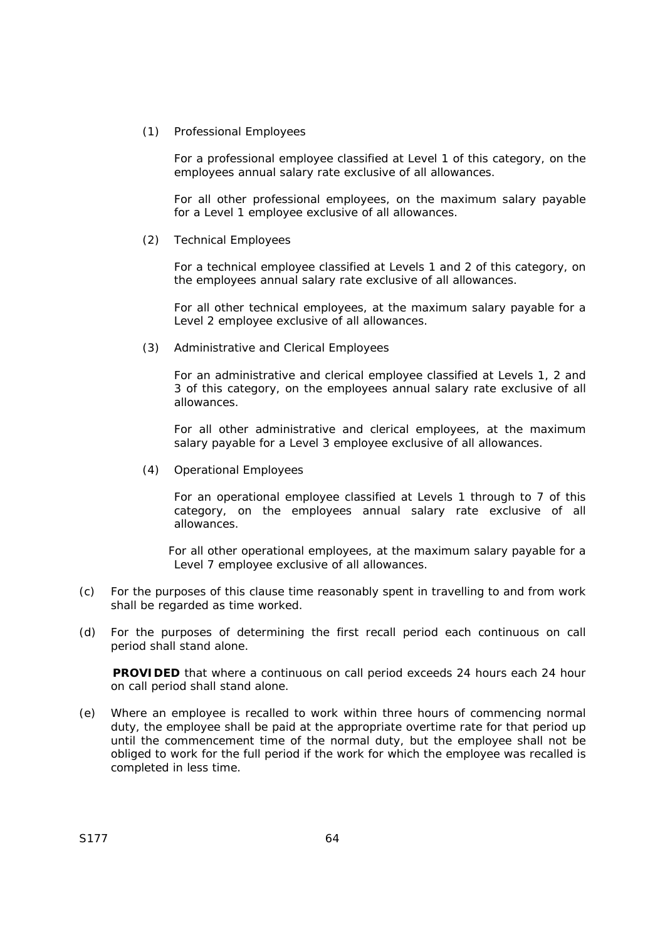(1) Professional Employees

For a professional employee classified at Level 1 of this category, on the employees annual salary rate exclusive of all allowances.

For all other professional employees, on the maximum salary payable for a Level 1 employee exclusive of all allowances.

(2) Technical Employees

For a technical employee classified at Levels 1 and 2 of this category, on the employees annual salary rate exclusive of all allowances.

For all other technical employees, at the maximum salary payable for a Level 2 employee exclusive of all allowances.

(3) Administrative and Clerical Employees

For an administrative and clerical employee classified at Levels 1, 2 and 3 of this category, on the employees annual salary rate exclusive of all allowances.

For all other administrative and clerical employees, at the maximum salary payable for a Level 3 employee exclusive of all allowances.

(4) Operational Employees

For an operational employee classified at Levels 1 through to 7 of this category, on the employees annual salary rate exclusive of all allowances.

For all other operational employees, at the maximum salary payable for a Level 7 employee exclusive of all allowances.

- (c) For the purposes of this clause time reasonably spent in travelling to and from work shall be regarded as time worked.
- (d) For the purposes of determining the first recall period each continuous on call period shall stand alone.

**PROVIDED** that where a continuous on call period exceeds 24 hours each 24 hour on call period shall stand alone.

(e) Where an employee is recalled to work within three hours of commencing normal duty, the employee shall be paid at the appropriate overtime rate for that period up until the commencement time of the normal duty, but the employee shall not be obliged to work for the full period if the work for which the employee was recalled is completed in less time.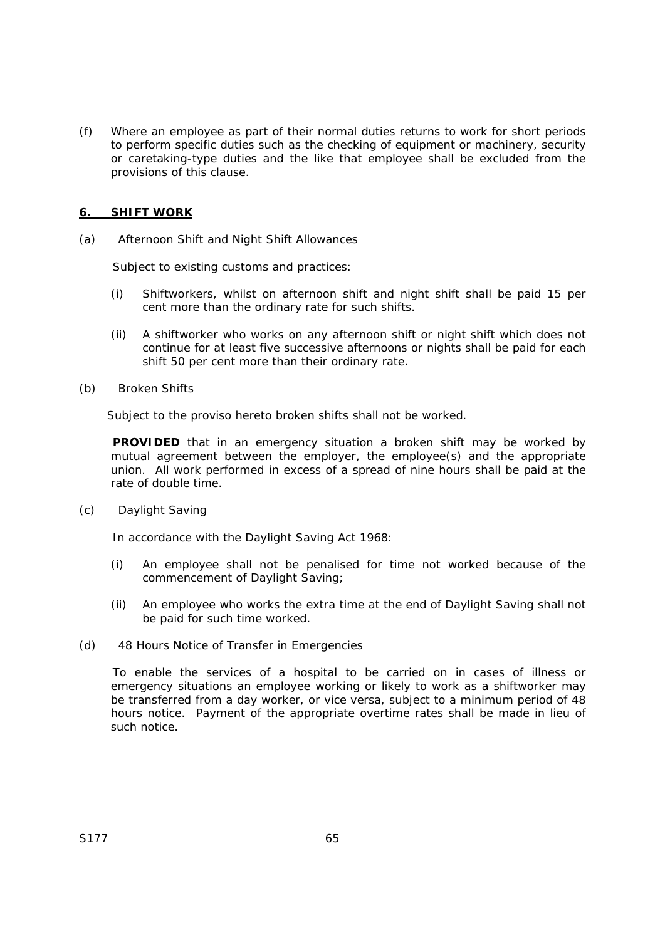(f) Where an employee as part of their normal duties returns to work for short periods to perform specific duties such as the checking of equipment or machinery, security or caretaking-type duties and the like that employee shall be excluded from the provisions of this clause.

## **6. SHIFT WORK**

(a) Afternoon Shift and Night Shift Allowances

Subject to existing customs and practices:

- (i) Shiftworkers, whilst on afternoon shift and night shift shall be paid 15 per cent more than the ordinary rate for such shifts.
- (ii) A shiftworker who works on any afternoon shift or night shift which does not continue for at least five successive afternoons or nights shall be paid for each shift 50 per cent more than their ordinary rate.
- (b) Broken Shifts

Subject to the proviso hereto broken shifts shall not be worked.

**PROVIDED** that in an emergency situation a broken shift may be worked by mutual agreement between the employer, the employee(s) and the appropriate union. All work performed in excess of a spread of nine hours shall be paid at the rate of double time.

(c) Daylight Saving

In accordance with the *Daylight Saving Act 1968*:

- (i) An employee shall not be penalised for time not worked because of the commencement of Daylight Saving;
- (ii) An employee who works the extra time at the end of Daylight Saving shall not be paid for such time worked.
- (d) 48 Hours Notice of Transfer in Emergencies

To enable the services of a hospital to be carried on in cases of illness or emergency situations an employee working or likely to work as a shiftworker may be transferred from a day worker, or vice versa, subject to a minimum period of 48 hours notice. Payment of the appropriate overtime rates shall be made in lieu of such notice.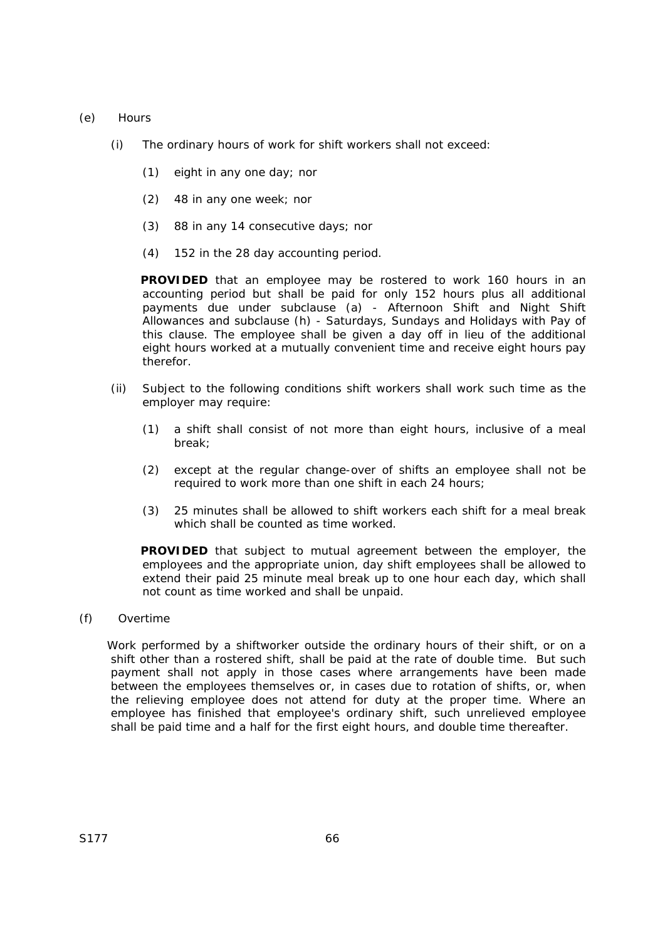- (e) Hours
	- (i) The ordinary hours of work for shift workers shall not exceed:
		- (1) eight in any one day; nor
		- (2) 48 in any one week; nor
		- (3) 88 in any 14 consecutive days; nor
		- (4) 152 in the 28 day accounting period.

**PROVIDED** that an employee may be rostered to work 160 hours in an accounting period but shall be paid for only 152 hours plus all additional payments due under subclause (a) - Afternoon Shift and Night Shift Allowances and subclause (h) - Saturdays, Sundays and Holidays with Pay of this clause. The employee shall be given a day off in lieu of the additional eight hours worked at a mutually convenient time and receive eight hours pay therefor.

- (ii) Subject to the following conditions shift workers shall work such time as the employer may require:
	- (1) a shift shall consist of not more than eight hours, inclusive of a meal break;
	- (2) except at the regular change-over of shifts an employee shall not be required to work more than one shift in each 24 hours;
	- (3) 25 minutes shall be allowed to shift workers each shift for a meal break which shall be counted as time worked.

**PROVIDED** that subject to mutual agreement between the employer, the employees and the appropriate union, day shift employees shall be allowed to extend their paid 25 minute meal break up to one hour each day, which shall not count as time worked and shall be unpaid.

(f) Overtime

Work performed by a shiftworker outside the ordinary hours of their shift, or on a shift other than a rostered shift, shall be paid at the rate of double time. But such payment shall not apply in those cases where arrangements have been made between the employees themselves or, in cases due to rotation of shifts, or, when the relieving employee does not attend for duty at the proper time. Where an employee has finished that employee's ordinary shift, such unrelieved employee shall be paid time and a half for the first eight hours, and double time thereafter.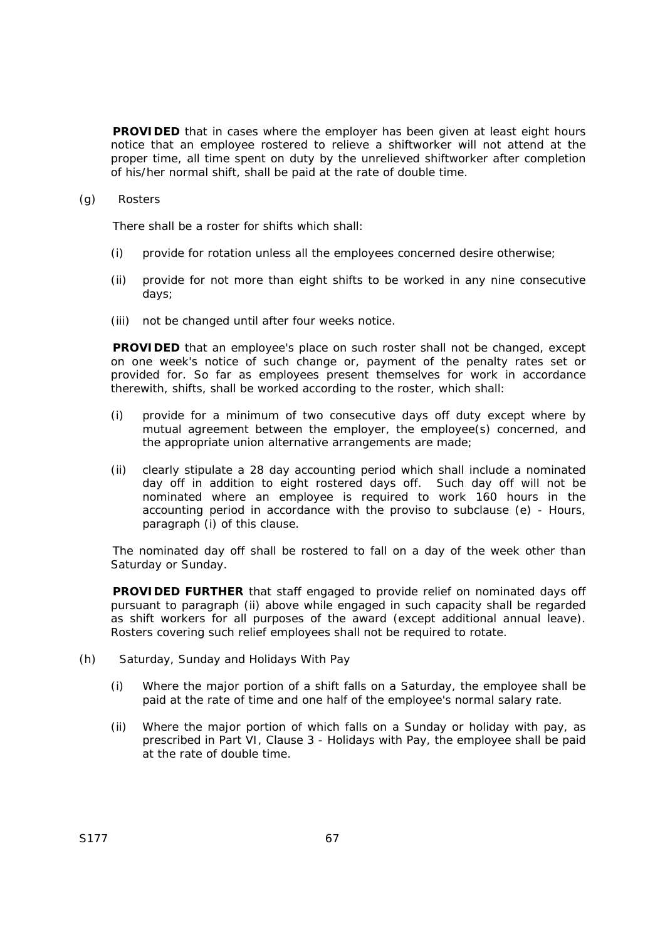**PROVIDED** that in cases where the employer has been given at least eight hours notice that an employee rostered to relieve a shiftworker will not attend at the proper time, all time spent on duty by the unrelieved shiftworker after completion of his/her normal shift, shall be paid at the rate of double time.

(g) Rosters

There shall be a roster for shifts which shall:

- (i) provide for rotation unless all the employees concerned desire otherwise;
- (ii) provide for not more than eight shifts to be worked in any nine consecutive days;
- (iii) not be changed until after four weeks notice.

**PROVIDED** that an employee's place on such roster shall not be changed, except on one week's notice of such change or, payment of the penalty rates set or provided for. So far as employees present themselves for work in accordance therewith, shifts, shall be worked according to the roster, which shall:

- (i) provide for a minimum of two consecutive days off duty except where by mutual agreement between the employer, the employee(s) concerned, and the appropriate union alternative arrangements are made;
- (ii) clearly stipulate a 28 day accounting period which shall include a nominated day off in addition to eight rostered days off. Such day off will not be nominated where an employee is required to work 160 hours in the accounting period in accordance with the proviso to subclause (e) - Hours, paragraph (i) of this clause.

The nominated day off shall be rostered to fall on a day of the week other than Saturday or Sunday.

**PROVIDED FURTHER** that staff engaged to provide relief on nominated days off pursuant to paragraph (ii) above while engaged in such capacity shall be regarded as shift workers for all purposes of the award (except additional annual leave). Rosters covering such relief employees shall not be required to rotate.

- (h) Saturday, Sunday and Holidays With Pay
	- (i) Where the major portion of a shift falls on a Saturday, the employee shall be paid at the rate of time and one half of the employee's normal salary rate.
	- (ii) Where the major portion of which falls on a Sunday or holiday with pay, as prescribed in Part VI, Clause 3 - Holidays with Pay, the employee shall be paid at the rate of double time.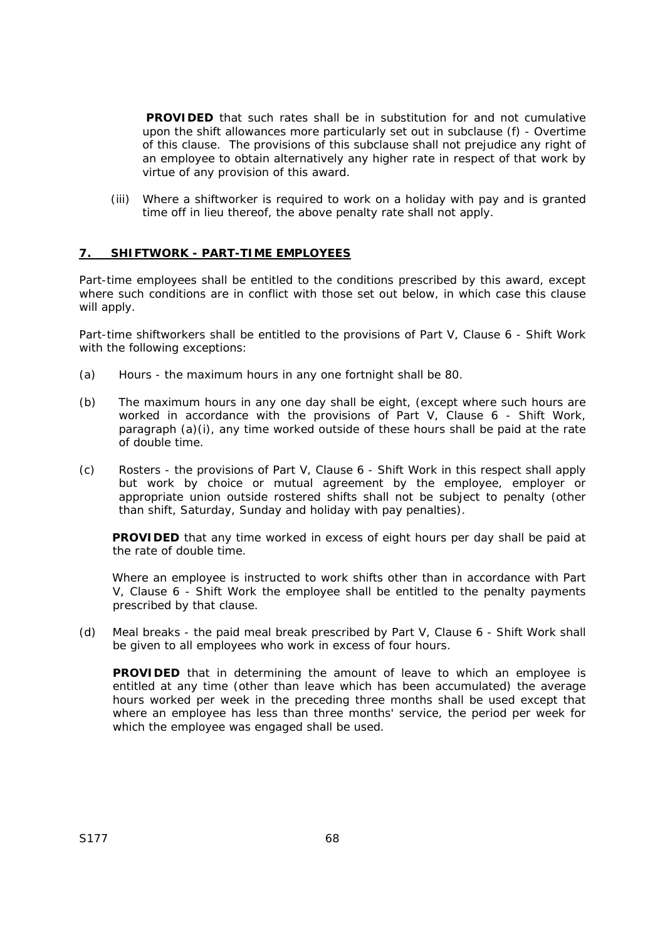**PROVIDED** that such rates shall be in substitution for and not cumulative upon the shift allowances more particularly set out in subclause (f) - Overtime of this clause. The provisions of this subclause shall not prejudice any right of an employee to obtain alternatively any higher rate in respect of that work by virtue of any provision of this award.

(iii) Where a shiftworker is required to work on a holiday with pay and is granted time off in lieu thereof, the above penalty rate shall not apply.

## **7. SHIFTWORK - PART-TIME EMPLOYEES**

Part-time employees shall be entitled to the conditions prescribed by this award, except where such conditions are in conflict with those set out below, in which case this clause will apply.

Part-time shiftworkers shall be entitled to the provisions of Part V, Clause 6 - Shift Work with the following exceptions:

- (a) Hours the maximum hours in any one fortnight shall be 80.
- (b) The maximum hours in any one day shall be eight, (except where such hours are worked in accordance with the provisions of Part V, Clause 6 - Shift Work, paragraph (a)(i), any time worked outside of these hours shall be paid at the rate of double time.
- (c) Rosters the provisions of Part V, Clause 6 Shift Work in this respect shall apply but work by choice or mutual agreement by the employee, employer or appropriate union outside rostered shifts shall not be subject to penalty (other than shift, Saturday, Sunday and holiday with pay penalties).

**PROVIDED** that any time worked in excess of eight hours per day shall be paid at the rate of double time.

Where an employee is instructed to work shifts other than in accordance with Part V, Clause 6 - Shift Work the employee shall be entitled to the penalty payments prescribed by that clause.

(d) Meal breaks - the paid meal break prescribed by Part V, Clause 6 - Shift Work shall be given to all employees who work in excess of four hours.

**PROVIDED** that in determining the amount of leave to which an employee is entitled at any time (other than leave which has been accumulated) the average hours worked per week in the preceding three months shall be used except that where an employee has less than three months' service, the period per week for which the employee was engaged shall be used.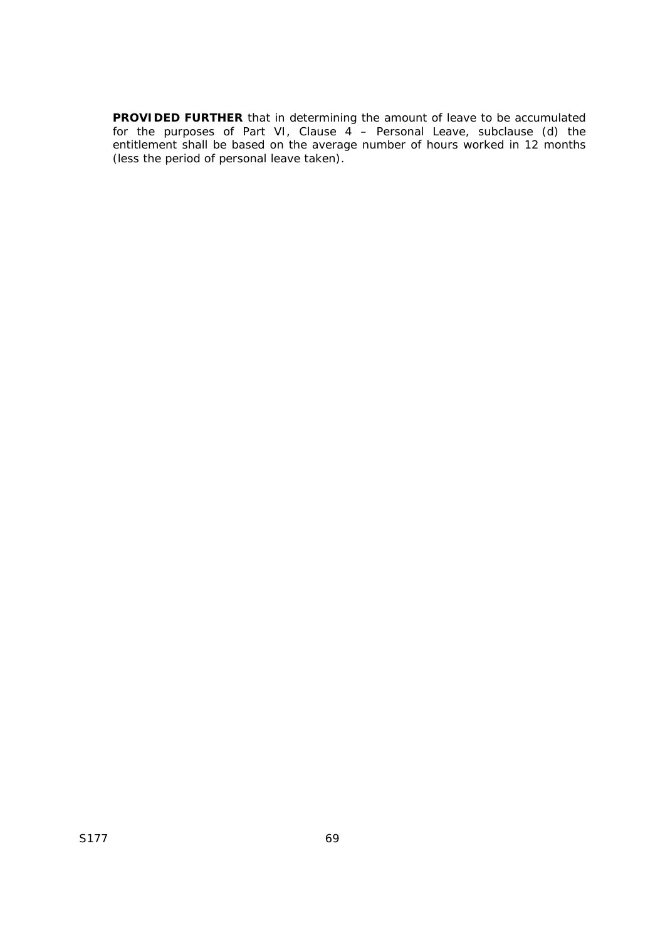**PROVIDED FURTHER** that in determining the amount of leave to be accumulated for the purposes of Part VI, Clause 4 – Personal Leave, subclause (d) the entitlement shall be based on the average number of hours worked in 12 months (less the period of personal leave taken).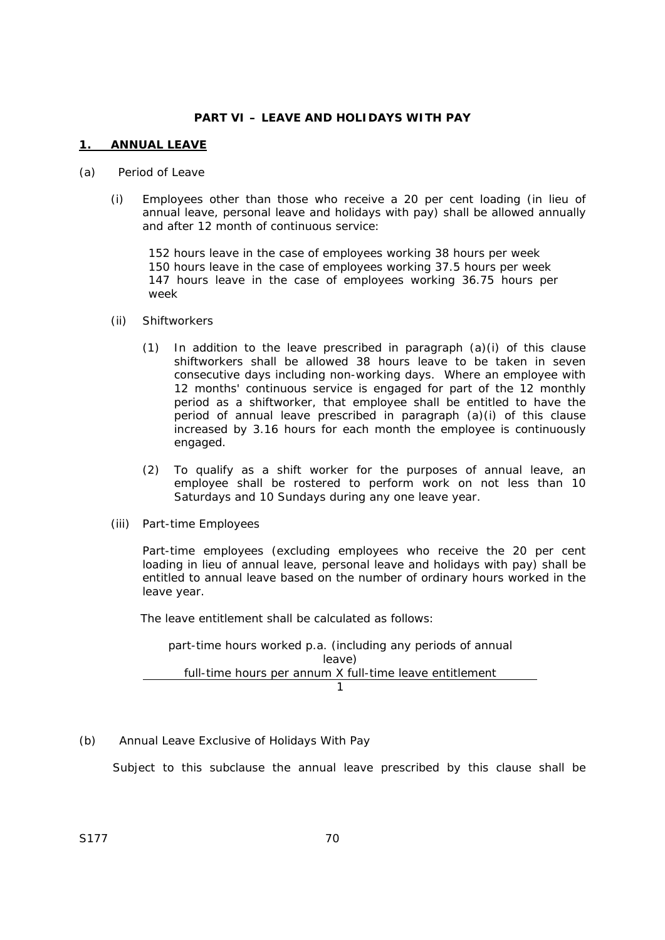## **PART VI – LEAVE AND HOLIDAYS WITH PAY**

## **1. ANNUAL LEAVE**

#### (a) Period of Leave

(i) Employees other than those who receive a 20 per cent loading (in lieu of annual leave, personal leave and holidays with pay) shall be allowed annually and after 12 month of continuous service:

152 hours leave in the case of employees working 38 hours per week 150 hours leave in the case of employees working 37.5 hours per week 147 hours leave in the case of employees working 36.75 hours per week

- (ii) Shiftworkers
	- (1) In addition to the leave prescribed in paragraph (a)(i) of this clause shiftworkers shall be allowed 38 hours leave to be taken in seven consecutive days including non-working days. Where an employee with 12 months' continuous service is engaged for part of the 12 monthly period as a shiftworker, that employee shall be entitled to have the period of annual leave prescribed in paragraph (a)(i) of this clause increased by 3.16 hours for each month the employee is continuously engaged.
	- (2) To qualify as a shift worker for the purposes of annual leave, an employee shall be rostered to perform work on not less than 10 Saturdays and 10 Sundays during any one leave year.
- (iii) Part-time Employees

 Part-time employees (excluding employees who receive the 20 per cent loading in lieu of annual leave, personal leave and holidays with pay) shall be entitled to annual leave based on the number of ordinary hours worked in the leave year.

The leave entitlement shall be calculated as follows:

part-time hours worked p.a. (including any periods of annual leave) full-time hours per annum X full-time leave entitlement 1

(b) Annual Leave Exclusive of Holidays With Pay

Subject to this subclause the annual leave prescribed by this clause shall be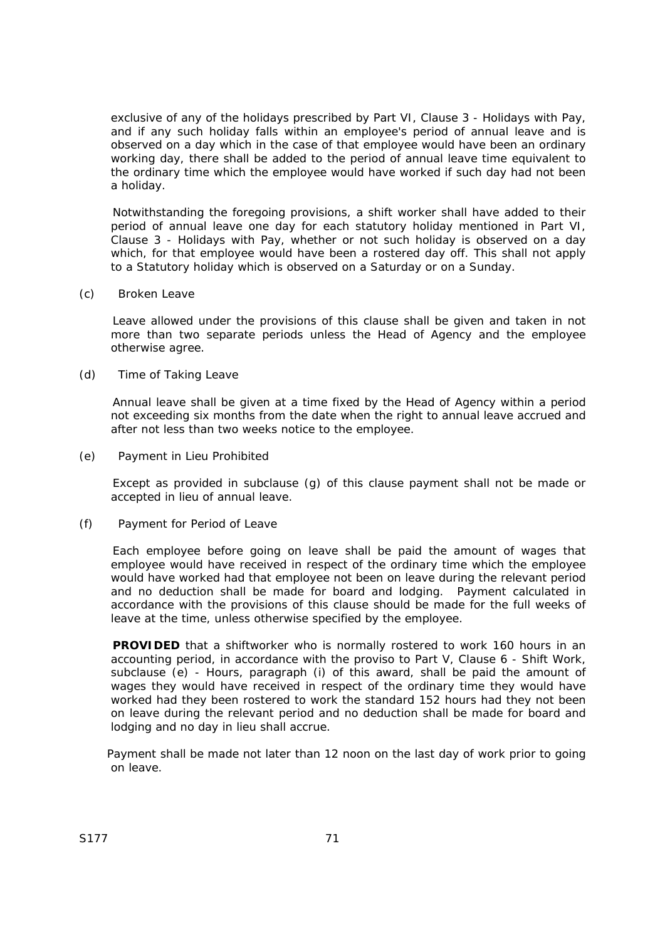exclusive of any of the holidays prescribed by Part VI, Clause 3 - Holidays with Pay, and if any such holiday falls within an employee's period of annual leave and is observed on a day which in the case of that employee would have been an ordinary working day, there shall be added to the period of annual leave time equivalent to the ordinary time which the employee would have worked if such day had not been a holiday.

Notwithstanding the foregoing provisions, a shift worker shall have added to their period of annual leave one day for each statutory holiday mentioned in Part VI, Clause 3 - Holidays with Pay, whether or not such holiday is observed on a day which, for that employee would have been a rostered day off. This shall not apply to a Statutory holiday which is observed on a Saturday or on a Sunday.

(c) Broken Leave

Leave allowed under the provisions of this clause shall be given and taken in not more than two separate periods unless the Head of Agency and the employee otherwise agree.

(d) Time of Taking Leave

Annual leave shall be given at a time fixed by the Head of Agency within a period not exceeding six months from the date when the right to annual leave accrued and after not less than two weeks notice to the employee.

(e) Payment in Lieu Prohibited

Except as provided in subclause (g) of this clause payment shall not be made or accepted in lieu of annual leave.

(f) Payment for Period of Leave

Each employee before going on leave shall be paid the amount of wages that employee would have received in respect of the ordinary time which the employee would have worked had that employee not been on leave during the relevant period and no deduction shall be made for board and lodging. Payment calculated in accordance with the provisions of this clause should be made for the full weeks of leave at the time, unless otherwise specified by the employee.

**PROVIDED** that a shiftworker who is normally rostered to work 160 hours in an accounting period, in accordance with the proviso to Part V, Clause 6 - Shift Work, subclause (e) - Hours, paragraph (i) of this award, shall be paid the amount of wages they would have received in respect of the ordinary time they would have worked had they been rostered to work the standard 152 hours had they not been on leave during the relevant period and no deduction shall be made for board and lodging and no day in lieu shall accrue.

Payment shall be made not later than 12 noon on the last day of work prior to going on leave.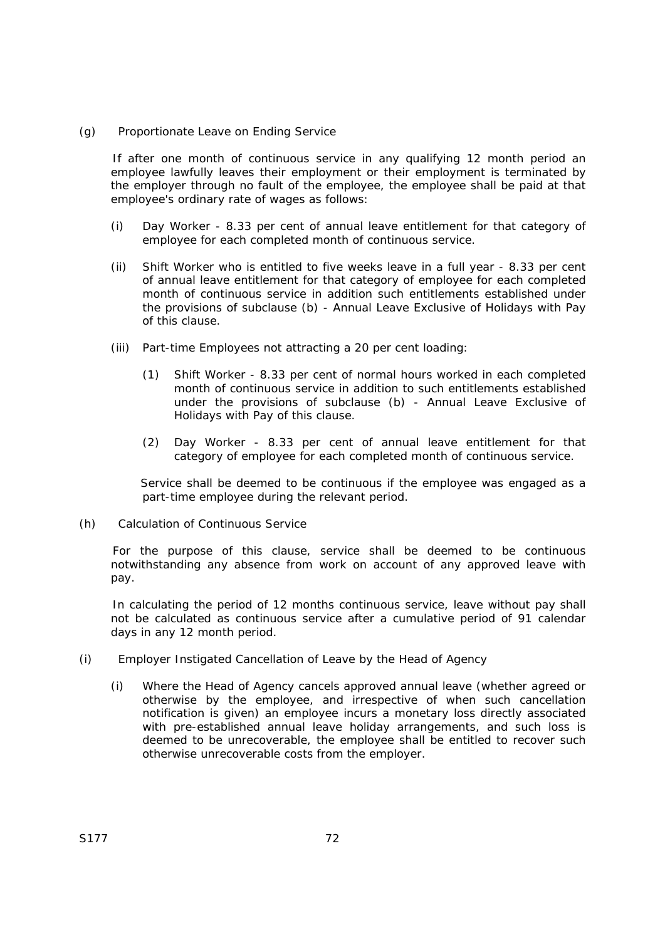(g) Proportionate Leave on Ending Service

If after one month of continuous service in any qualifying 12 month period an employee lawfully leaves their employment or their employment is terminated by the employer through no fault of the employee, the employee shall be paid at that employee's ordinary rate of wages as follows:

- (i) Day Worker 8.33 per cent of annual leave entitlement for that category of employee for each completed month of continuous service.
- (ii) Shift Worker who is entitled to five weeks leave in a full year 8.33 per cent of annual leave entitlement for that category of employee for each completed month of continuous service in addition such entitlements established under the provisions of subclause (b) - Annual Leave Exclusive of Holidays with Pay of this clause.
- (iii) Part-time Employees not attracting a 20 per cent loading:
	- (1) Shift Worker 8.33 per cent of normal hours worked in each completed month of continuous service in addition to such entitlements established under the provisions of subclause (b) - Annual Leave Exclusive of Holidays with Pay of this clause.
	- (2) Day Worker 8.33 per cent of annual leave entitlement for that category of employee for each completed month of continuous service.

Service shall be deemed to be continuous if the employee was engaged as a part-time employee during the relevant period.

(h) Calculation of Continuous Service

For the purpose of this clause, service shall be deemed to be continuous notwithstanding any absence from work on account of any approved leave with pay.

In calculating the period of 12 months continuous service, leave without pay shall not be calculated as continuous service after a cumulative period of 91 calendar days in any 12 month period.

- (i) Employer Instigated Cancellation of Leave by the Head of Agency
	- (i) Where the Head of Agency cancels approved annual leave (whether agreed or otherwise by the employee, and irrespective of when such cancellation notification is given) an employee incurs a monetary loss directly associated with pre-established annual leave holiday arrangements, and such loss is deemed to be unrecoverable, the employee shall be entitled to recover such otherwise unrecoverable costs from the employer.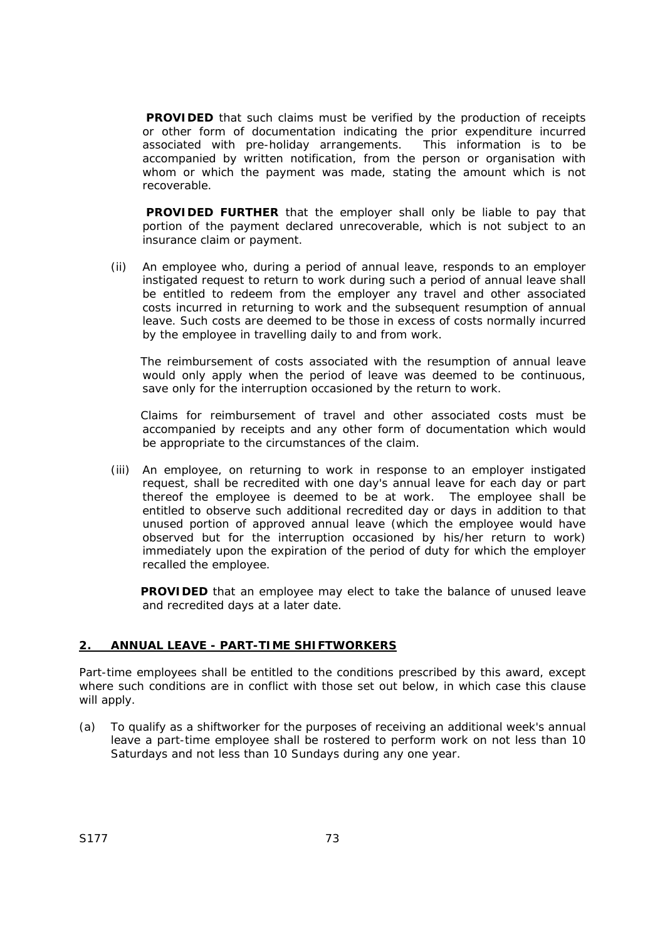**PROVIDED** that such claims must be verified by the production of receipts or other form of documentation indicating the prior expenditure incurred associated with pre-holiday arrangements. This information is to be accompanied by written notification, from the person or organisation with whom or which the payment was made, stating the amount which is not recoverable.

**PROVIDED FURTHER** that the employer shall only be liable to pay that portion of the payment declared unrecoverable, which is not subject to an insurance claim or payment.

(ii) An employee who, during a period of annual leave, responds to an employer instigated request to return to work during such a period of annual leave shall be entitled to redeem from the employer any travel and other associated costs incurred in returning to work and the subsequent resumption of annual leave. Such costs are deemed to be those in excess of costs normally incurred by the employee in travelling daily to and from work.

The reimbursement of costs associated with the resumption of annual leave would only apply when the period of leave was deemed to be continuous, save only for the interruption occasioned by the return to work.

Claims for reimbursement of travel and other associated costs must be accompanied by receipts and any other form of documentation which would be appropriate to the circumstances of the claim.

(iii) An employee, on returning to work in response to an employer instigated request, shall be recredited with one day's annual leave for each day or part thereof the employee is deemed to be at work. The employee shall be entitled to observe such additional recredited day or days in addition to that unused portion of approved annual leave (which the employee would have observed but for the interruption occasioned by his/her return to work) immediately upon the expiration of the period of duty for which the employer recalled the employee.

**PROVIDED** that an employee may elect to take the balance of unused leave and recredited days at a later date.

#### **2. ANNUAL LEAVE - PART-TIME SHIFTWORKERS**

Part-time employees shall be entitled to the conditions prescribed by this award, except where such conditions are in conflict with those set out below, in which case this clause will apply.

(a) To qualify as a shiftworker for the purposes of receiving an additional week's annual leave a part-time employee shall be rostered to perform work on not less than 10 Saturdays and not less than 10 Sundays during any one year.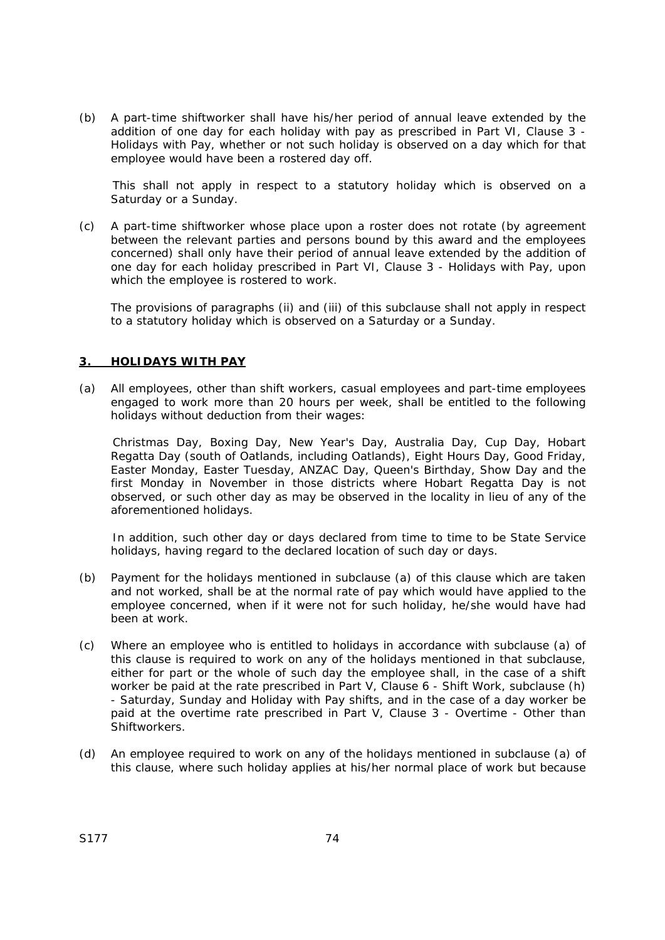(b) A part-time shiftworker shall have his/her period of annual leave extended by the addition of one day for each holiday with pay as prescribed in Part VI, Clause 3 - Holidays with Pay, whether or not such holiday is observed on a day which for that employee would have been a rostered day off.

This shall not apply in respect to a statutory holiday which is observed on a Saturday or a Sunday.

(c) A part-time shiftworker whose place upon a roster does not rotate (by agreement between the relevant parties and persons bound by this award and the employees concerned) shall only have their period of annual leave extended by the addition of one day for each holiday prescribed in Part VI, Clause 3 - Holidays with Pay, upon which the employee is rostered to work.

The provisions of paragraphs (ii) and (iii) of this subclause shall not apply in respect to a statutory holiday which is observed on a Saturday or a Sunday.

#### **3. HOLIDAYS WITH PAY**

(a) All employees, other than shift workers, casual employees and part-time employees engaged to work more than 20 hours per week, shall be entitled to the following holidays without deduction from their wages:

Christmas Day, Boxing Day, New Year's Day, Australia Day, Cup Day, Hobart Regatta Day (south of Oatlands, including Oatlands), Eight Hours Day, Good Friday, Easter Monday, Easter Tuesday, ANZAC Day, Queen's Birthday, Show Day and the first Monday in November in those districts where Hobart Regatta Day is not observed, or such other day as may be observed in the locality in lieu of any of the aforementioned holidays.

In addition, such other day or days declared from time to time to be State Service holidays, having regard to the declared location of such day or days.

- (b) Payment for the holidays mentioned in subclause (a) of this clause which are taken and not worked, shall be at the normal rate of pay which would have applied to the employee concerned, when if it were not for such holiday, he/she would have had been at work.
- (c) Where an employee who is entitled to holidays in accordance with subclause (a) of this clause is required to work on any of the holidays mentioned in that subclause, either for part or the whole of such day the employee shall, in the case of a shift worker be paid at the rate prescribed in Part V, Clause 6 - Shift Work, subclause (h) - Saturday, Sunday and Holiday with Pay shifts, and in the case of a day worker be paid at the overtime rate prescribed in Part V, Clause 3 - Overtime - Other than Shiftworkers.
- (d) An employee required to work on any of the holidays mentioned in subclause (a) of this clause, where such holiday applies at his/her normal place of work but because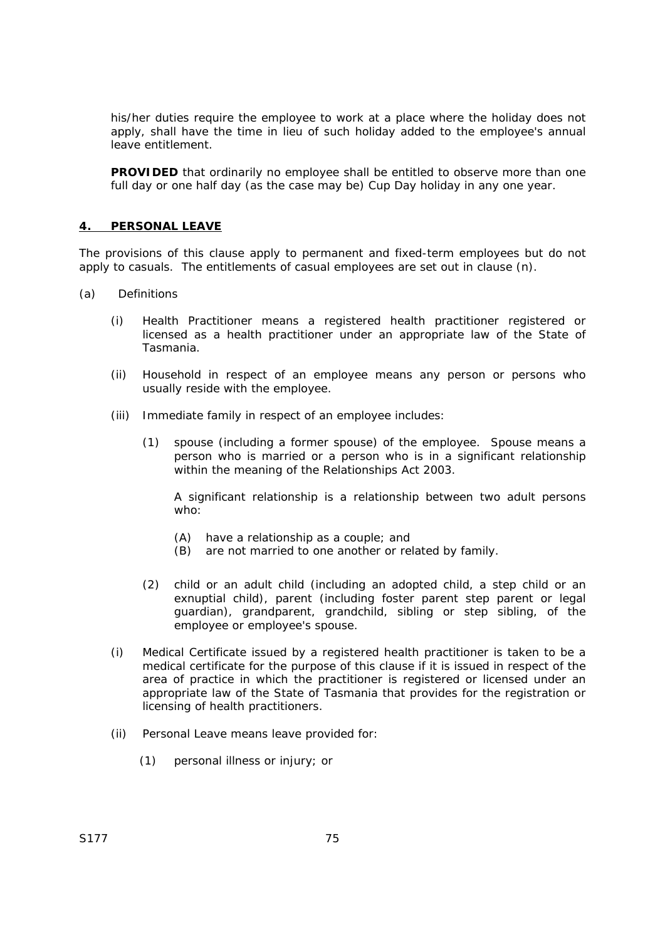his/her duties require the employee to work at a place where the holiday does not apply, shall have the time in lieu of such holiday added to the employee's annual leave entitlement.

**PROVIDED** that ordinarily no employee shall be entitled to observe more than one full day or one half day (as the case may be) Cup Day holiday in any one year.

## **4. PERSONAL LEAVE**

The provisions of this clause apply to permanent and fixed-term employees but do not apply to casuals. The entitlements of casual employees are set out in clause (n).

- (a) Definitions
	- (i) Health Practitioner means a registered health practitioner registered or licensed as a health practitioner under an appropriate law of the State of Tasmania.
	- (ii) Household in respect of an employee means any person or persons who usually reside with the employee.
	- (iii) Immediate family in respect of an employee includes:
		- (1) spouse (including a former spouse) of the employee. Spouse means a person who is married or a person who is in a significant relationship within the meaning of the *Relationships Act 2003*.

 A significant relationship is a relationship between two adult persons who:

- (A) have a relationship as a couple; and
- (B) are not married to one another or related by family.
- (2) child or an adult child (including an adopted child, a step child or an exnuptial child), parent (including foster parent step parent or legal guardian), grandparent, grandchild, sibling or step sibling, of the employee or employee's spouse.
- (i) Medical Certificate issued by a registered health practitioner is taken to be a medical certificate for the purpose of this clause if it is issued in respect of the area of practice in which the practitioner is registered or licensed under an appropriate law of the State of Tasmania that provides for the registration or licensing of health practitioners.
- (ii) Personal Leave means leave provided for:
	- (1) personal illness or injury; or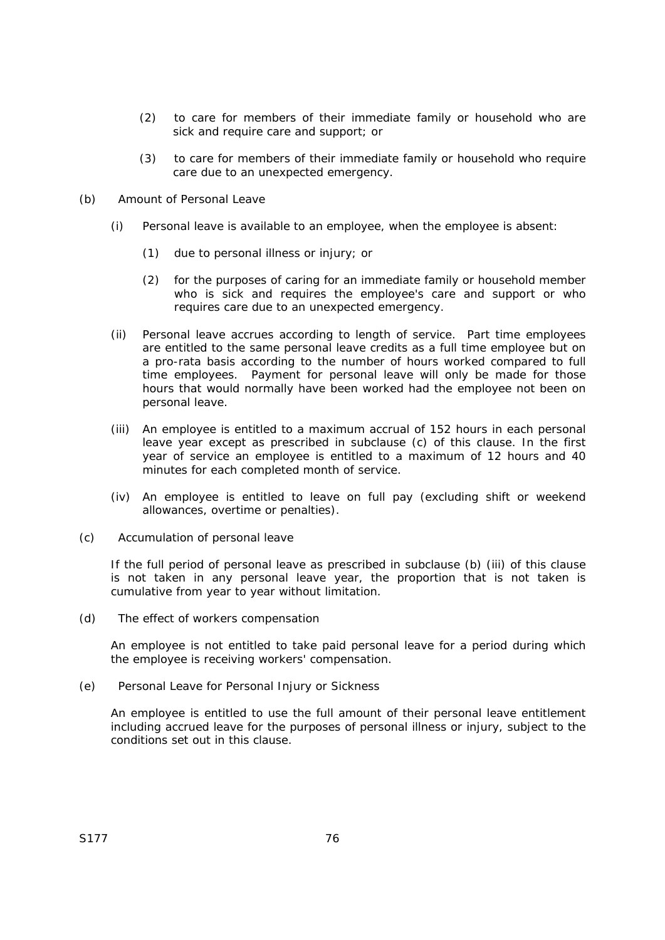- (2) to care for members of their immediate family or household who are sick and require care and support; or
- (3) to care for members of their immediate family or household who require care due to an unexpected emergency.
- (b) Amount of Personal Leave
	- (i) Personal leave is available to an employee, when the employee is absent:
		- (1) due to personal illness or injury; or
		- (2) for the purposes of caring for an immediate family or household member who is sick and requires the employee's care and support or who requires care due to an unexpected emergency.
	- (ii) Personal leave accrues according to length of service. Part time employees are entitled to the same personal leave credits as a full time employee but on a pro-rata basis according to the number of hours worked compared to full time employees. Payment for personal leave will only be made for those hours that would normally have been worked had the employee not been on personal leave.
	- (iii) An employee is entitled to a maximum accrual of 152 hours in each personal leave year except as prescribed in subclause (c) of this clause. In the first year of service an employee is entitled to a maximum of 12 hours and 40 minutes for each completed month of service.
	- (iv) An employee is entitled to leave on full pay (excluding shift or weekend allowances, overtime or penalties).
- (c) Accumulation of personal leave

If the full period of personal leave as prescribed in subclause (b) (iii) of this clause is not taken in any personal leave year, the proportion that is not taken is cumulative from year to year without limitation.

(d) The effect of workers compensation

An employee is not entitled to take paid personal leave for a period during which the employee is receiving workers' compensation.

(e) Personal Leave for Personal Injury or Sickness

An employee is entitled to use the full amount of their personal leave entitlement including accrued leave for the purposes of personal illness or injury, subject to the conditions set out in this clause.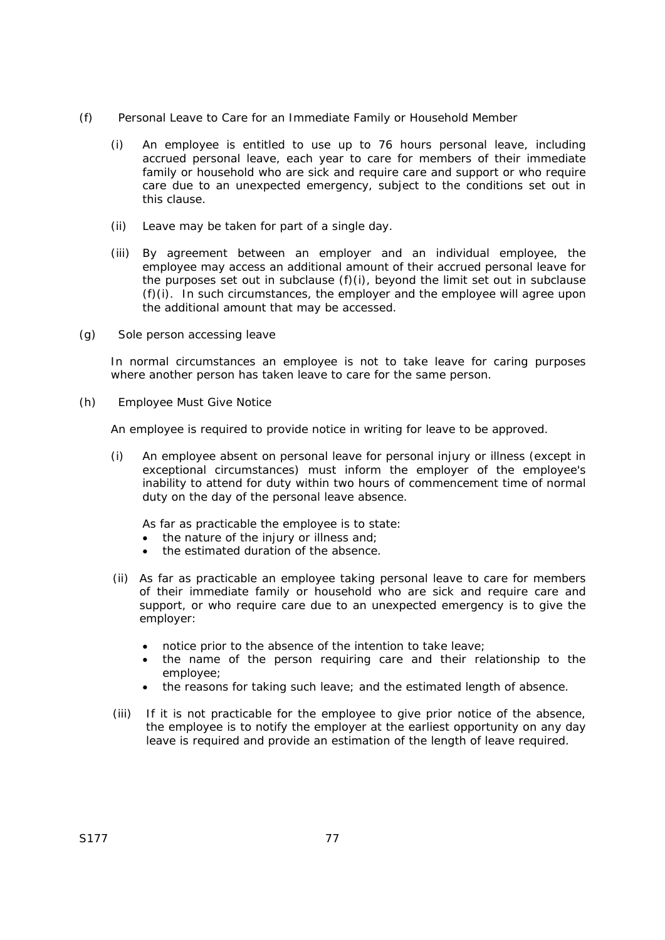- (f) Personal Leave to Care for an Immediate Family or Household Member
	- (i) An employee is entitled to use up to 76 hours personal leave, including accrued personal leave, each year to care for members of their immediate family or household who are sick and require care and support or who require care due to an unexpected emergency, subject to the conditions set out in this clause.
	- (ii) Leave may be taken for part of a single day.
	- (iii) By agreement between an employer and an individual employee, the employee may access an additional amount of their accrued personal leave for the purposes set out in subclause (f)(i), beyond the limit set out in subclause (f)(i). In such circumstances, the employer and the employee will agree upon the additional amount that may be accessed.
- (g) Sole person accessing leave

In normal circumstances an employee is not to take leave for caring purposes where another person has taken leave to care for the same person.

(h) Employee Must Give Notice

An employee is required to provide notice in writing for leave to be approved.

(i) An employee absent on personal leave for personal injury or illness (except in exceptional circumstances) must inform the employer of the employee's inability to attend for duty within two hours of commencement time of normal duty on the day of the personal leave absence.

As far as practicable the employee is to state:

- the nature of the injury or illness and;
- the estimated duration of the absence.
- (ii) As far as practicable an employee taking personal leave to care for members of their immediate family or household who are sick and require care and support, or who require care due to an unexpected emergency is to give the employer:
	- notice prior to the absence of the intention to take leave;
	- the name of the person requiring care and their relationship to the employee;
	- the reasons for taking such leave; and the estimated length of absence.
- (iii) If it is not practicable for the employee to give prior notice of the absence, the employee is to notify the employer at the earliest opportunity on any day leave is required and provide an estimation of the length of leave required.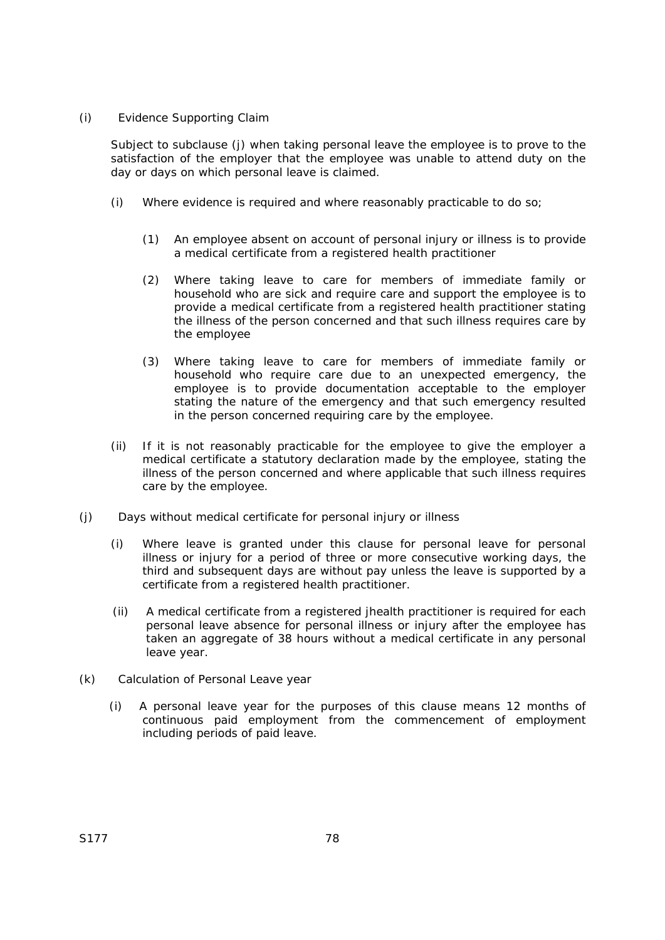#### (i) Evidence Supporting Claim

 Subject to subclause (j) when taking personal leave the employee is to prove to the satisfaction of the employer that the employee was unable to attend duty on the day or days on which personal leave is claimed.

- (i) Where evidence is required and where reasonably practicable to do so;
	- (1) An employee absent on account of personal injury or illness is to provide a medical certificate from a registered health practitioner
	- (2) Where taking leave to care for members of immediate family or household who are sick and require care and support the employee is to provide a medical certificate from a registered health practitioner stating the illness of the person concerned and that such illness requires care by the employee
	- (3) Where taking leave to care for members of immediate family or household who require care due to an unexpected emergency, the employee is to provide documentation acceptable to the employer stating the nature of the emergency and that such emergency resulted in the person concerned requiring care by the employee.
- (ii) If it is not reasonably practicable for the employee to give the employer a medical certificate a statutory declaration made by the employee, stating the illness of the person concerned and where applicable that such illness requires care by the employee.
- (j) Days without medical certificate for personal injury or illness
	- (i) Where leave is granted under this clause for personal leave for personal illness or injury for a period of three or more consecutive working days, the third and subsequent days are without pay unless the leave is supported by a certificate from a registered health practitioner.
	- (ii) A medical certificate from a registered jhealth practitioner is required for each personal leave absence for personal illness or injury after the employee has taken an aggregate of 38 hours without a medical certificate in any personal leave year.
- (k) Calculation of Personal Leave year
	- (i) A personal leave year for the purposes of this clause means 12 months of continuous paid employment from the commencement of employment including periods of paid leave.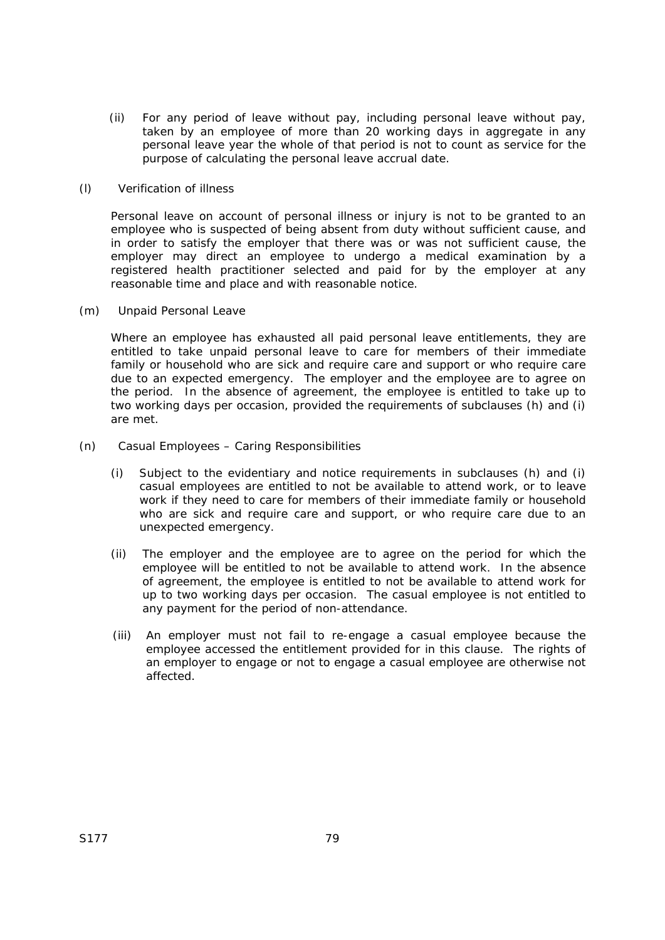(ii) For any period of leave without pay, including personal leave without pay, taken by an employee of more than 20 working days in aggregate in any personal leave year the whole of that period is not to count as service for the purpose of calculating the personal leave accrual date.

## (l) Verification of illness

Personal leave on account of personal illness or injury is not to be granted to an employee who is suspected of being absent from duty without sufficient cause, and in order to satisfy the employer that there was or was not sufficient cause, the employer may direct an employee to undergo a medical examination by a registered health practitioner selected and paid for by the employer at any reasonable time and place and with reasonable notice.

(m) Unpaid Personal Leave

Where an employee has exhausted all paid personal leave entitlements, they are entitled to take unpaid personal leave to care for members of their immediate family or household who are sick and require care and support or who require care due to an expected emergency. The employer and the employee are to agree on the period. In the absence of agreement, the employee is entitled to take up to two working days per occasion, provided the requirements of subclauses (h) and (i) are met.

- (n) Casual Employees Caring Responsibilities
	- (i) Subject to the evidentiary and notice requirements in subclauses (h) and (i) casual employees are entitled to not be available to attend work, or to leave work if they need to care for members of their immediate family or household who are sick and require care and support, or who require care due to an unexpected emergency.
	- (ii) The employer and the employee are to agree on the period for which the employee will be entitled to not be available to attend work. In the absence of agreement, the employee is entitled to not be available to attend work for up to two working days per occasion. The casual employee is not entitled to any payment for the period of non-attendance.
	- (iii) An employer must not fail to re-engage a casual employee because the employee accessed the entitlement provided for in this clause. The rights of an employer to engage or not to engage a casual employee are otherwise not affected.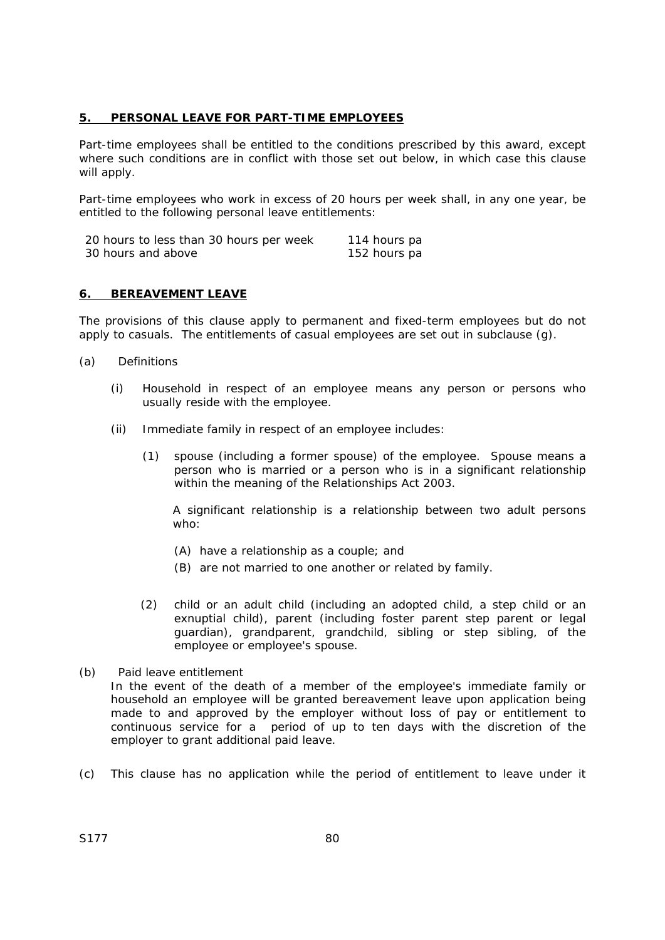#### **5. PERSONAL LEAVE FOR PART-TIME EMPLOYEES**

Part-time employees shall be entitled to the conditions prescribed by this award, except where such conditions are in conflict with those set out below, in which case this clause will apply.

Part-time employees who work in excess of 20 hours per week shall, in any one year, be entitled to the following personal leave entitlements:

| 20 hours to less than 30 hours per week | 114 hours pa |
|-----------------------------------------|--------------|
| 30 hours and above                      | 152 hours pa |

#### **6. BEREAVEMENT LEAVE**

The provisions of this clause apply to permanent and fixed-term employees but do not apply to casuals. The entitlements of casual employees are set out in subclause (g).

- (a) Definitions
	- (i) Household in respect of an employee means any person or persons who usually reside with the employee.
	- (ii) Immediate family in respect of an employee includes:
		- (1) spouse (including a former spouse) of the employee. Spouse means a person who is married or a person who is in a significant relationship within the meaning of the *Relationships Act 2003*.

 A significant relationship is a relationship between two adult persons who:

- (A) have a relationship as a couple; and
- (B) are not married to one another or related by family.
- (2) child or an adult child (including an adopted child, a step child or an exnuptial child), parent (including foster parent step parent or legal guardian), grandparent, grandchild, sibling or step sibling, of the employee or employee's spouse.
- (b) Paid leave entitlement

In the event of the death of a member of the employee's immediate family or household an employee will be granted bereavement leave upon application being made to and approved by the employer without loss of pay or entitlement to continuous service for a period of up to ten days with the discretion of the employer to grant additional paid leave.

(c) This clause has no application while the period of entitlement to leave under it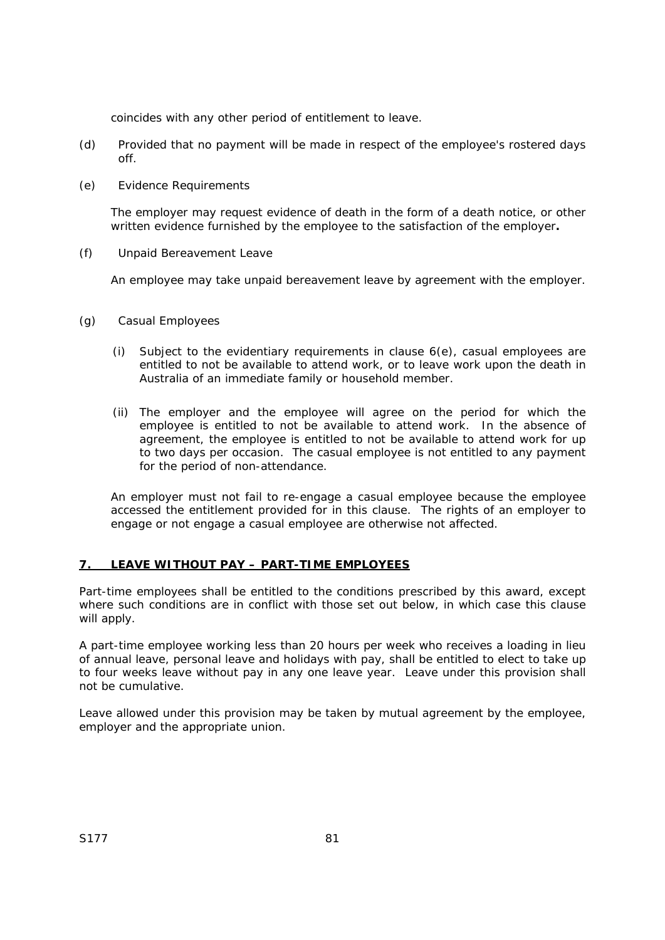coincides with any other period of entitlement to leave.

- (d) Provided that no payment will be made in respect of the employee's rostered days off.
- (e) Evidence Requirements

The employer may request evidence of death in the form of a death notice, or other written evidence furnished by the employee to the satisfaction of the employer**.** 

(f) Unpaid Bereavement Leave

An employee may take unpaid bereavement leave by agreement with the employer.

- (g) Casual Employees
	- (i) Subject to the evidentiary requirements in clause 6(e), casual employees are entitled to not be available to attend work, or to leave work upon the death in Australia of an immediate family or household member.
	- (ii) The employer and the employee will agree on the period for which the employee is entitled to not be available to attend work. In the absence of agreement, the employee is entitled to not be available to attend work for up to two days per occasion. The casual employee is not entitled to any payment for the period of non-attendance.

 An employer must not fail to re-engage a casual employee because the employee accessed the entitlement provided for in this clause. The rights of an employer to engage or not engage a casual employee are otherwise not affected.

# **7. LEAVE WITHOUT PAY – PART-TIME EMPLOYEES**

Part-time employees shall be entitled to the conditions prescribed by this award, except where such conditions are in conflict with those set out below, in which case this clause will apply.

A part-time employee working less than 20 hours per week who receives a loading in lieu of annual leave, personal leave and holidays with pay, shall be entitled to elect to take up to four weeks leave without pay in any one leave year. Leave under this provision shall not be cumulative.

Leave allowed under this provision may be taken by mutual agreement by the employee, employer and the appropriate union.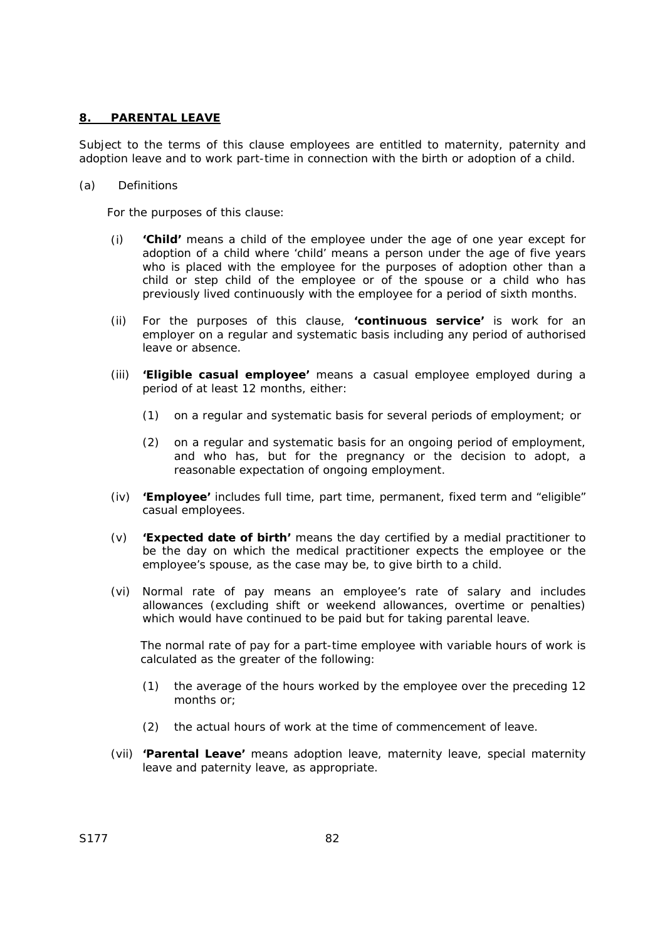#### **8. PARENTAL LEAVE**

Subject to the terms of this clause employees are entitled to maternity, paternity and adoption leave and to work part-time in connection with the birth or adoption of a child.

#### (a) Definitions

For the purposes of this clause:

- (i) **'Child'** means a child of the employee under the age of one year except for adoption of a child where 'child' means a person under the age of five years who is placed with the employee for the purposes of adoption other than a child or step child of the employee or of the spouse or a child who has previously lived continuously with the employee for a period of sixth months.
- (ii) For the purposes of this clause, **'continuous service'** is work for an employer on a regular and systematic basis including any period of authorised leave or absence.
- (iii) **'Eligible casual employee'** means a casual employee employed during a period of at least 12 months, either:
	- (1) on a regular and systematic basis for several periods of employment; or
	- (2) on a regular and systematic basis for an ongoing period of employment, and who has, but for the pregnancy or the decision to adopt, a reasonable expectation of ongoing employment.
- (iv) **'Employee'** includes full time, part time, permanent, fixed term and "eligible" casual employees.
- (v) **'Expected date of birth'** means the day certified by a medial practitioner to be the day on which the medical practitioner expects the employee or the employee's spouse, as the case may be, to give birth to a child.
- (vi) Normal rate of pay means an employee's rate of salary and includes allowances (excluding shift or weekend allowances, overtime or penalties) which would have continued to be paid but for taking parental leave.

The normal rate of pay for a part-time employee with variable hours of work is calculated as the greater of the following:

- (1) the average of the hours worked by the employee over the preceding 12 months or;
- (2) the actual hours of work at the time of commencement of leave.
- (vii) **'Parental Leave'** means adoption leave, maternity leave, special maternity leave and paternity leave, as appropriate.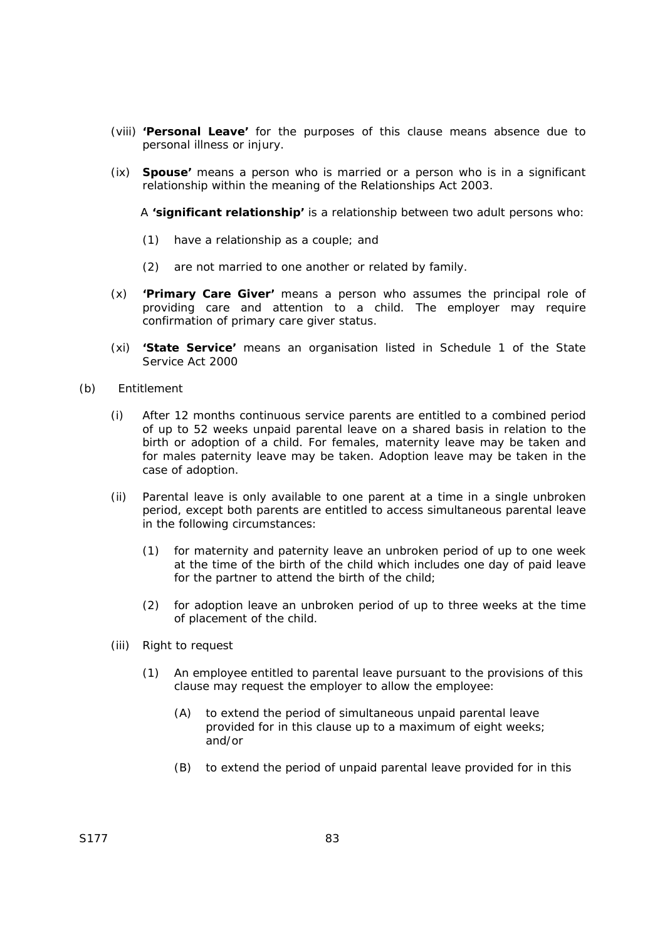- (viii) **'Personal Leave'** for the purposes of this clause means absence due to personal illness or injury.
- (ix) **Spouse'** means a person who is married or a person who is in a significant relationship within the meaning of the *Relationships Act 2003.*

A **'significant relationship'** is a relationship between two adult persons who:

- (1) have a relationship as a couple; and
- (2) are not married to one another or related by family.
- (x) **'Primary Care Giver'** means a person who assumes the principal role of providing care and attention to a child. The employer may require confirmation of primary care giver status.
- (xi) **'State Service'** means an organisation listed in Schedule 1 of the *State Service Act 2000*
- (b) Entitlement
	- (i) After 12 months continuous service parents are entitled to a combined period of up to 52 weeks unpaid parental leave on a shared basis in relation to the birth or adoption of a child. For females, maternity leave may be taken and for males paternity leave may be taken. Adoption leave may be taken in the case of adoption.
	- (ii) Parental leave is only available to one parent at a time in a single unbroken period, except both parents are entitled to access simultaneous parental leave in the following circumstances:
		- (1) for maternity and paternity leave an unbroken period of up to one week at the time of the birth of the child which includes one day of paid leave for the partner to attend the birth of the child;
		- (2) for adoption leave an unbroken period of up to three weeks at the time of placement of the child.
	- (iii) Right to request
		- (1) An employee entitled to parental leave pursuant to the provisions of this clause may request the employer to allow the employee:
			- (A) to extend the period of simultaneous unpaid parental leave provided for in this clause up to a maximum of eight weeks; and/or
			- (B) to extend the period of unpaid parental leave provided for in this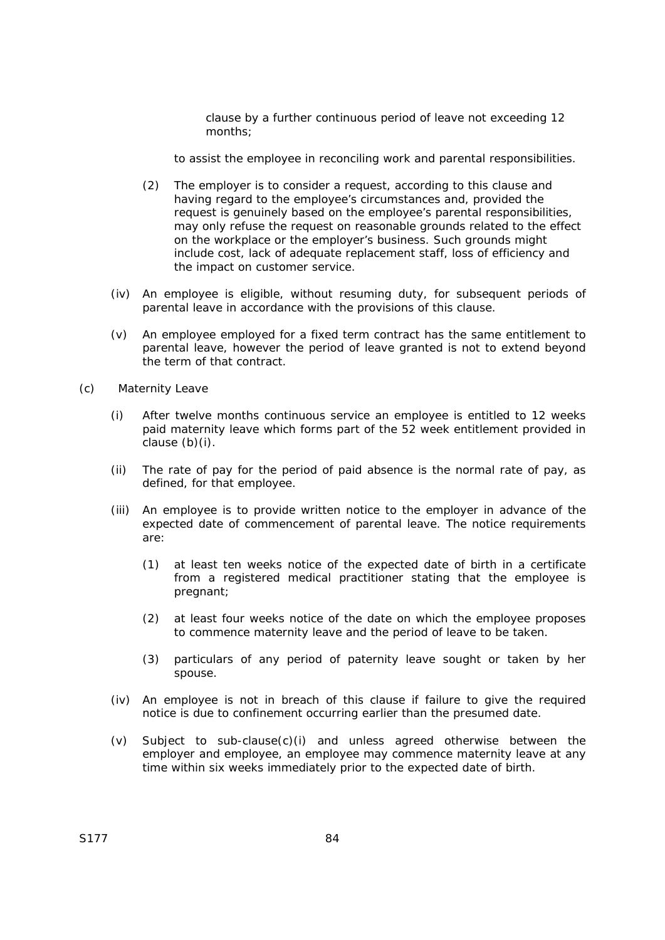clause by a further continuous period of leave not exceeding 12 months;

to assist the employee in reconciling work and parental responsibilities.

- (2) The employer is to consider a request, according to this clause and having regard to the employee's circumstances and, provided the request is genuinely based on the employee's parental responsibilities, may only refuse the request on reasonable grounds related to the effect on the workplace or the employer's business. Such grounds might include cost, lack of adequate replacement staff, loss of efficiency and the impact on customer service.
- (iv) An employee is eligible, without resuming duty, for subsequent periods of parental leave in accordance with the provisions of this clause.
- (v) An employee employed for a fixed term contract has the same entitlement to parental leave, however the period of leave granted is not to extend beyond the term of that contract.
- (c) Maternity Leave
	- (i) After twelve months continuous service an employee is entitled to 12 weeks paid maternity leave which forms part of the 52 week entitlement provided in clause (b)(i).
	- (ii) The rate of pay for the period of paid absence is the normal rate of pay, as defined, for that employee.
	- (iii) An employee is to provide written notice to the employer in advance of the expected date of commencement of parental leave. The notice requirements are:
		- (1) at least ten weeks notice of the expected date of birth in a certificate from a registered medical practitioner stating that the employee is pregnant;
		- (2) at least four weeks notice of the date on which the employee proposes to commence maternity leave and the period of leave to be taken.
		- (3) particulars of any period of paternity leave sought or taken by her spouse.
	- (iv) An employee is not in breach of this clause if failure to give the required notice is due to confinement occurring earlier than the presumed date.
	- (v) Subject to sub-clause(c)(i) and unless agreed otherwise between the employer and employee, an employee may commence maternity leave at any time within six weeks immediately prior to the expected date of birth.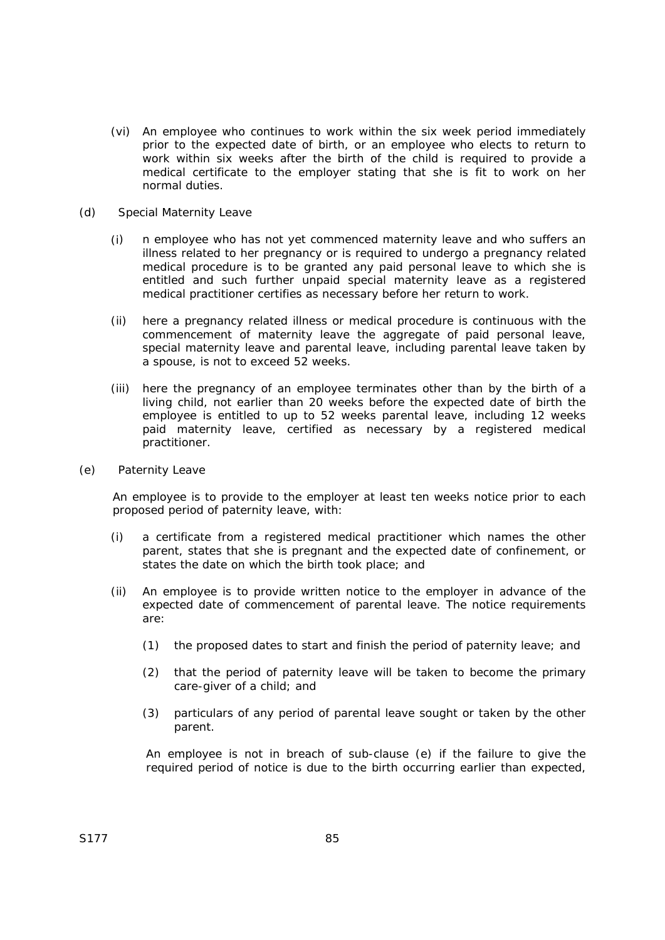- (vi) An employee who continues to work within the six week period immediately prior to the expected date of birth, or an employee who elects to return to work within six weeks after the birth of the child is required to provide a medical certificate to the employer stating that she is fit to work on her normal duties.
- (d) Special Maternity Leave
	- (i) n employee who has not yet commenced maternity leave and who suffers an illness related to her pregnancy or is required to undergo a pregnancy related medical procedure is to be granted any paid personal leave to which she is entitled and such further unpaid special maternity leave as a registered medical practitioner certifies as necessary before her return to work.
	- (ii) here a pregnancy related illness or medical procedure is continuous with the commencement of maternity leave the aggregate of paid personal leave, special maternity leave and parental leave, including parental leave taken by a spouse, is not to exceed 52 weeks.
	- (iii) here the pregnancy of an employee terminates other than by the birth of a living child, not earlier than 20 weeks before the expected date of birth the employee is entitled to up to 52 weeks parental leave, including 12 weeks paid maternity leave, certified as necessary by a registered medical practitioner.
- (e) Paternity Leave

An employee is to provide to the employer at least ten weeks notice prior to each proposed period of paternity leave, with:

- (i) a certificate from a registered medical practitioner which names the other parent, states that she is pregnant and the expected date of confinement, or states the date on which the birth took place; and
- (ii) An employee is to provide written notice to the employer in advance of the expected date of commencement of parental leave. The notice requirements are:
	- (1) the proposed dates to start and finish the period of paternity leave; and
	- (2) that the period of paternity leave will be taken to become the primary care-giver of a child; and
	- (3) particulars of any period of parental leave sought or taken by the other parent.

An employee is not in breach of sub-clause (e) if the failure to give the required period of notice is due to the birth occurring earlier than expected,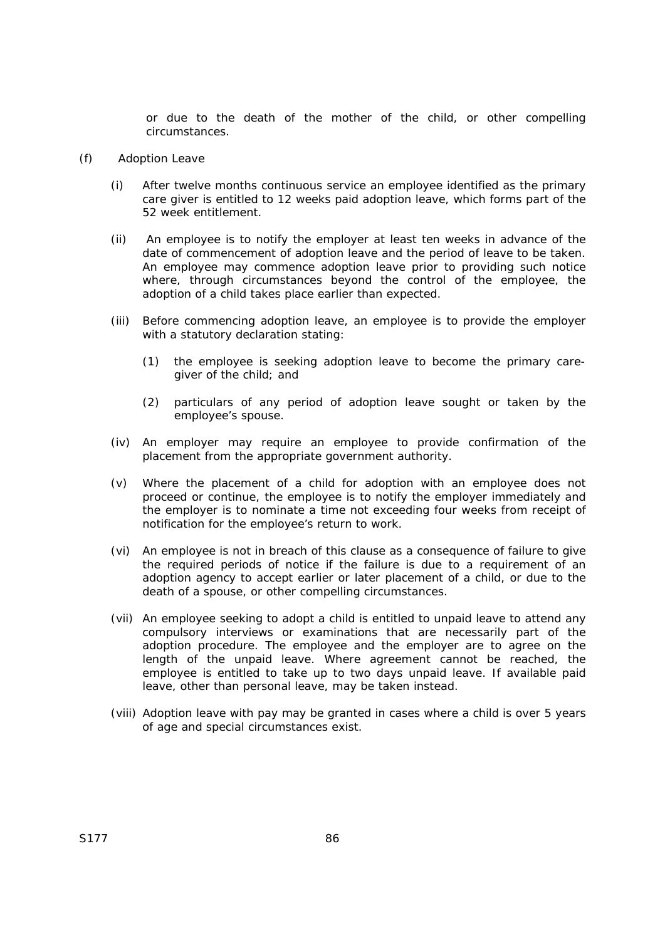or due to the death of the mother of the child, or other compelling circumstances.

- (f) Adoption Leave
	- (i) After twelve months continuous service an employee identified as the primary care giver is entitled to 12 weeks paid adoption leave, which forms part of the 52 week entitlement.
	- (ii) An employee is to notify the employer at least ten weeks in advance of the date of commencement of adoption leave and the period of leave to be taken. An employee may commence adoption leave prior to providing such notice where, through circumstances beyond the control of the employee, the adoption of a child takes place earlier than expected.
	- (iii) Before commencing adoption leave, an employee is to provide the employer with a statutory declaration stating:
		- (1) the employee is seeking adoption leave to become the primary caregiver of the child; and
		- (2) particulars of any period of adoption leave sought or taken by the employee's spouse.
	- (iv) An employer may require an employee to provide confirmation of the placement from the appropriate government authority.
	- (v) Where the placement of a child for adoption with an employee does not proceed or continue, the employee is to notify the employer immediately and the employer is to nominate a time not exceeding four weeks from receipt of notification for the employee's return to work.
	- (vi) An employee is not in breach of this clause as a consequence of failure to give the required periods of notice if the failure is due to a requirement of an adoption agency to accept earlier or later placement of a child, or due to the death of a spouse, or other compelling circumstances.
	- (vii) An employee seeking to adopt a child is entitled to unpaid leave to attend any compulsory interviews or examinations that are necessarily part of the adoption procedure. The employee and the employer are to agree on the length of the unpaid leave. Where agreement cannot be reached, the employee is entitled to take up to two days unpaid leave. If available paid leave, other than personal leave, may be taken instead.
	- (viii) Adoption leave with pay may be granted in cases where a child is over 5 years of age and special circumstances exist.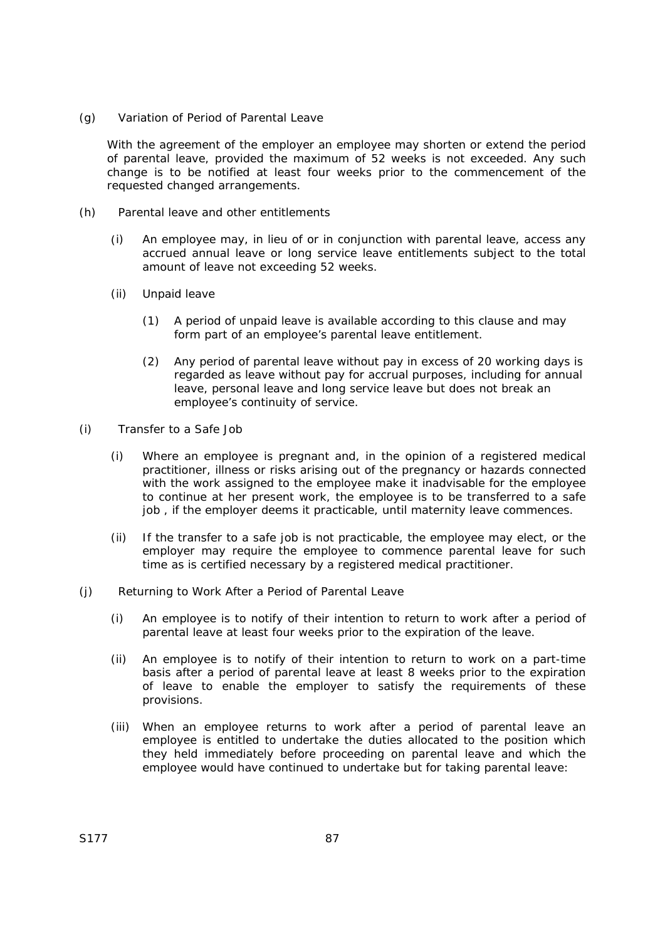(g) Variation of Period of Parental Leave

With the agreement of the employer an employee may shorten or extend the period of parental leave, provided the maximum of 52 weeks is not exceeded. Any such change is to be notified at least four weeks prior to the commencement of the requested changed arrangements.

- (h) Parental leave and other entitlements
	- (i) An employee may, in lieu of or in conjunction with parental leave, access any accrued annual leave or long service leave entitlements subject to the total amount of leave not exceeding 52 weeks.
	- (ii) Unpaid leave
		- (1) A period of unpaid leave is available according to this clause and may form part of an employee's parental leave entitlement.
		- (2) Any period of parental leave without pay in excess of 20 working days is regarded as leave without pay for accrual purposes, including for annual leave, personal leave and long service leave but does not break an employee's continuity of service.
- (i) Transfer to a Safe Job
	- (i) Where an employee is pregnant and, in the opinion of a registered medical practitioner, illness or risks arising out of the pregnancy or hazards connected with the work assigned to the employee make it inadvisable for the employee to continue at her present work, the employee is to be transferred to a safe job , if the employer deems it practicable, until maternity leave commences.
	- (ii) If the transfer to a safe job is not practicable, the employee may elect, or the employer may require the employee to commence parental leave for such time as is certified necessary by a registered medical practitioner.
- (j) Returning to Work After a Period of Parental Leave
	- (i) An employee is to notify of their intention to return to work after a period of parental leave at least four weeks prior to the expiration of the leave.
	- (ii) An employee is to notify of their intention to return to work on a part-time basis after a period of parental leave at least 8 weeks prior to the expiration of leave to enable the employer to satisfy the requirements of these provisions.
	- (iii) When an employee returns to work after a period of parental leave an employee is entitled to undertake the duties allocated to the position which they held immediately before proceeding on parental leave and which the employee would have continued to undertake but for taking parental leave: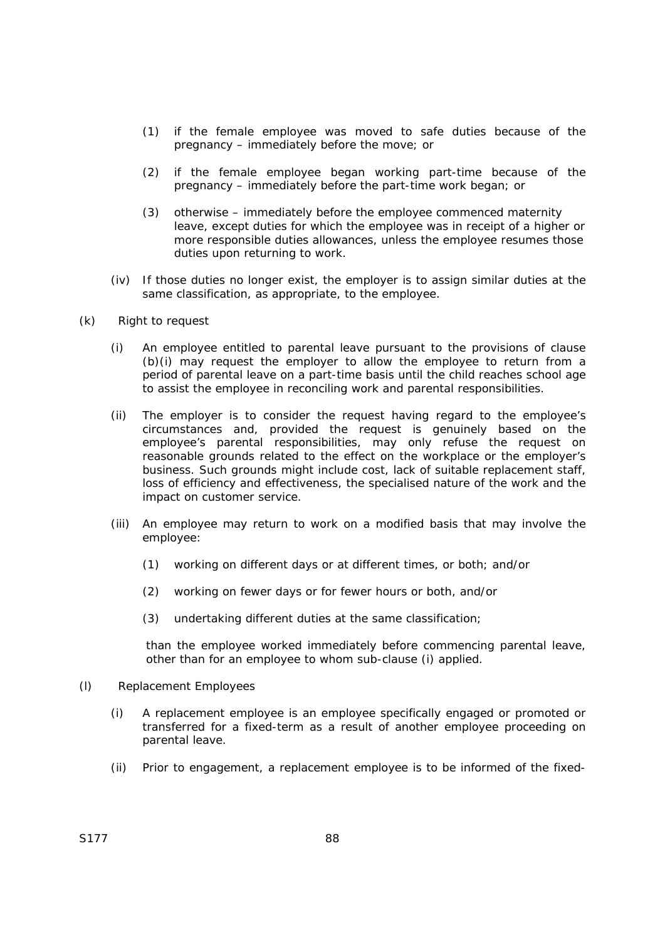- (1) if the female employee was moved to safe duties because of the pregnancy – immediately before the move; or
- (2) if the female employee began working part-time because of the pregnancy – immediately before the part-time work began; or
- (3) otherwise immediately before the employee commenced maternity leave, except duties for which the employee was in receipt of a higher or more responsible duties allowances, unless the employee resumes those duties upon returning to work.
- (iv) If those duties no longer exist, the employer is to assign similar duties at the same classification, as appropriate, to the employee.
- (k) Right to request
	- (i) An employee entitled to parental leave pursuant to the provisions of clause (b)(i) may request the employer to allow the employee to return from a period of parental leave on a part-time basis until the child reaches school age to assist the employee in reconciling work and parental responsibilities.
	- (ii) The employer is to consider the request having regard to the employee's circumstances and, provided the request is genuinely based on the employee's parental responsibilities, may only refuse the request on reasonable grounds related to the effect on the workplace or the employer's business. Such grounds might include cost, lack of suitable replacement staff, loss of efficiency and effectiveness, the specialised nature of the work and the impact on customer service.
	- (iii) An employee may return to work on a modified basis that may involve the employee:
		- (1) working on different days or at different times, or both; and/or
		- (2) working on fewer days or for fewer hours or both, and/or
		- (3) undertaking different duties at the same classification;

than the employee worked immediately before commencing parental leave, other than for an employee to whom sub-clause (i) applied.

- (l) Replacement Employees
	- (i) A replacement employee is an employee specifically engaged or promoted or transferred for a fixed-term as a result of another employee proceeding on parental leave.
	- (ii) Prior to engagement, a replacement employee is to be informed of the fixed-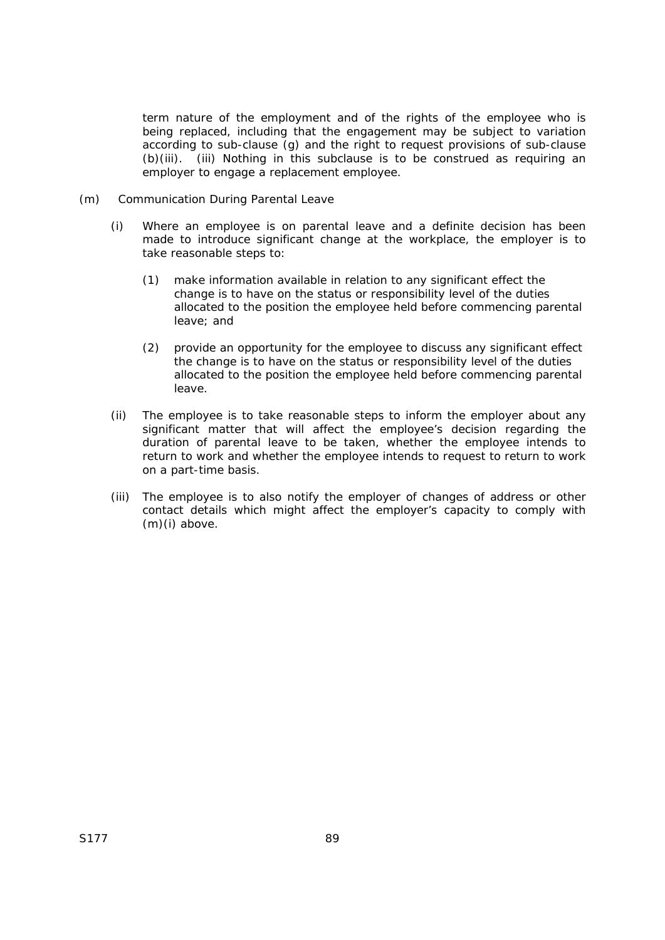term nature of the employment and of the rights of the employee who is being replaced, including that the engagement may be subject to variation according to sub-clause (g) and the right to request provisions of sub-clause (b)(iii). (iii) Nothing in this subclause is to be construed as requiring an employer to engage a replacement employee.

- (m) Communication During Parental Leave
	- (i) Where an employee is on parental leave and a definite decision has been made to introduce significant change at the workplace, the employer is to take reasonable steps to:
		- (1) make information available in relation to any significant effect the change is to have on the status or responsibility level of the duties allocated to the position the employee held before commencing parental leave; and
		- (2) provide an opportunity for the employee to discuss any significant effect the change is to have on the status or responsibility level of the duties allocated to the position the employee held before commencing parental leave.
	- (ii) The employee is to take reasonable steps to inform the employer about any significant matter that will affect the employee's decision regarding the duration of parental leave to be taken, whether the employee intends to return to work and whether the employee intends to request to return to work on a part-time basis.
	- (iii) The employee is to also notify the employer of changes of address or other contact details which might affect the employer's capacity to comply with (m)(i) above.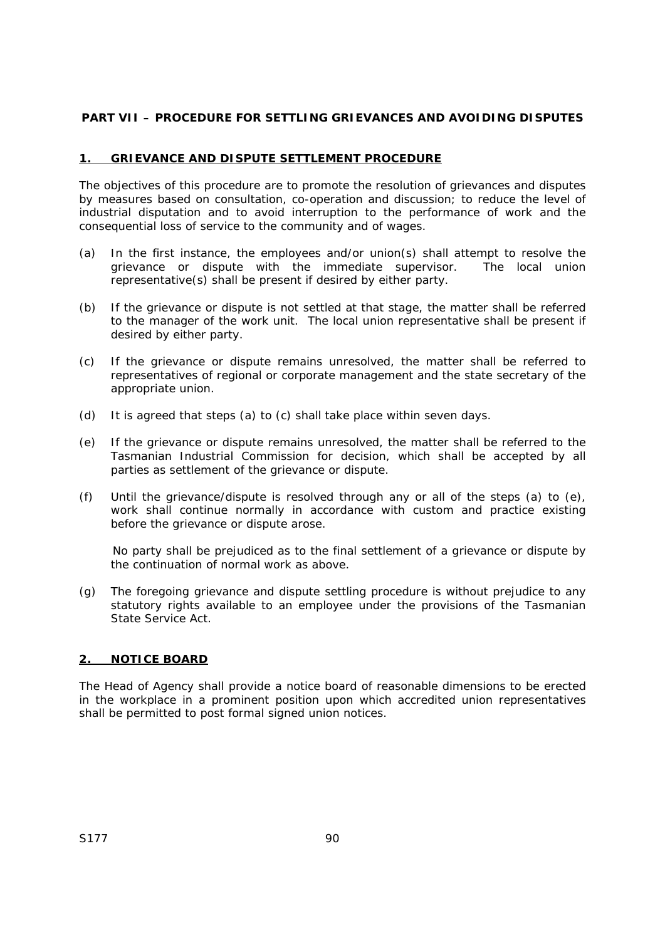## **PART VII – PROCEDURE FOR SETTLING GRIEVANCES AND AVOIDING DISPUTES**

## **1. GRIEVANCE AND DISPUTE SETTLEMENT PROCEDURE**

The objectives of this procedure are to promote the resolution of grievances and disputes by measures based on consultation, co-operation and discussion; to reduce the level of industrial disputation and to avoid interruption to the performance of work and the consequential loss of service to the community and of wages.

- (a) In the first instance, the employees and/or union(s) shall attempt to resolve the grievance or dispute with the immediate supervisor. The local union representative(s) shall be present if desired by either party.
- (b) If the grievance or dispute is not settled at that stage, the matter shall be referred to the manager of the work unit. The local union representative shall be present if desired by either party.
- (c) If the grievance or dispute remains unresolved, the matter shall be referred to representatives of regional or corporate management and the state secretary of the appropriate union.
- (d) It is agreed that steps (a) to (c) shall take place within seven days.
- (e) If the grievance or dispute remains unresolved, the matter shall be referred to the Tasmanian Industrial Commission for decision, which shall be accepted by all parties as settlement of the grievance or dispute.
- (f) Until the grievance/dispute is resolved through any or all of the steps (a) to (e), work shall continue normally in accordance with custom and practice existing before the grievance or dispute arose.

No party shall be prejudiced as to the final settlement of a grievance or dispute by the continuation of normal work as above.

(g) The foregoing grievance and dispute settling procedure is without prejudice to any statutory rights available to an employee under the provisions of the Tasmanian *State Service Act*.

#### **2. NOTICE BOARD**

The Head of Agency shall provide a notice board of reasonable dimensions to be erected in the workplace in a prominent position upon which accredited union representatives shall be permitted to post formal signed union notices.